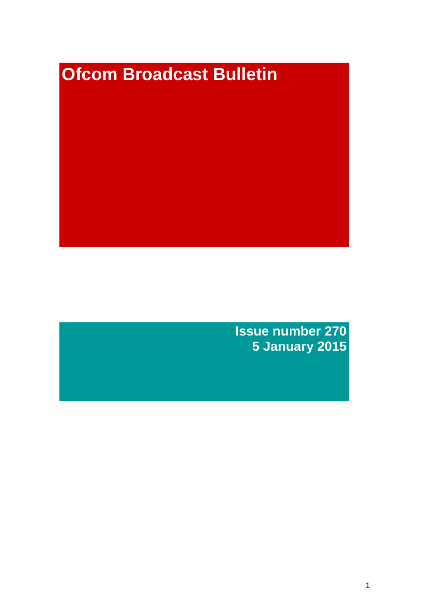# **Ofcom Broadcast Bulletin**

**Issue number 270 5 January 2015**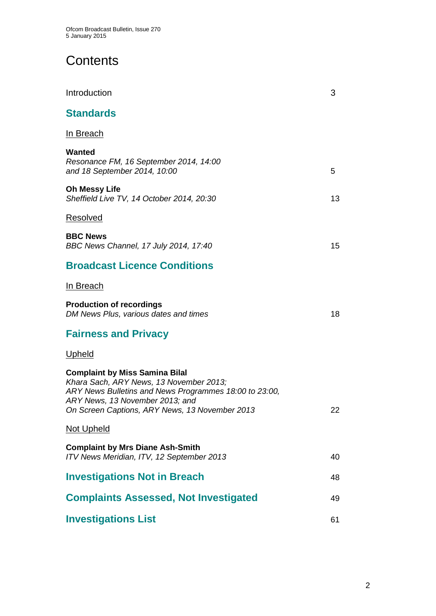# **Contents**

| Introduction                                                                                                                                                                                                                    | 3  |
|---------------------------------------------------------------------------------------------------------------------------------------------------------------------------------------------------------------------------------|----|
| <b>Standards</b>                                                                                                                                                                                                                |    |
| In Breach                                                                                                                                                                                                                       |    |
| Wanted<br>Resonance FM, 16 September 2014, 14:00<br>and 18 September 2014, 10:00                                                                                                                                                | 5  |
| <b>Oh Messy Life</b><br>Sheffield Live TV, 14 October 2014, 20:30                                                                                                                                                               | 13 |
| <b>Resolved</b>                                                                                                                                                                                                                 |    |
| <b>BBC News</b><br>BBC News Channel, 17 July 2014, 17:40                                                                                                                                                                        | 15 |
| <b>Broadcast Licence Conditions</b>                                                                                                                                                                                             |    |
| In Breach                                                                                                                                                                                                                       |    |
| <b>Production of recordings</b><br>DM News Plus, various dates and times                                                                                                                                                        | 18 |
| <b>Fairness and Privacy</b>                                                                                                                                                                                                     |    |
| <b>Upheld</b>                                                                                                                                                                                                                   |    |
| <b>Complaint by Miss Samina Bilal</b><br>Khara Sach, ARY News, 13 November 2013;<br>ARY News Bulletins and News Programmes 18:00 to 23:00,<br>ARY News, 13 November 2013; and<br>On Screen Captions, ARY News, 13 November 2013 | 22 |
| Not Upheld                                                                                                                                                                                                                      |    |
| <b>Complaint by Mrs Diane Ash-Smith</b><br>ITV News Meridian, ITV, 12 September 2013                                                                                                                                            | 40 |
| <b>Investigations Not in Breach</b>                                                                                                                                                                                             | 48 |
| <b>Complaints Assessed, Not Investigated</b>                                                                                                                                                                                    | 49 |
| <b>Investigations List</b>                                                                                                                                                                                                      | 61 |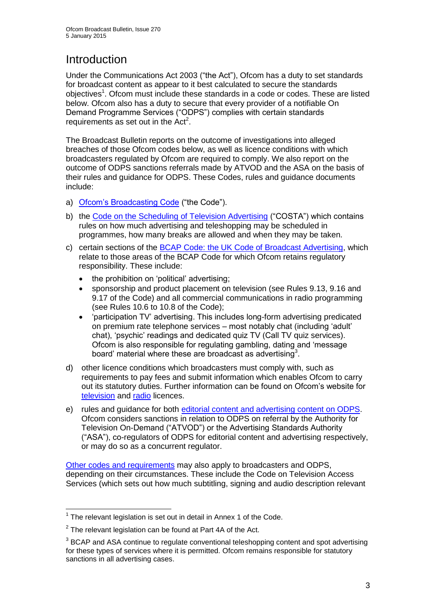# **Introduction**

Under the Communications Act 2003 ("the Act"), Ofcom has a duty to set standards for broadcast content as appear to it best calculated to secure the standards objectives<sup>1</sup>. Ofcom must include these standards in a code or codes. These are listed below. Ofcom also has a duty to secure that every provider of a notifiable On Demand Programme Services ("ODPS") complies with certain standards requirements as set out in the  $Act<sup>2</sup>$ .

The Broadcast Bulletin reports on the outcome of investigations into alleged breaches of those Ofcom codes below, as well as licence conditions with which broadcasters regulated by Ofcom are required to comply. We also report on the outcome of ODPS sanctions referrals made by ATVOD and the ASA on the basis of their rules and guidance for ODPS. These Codes, rules and guidance documents include:

- a) [Ofcom's Broadcasting Code](http://stakeholders.ofcom.org.uk/broadcasting/broadcast-codes/broadcast-code/) ("the Code").
- b) the [Code on the Scheduling of Television Advertising](http://stakeholders.ofcom.org.uk/broadcasting/broadcast-codes/advert-code/) ("COSTA") which contains rules on how much advertising and teleshopping may be scheduled in programmes, how many breaks are allowed and when they may be taken.
- c) certain sections of the [BCAP Code: the UK Code of Broadcast Advertising,](http://www.bcap.org.uk/Advertising-Codes/Broadcast-HTML.aspx) which relate to those areas of the BCAP Code for which Ofcom retains regulatory responsibility. These include:
	- the prohibition on 'political' advertising:
	- sponsorship and product placement on television (see Rules 9.13, 9.16 and 9.17 of the Code) and all commercial communications in radio programming (see Rules 10.6 to 10.8 of the Code);
	- 'participation TV' advertising. This includes long-form advertising predicated on premium rate telephone services – most notably chat (including 'adult' chat), 'psychic' readings and dedicated quiz TV (Call TV quiz services). Ofcom is also responsible for regulating gambling, dating and 'message board' material where these are broadcast as advertising<sup>3</sup>.
- d) other licence conditions which broadcasters must comply with, such as requirements to pay fees and submit information which enables Ofcom to carry out its statutory duties. Further information can be found on Ofcom's website for [television](http://licensing.ofcom.org.uk/tv-broadcast-licences/) and [radio](http://licensing.ofcom.org.uk/radio-broadcast-licensing/) licences.
- e) rules and guidance for both [editorial content and advertising content on ODPS.](http://www.atvod.co.uk/uploads/files/ATVOD_Rules_and_Guidance_Ed_2.0_May_2012.pdf) Ofcom considers sanctions in relation to ODPS on referral by the Authority for Television On-Demand ("ATVOD") or the Advertising Standards Authority ("ASA"), co-regulators of ODPS for editorial content and advertising respectively, or may do so as a concurrent regulator.

[Other codes and requirements](http://stakeholders.ofcom.org.uk/broadcasting/broadcast-codes/) may also apply to broadcasters and ODPS, depending on their circumstances. These include the Code on Television Access Services (which sets out how much subtitling, signing and audio description relevant

<sup>1</sup>  $1$  The relevant legislation is set out in detail in Annex 1 of the Code.

 $2$  The relevant legislation can be found at Part 4A of the Act.

 $3$  BCAP and ASA continue to regulate conventional teleshopping content and spot advertising for these types of services where it is permitted. Ofcom remains responsible for statutory sanctions in all advertising cases.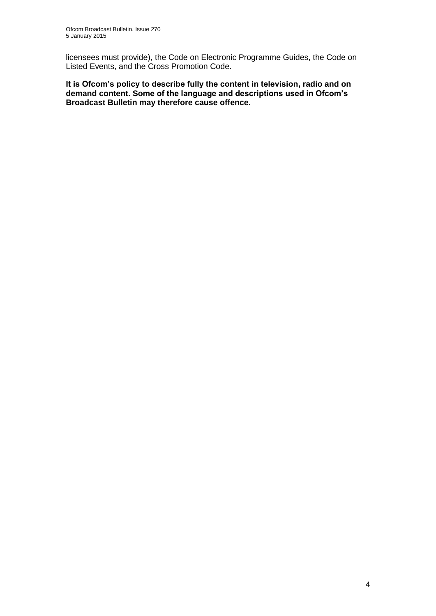licensees must provide), the Code on Electronic Programme Guides, the Code on Listed Events, and the Cross Promotion Code.

**It is Ofcom's policy to describe fully the content in television, radio and on demand content. Some of the language and descriptions used in Ofcom's Broadcast Bulletin may therefore cause offence.**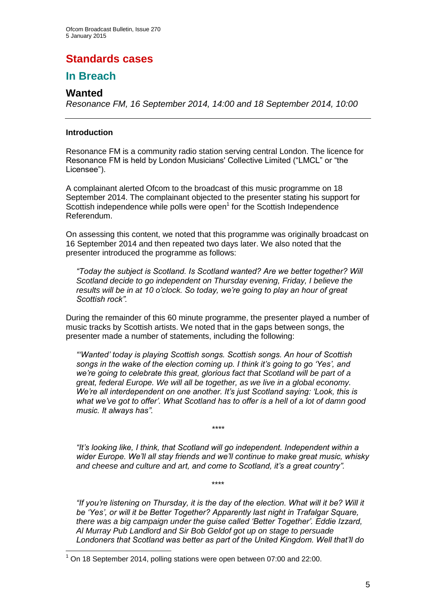# **Standards cases**

## **In Breach**

## **Wanted**

*Resonance FM, 16 September 2014, 14:00 and 18 September 2014, 10:00*

## **Introduction**

1

Resonance FM is a community radio station serving central London. The licence for Resonance FM is held by London Musicians' Collective Limited ("LMCL" or "the Licensee").

A complainant alerted Ofcom to the broadcast of this music programme on 18 September 2014. The complainant objected to the presenter stating his support for Scottish independence while polls were open<sup>1</sup> for the Scottish Independence Referendum.

On assessing this content, we noted that this programme was originally broadcast on 16 September 2014 and then repeated two days later. We also noted that the presenter introduced the programme as follows:

*"Today the subject is Scotland. Is Scotland wanted? Are we better together? Will Scotland decide to go independent on Thursday evening, Friday, I believe the results will be in at 10 o'clock. So today, we're going to play an hour of great Scottish rock".*

During the remainder of this 60 minute programme, the presenter played a number of music tracks by Scottish artists. We noted that in the gaps between songs, the presenter made a number of statements, including the following:

*"'Wanted' today is playing Scottish songs. Scottish songs. An hour of Scottish songs in the wake of the election coming up. I think it's going to go 'Yes', and we're going to celebrate this great, glorious fact that Scotland will be part of a great, federal Europe. We will all be together, as we live in a global economy. We're all interdependent on one another. It's just Scotland saying: 'Look, this is what we've got to offer'. What Scotland has to offer is a hell of a lot of damn good music. It always has".* 

*"It's looking like, I think, that Scotland will go independent. Independent within a wider Europe. We'll all stay friends and we'll continue to make great music, whisky and cheese and culture and art, and come to Scotland, it's a great country".*

\*\*\*\*

*\*\*\*\**

*"If you're listening on Thursday, it is the day of the election. What will it be? Will it be 'Yes', or will it be Better Together? Apparently last night in Trafalgar Square, there was a big campaign under the guise called 'Better Together'. Eddie Izzard, Al Murray Pub Landlord and Sir Bob Geldof got up on stage to persuade Londoners that Scotland was better as part of the United Kingdom. Well that'll do* 

 $1$  On 18 September 2014, polling stations were open between 07:00 and 22:00.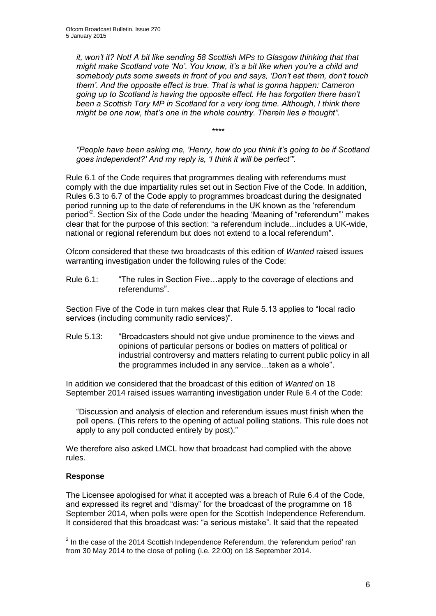*it, won't it? Not! A bit like sending 58 Scottish MPs to Glasgow thinking that that might make Scotland vote 'No'. You know, it's a bit like when you're a child and somebody puts some sweets in front of you and says, 'Don't eat them, don't touch them'. And the opposite effect is true. That is what is gonna happen: Cameron going up to Scotland is having the opposite effect. He has forgotten there hasn't been a Scottish Tory MP in Scotland for a very long time. Although, I think there might be one now, that's one in the whole country. Therein lies a thought".*

*"People have been asking me, 'Henry, how do you think it's going to be if Scotland goes independent?' And my reply is, 'I think it will be perfect'".*

*\*\*\*\**

Rule 6.1 of the Code requires that programmes dealing with referendums must comply with the due impartiality rules set out in Section Five of the Code. In addition, Rules 6.3 to 6.7 of the Code apply to programmes broadcast during the designated period running up to the date of referendums in the UK known as the 'referendum period<sup>2</sup>. Section Six of the Code under the heading 'Meaning of "referendum"' makes clear that for the purpose of this section: "a referendum include...includes a UK-wide, national or regional referendum but does not extend to a local referendum".

Ofcom considered that these two broadcasts of this edition of *Wanted* raised issues warranting investigation under the following rules of the Code:

Rule 6.1: "The rules in Section Five...apply to the coverage of elections and referendums".

Section Five of the Code in turn makes clear that Rule 5.13 applies to "local radio services (including community radio services)".

Rule 5.13: "Broadcasters should not give undue prominence to the views and opinions of particular persons or bodies on matters of political or industrial controversy and matters relating to current public policy in all the programmes included in any service…taken as a whole".

In addition we considered that the broadcast of this edition of *Wanted* on 18 September 2014 raised issues warranting investigation under Rule 6.4 of the Code:

"Discussion and analysis of election and referendum issues must finish when the poll opens. (This refers to the opening of actual polling stations. This rule does not apply to any poll conducted entirely by post)."

We therefore also asked LMCL how that broadcast had complied with the above rules.

## **Response**

1

The Licensee apologised for what it accepted was a breach of Rule 6.4 of the Code, and expressed its regret and "dismay" for the broadcast of the programme on 18 September 2014, when polls were open for the Scottish Independence Referendum. It considered that this broadcast was: "a serious mistake". It said that the repeated

 $2$  In the case of the 2014 Scottish Independence Referendum, the 'referendum period' ran from 30 May 2014 to the close of polling (i.e. 22:00) on 18 September 2014.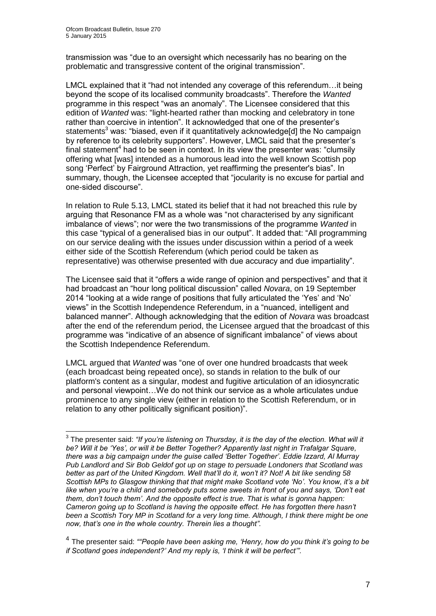transmission was "due to an oversight which necessarily has no bearing on the problematic and transgressive content of the original transmission".

LMCL explained that it "had not intended any coverage of this referendum…it being beyond the scope of its localised community broadcasts". Therefore the *Wanted* programme in this respect "was an anomaly". The Licensee considered that this edition of *Wanted* was: "light-hearted rather than mocking and celebratory in tone rather than coercive in intention". It acknowledged that one of the presenter's statements<sup>3</sup> was: "biased, even if it quantitatively acknowledge[d] the No campaign by reference to its celebrity supporters". However, LMCL said that the presenter's final statement<sup>4</sup> had to be seen in context. In its view the presenter was: "clumsily offering what [was] intended as a humorous lead into the well known Scottish pop song 'Perfect' by Fairground Attraction, yet reaffirming the presenter's bias". In summary, though, the Licensee accepted that "jocularity is no excuse for partial and one-sided discourse".

In relation to Rule 5.13, LMCL stated its belief that it had not breached this rule by arguing that Resonance FM as a whole was "not characterised by any significant imbalance of views"; nor were the two transmissions of the programme *Wanted* in this case "typical of a generalised bias in our output". It added that: "All programming on our service dealing with the issues under discussion within a period of a week either side of the Scottish Referendum (which period could be taken as representative) was otherwise presented with due accuracy and due impartiality".

The Licensee said that it "offers a wide range of opinion and perspectives" and that it had broadcast an "hour long political discussion" called *Novara*, on 19 September 2014 "looking at a wide range of positions that fully articulated the 'Yes' and 'No' views" in the Scottish Independence Referendum, in a "nuanced, intelligent and balanced manner". Although acknowledging that the edition of *Novara* was broadcast after the end of the referendum period, the Licensee argued that the broadcast of this programme was "indicative of an absence of significant imbalance" of views about the Scottish Independence Referendum.

LMCL argued that *Wanted* was "one of over one hundred broadcasts that week (each broadcast being repeated once), so stands in relation to the bulk of our platform's content as a singular, modest and fugitive articulation of an idiosyncratic and personal viewpoint…We do not think our service as a whole articulates undue prominence to any single view (either in relation to the Scottish Referendum, or in relation to any other politically significant position)".

 3 The presenter said: *"If you're listening on Thursday, it is the day of the election. What will it be? Will it be 'Yes', or will it be Better Together? Apparently last night in Trafalgar Square, there was a big campaign under the guise called 'Better Together'. Eddie Izzard, Al Murray Pub Landlord and Sir Bob Geldof got up on stage to persuade Londoners that Scotland was better as part of the United Kingdom. Well that'll do it, won't it? Not! A bit like sending 58 Scottish MPs to Glasgow thinking that that might make Scotland vote 'No'. You know, it's a bit like when you're a child and somebody puts some sweets in front of you and says, 'Don't eat them, don't touch them'. And the opposite effect is true. That is what is gonna happen: Cameron going up to Scotland is having the opposite effect. He has forgotten there hasn't been a Scottish Tory MP in Scotland for a very long time. Although, I think there might be one now, that's one in the whole country. Therein lies a thought".*

<sup>4</sup> The presenter said: *""People have been asking me, 'Henry, how do you think it's going to be if Scotland goes independent?' And my reply is, 'I think it will be perfect'".*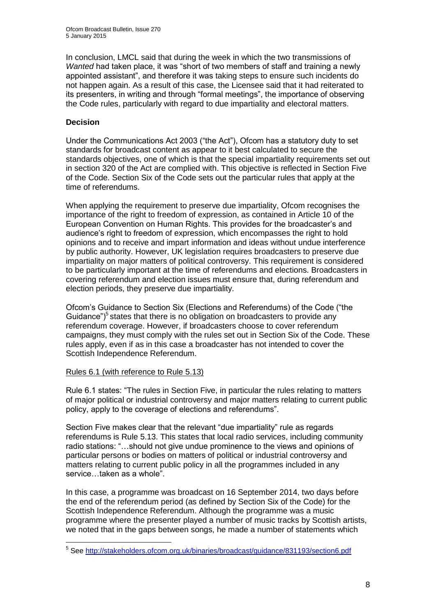In conclusion, LMCL said that during the week in which the two transmissions of *Wanted* had taken place, it was "short of two members of staff and training a newly appointed assistant", and therefore it was taking steps to ensure such incidents do not happen again. As a result of this case, the Licensee said that it had reiterated to its presenters, in writing and through "formal meetings", the importance of observing the Code rules, particularly with regard to due impartiality and electoral matters.

## **Decision**

Under the Communications Act 2003 ("the Act"), Ofcom has a statutory duty to set standards for broadcast content as appear to it best calculated to secure the standards objectives, one of which is that the special impartiality requirements set out in section 320 of the Act are complied with. This objective is reflected in Section Five of the Code. Section Six of the Code sets out the particular rules that apply at the time of referendums.

When applying the requirement to preserve due impartiality, Ofcom recognises the importance of the right to freedom of expression, as contained in Article 10 of the European Convention on Human Rights. This provides for the broadcaster's and audience's right to freedom of expression, which encompasses the right to hold opinions and to receive and impart information and ideas without undue interference by public authority. However, UK legislation requires broadcasters to preserve due impartiality on major matters of political controversy. This requirement is considered to be particularly important at the time of referendums and elections. Broadcasters in covering referendum and election issues must ensure that, during referendum and election periods, they preserve due impartiality.

Ofcom's Guidance to Section Six (Elections and Referendums) of the Code ("the Guidance")<sup>5</sup> states that there is no obligation on broadcasters to provide any referendum coverage. However, if broadcasters choose to cover referendum campaigns, they must comply with the rules set out in Section Six of the Code. These rules apply, even if as in this case a broadcaster has not intended to cover the Scottish Independence Referendum.

## Rules 6.1 (with reference to Rule 5.13)

Rule 6.1 states: "The rules in Section Five, in particular the rules relating to matters of major political or industrial controversy and major matters relating to current public policy, apply to the coverage of elections and referendums".

Section Five makes clear that the relevant "due impartiality" rule as regards referendums is Rule 5.13. This states that local radio services, including community radio stations: "…should not give undue prominence to the views and opinions of particular persons or bodies on matters of political or industrial controversy and matters relating to current public policy in all the programmes included in any service…taken as a whole".

In this case, a programme was broadcast on 16 September 2014, two days before the end of the referendum period (as defined by Section Six of the Code) for the Scottish Independence Referendum. Although the programme was a music programme where the presenter played a number of music tracks by Scottish artists, we noted that in the gaps between songs, he made a number of statements which

 5 See<http://stakeholders.ofcom.org.uk/binaries/broadcast/guidance/831193/section6.pdf>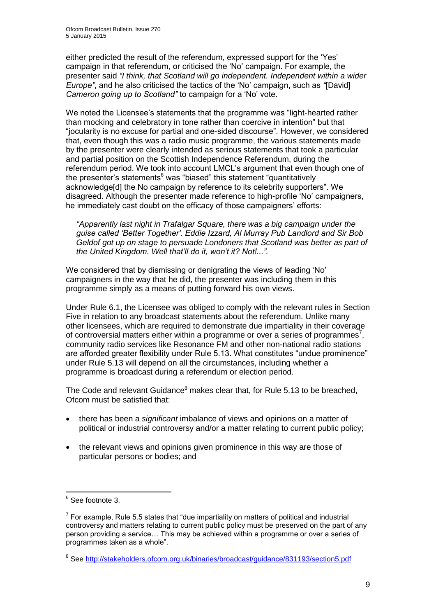either predicted the result of the referendum, expressed support for the 'Yes' campaign in that referendum, or criticised the 'No' campaign. For example, the presenter said *"I think, that Scotland will go independent. Independent within a wider Europe"*, and he also criticised the tactics of the 'No' campaign, such as *"*[David] *Cameron going up to Scotland"* to campaign for a 'No' vote.

We noted the Licensee's statements that the programme was "light-hearted rather than mocking and celebratory in tone rather than coercive in intention" but that "jocularity is no excuse for partial and one-sided discourse". However, we considered that, even though this was a radio music programme, the various statements made by the presenter were clearly intended as serious statements that took a particular and partial position on the Scottish Independence Referendum, during the referendum period. We took into account LMCL's argument that even though one of the presenter's statements $6$  was "biased" this statement "quantitatively acknowledge[d] the No campaign by reference to its celebrity supporters". We disagreed. Although the presenter made reference to high-profile 'No' campaigners, he immediately cast doubt on the efficacy of those campaigners' efforts:

*"Apparently last night in Trafalgar Square, there was a big campaign under the guise called 'Better Together'. Eddie Izzard, Al Murray Pub Landlord and Sir Bob Geldof got up on stage to persuade Londoners that Scotland was better as part of the United Kingdom. Well that'll do it, won't it? Not!...".*

We considered that by dismissing or denigrating the views of leading 'No' campaigners in the way that he did, the presenter was including them in this programme simply as a means of putting forward his own views.

Under Rule 6.1, the Licensee was obliged to comply with the relevant rules in Section Five in relation to any broadcast statements about the referendum. Unlike many other licensees, which are required to demonstrate due impartiality in their coverage of controversial matters either within a programme or over a series of programmes<sup>7</sup>, community radio services like Resonance FM and other non-national radio stations are afforded greater flexibility under Rule 5.13. What constitutes "undue prominence" under Rule 5.13 will depend on all the circumstances, including whether a programme is broadcast during a referendum or election period.

The Code and relevant Guidance<sup>8</sup> makes clear that, for Rule 5.13 to be breached, Ofcom must be satisfied that:

- there has been a *significant* imbalance of views and opinions on a matter of political or industrial controversy and/or a matter relating to current public policy;
- the relevant views and opinions given prominence in this way are those of particular persons or bodies; and

 6 See footnote 3.

 $7$  For example, Rule 5.5 states that "due impartiality on matters of political and industrial controversy and matters relating to current public policy must be preserved on the part of any person providing a service… This may be achieved within a programme or over a series of programmes taken as a whole".

<sup>&</sup>lt;sup>8</sup> See<http://stakeholders.ofcom.org.uk/binaries/broadcast/guidance/831193/section5.pdf>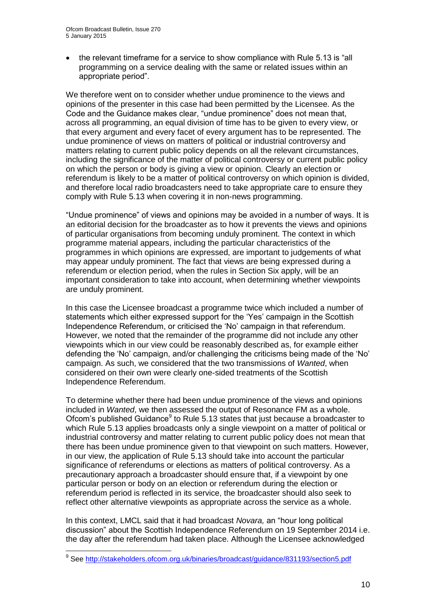the relevant timeframe for a service to show compliance with Rule 5.13 is "all programming on a service dealing with the same or related issues within an appropriate period".

We therefore went on to consider whether undue prominence to the views and opinions of the presenter in this case had been permitted by the Licensee. As the Code and the Guidance makes clear, "undue prominence" does not mean that, across all programming, an equal division of time has to be given to every view, or that every argument and every facet of every argument has to be represented. The undue prominence of views on matters of political or industrial controversy and matters relating to current public policy depends on all the relevant circumstances, including the significance of the matter of political controversy or current public policy on which the person or body is giving a view or opinion. Clearly an election or referendum is likely to be a matter of political controversy on which opinion is divided, and therefore local radio broadcasters need to take appropriate care to ensure they comply with Rule 5.13 when covering it in non-news programming.

"Undue prominence" of views and opinions may be avoided in a number of ways. It is an editorial decision for the broadcaster as to how it prevents the views and opinions of particular organisations from becoming unduly prominent. The context in which programme material appears, including the particular characteristics of the programmes in which opinions are expressed, are important to judgements of what may appear unduly prominent. The fact that views are being expressed during a referendum or election period, when the rules in Section Six apply, will be an important consideration to take into account, when determining whether viewpoints are unduly prominent.

In this case the Licensee broadcast a programme twice which included a number of statements which either expressed support for the 'Yes' campaign in the Scottish Independence Referendum, or criticised the 'No' campaign in that referendum. However, we noted that the remainder of the programme did not include any other viewpoints which in our view could be reasonably described as, for example either defending the 'No' campaign, and/or challenging the criticisms being made of the 'No' campaign. As such, we considered that the two transmissions of *Wanted*, when considered on their own were clearly one-sided treatments of the Scottish Independence Referendum.

To determine whether there had been undue prominence of the views and opinions included in *Wanted*, we then assessed the output of Resonance FM as a whole. Ofcom's published Guidance<sup>9</sup> to Rule 5.13 states that just because a broadcaster to which Rule 5.13 applies broadcasts only a single viewpoint on a matter of political or industrial controversy and matter relating to current public policy does not mean that there has been undue prominence given to that viewpoint on such matters. However, in our view, the application of Rule 5.13 should take into account the particular significance of referendums or elections as matters of political controversy. As a precautionary approach a broadcaster should ensure that, if a viewpoint by one particular person or body on an election or referendum during the election or referendum period is reflected in its service, the broadcaster should also seek to reflect other alternative viewpoints as appropriate across the service as a whole.

In this context, LMCL said that it had broadcast *Novara,* an "hour long political discussion" about the Scottish Independence Referendum on 19 September 2014 i.e. the day after the referendum had taken place. Although the Licensee acknowledged

 9 See<http://stakeholders.ofcom.org.uk/binaries/broadcast/guidance/831193/section5.pdf>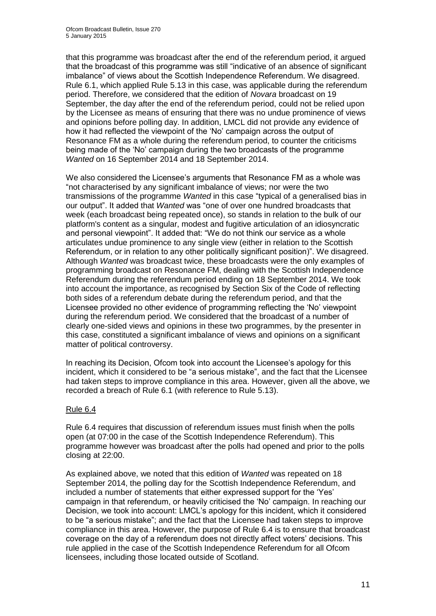that this programme was broadcast after the end of the referendum period, it argued that the broadcast of this programme was still "indicative of an absence of significant imbalance" of views about the Scottish Independence Referendum. We disagreed. Rule 6.1, which applied Rule 5.13 in this case, was applicable during the referendum period. Therefore, we considered that the edition of *Novara* broadcast on 19 September, the day after the end of the referendum period, could not be relied upon by the Licensee as means of ensuring that there was no undue prominence of views and opinions before polling day. In addition, LMCL did not provide any evidence of how it had reflected the viewpoint of the 'No' campaign across the output of Resonance FM as a whole during the referendum period, to counter the criticisms being made of the 'No' campaign during the two broadcasts of the programme *Wanted* on 16 September 2014 and 18 September 2014.

We also considered the Licensee's arguments that Resonance FM as a whole was "not characterised by any significant imbalance of views; nor were the two transmissions of the programme *Wanted* in this case "typical of a generalised bias in our output". It added that *Wanted* was "one of over one hundred broadcasts that week (each broadcast being repeated once), so stands in relation to the bulk of our platform's content as a singular, modest and fugitive articulation of an idiosyncratic and personal viewpoint". It added that: "We do not think our service as a whole articulates undue prominence to any single view (either in relation to the Scottish Referendum, or in relation to any other politically significant position)". We disagreed. Although *Wanted* was broadcast twice, these broadcasts were the only examples of programming broadcast on Resonance FM, dealing with the Scottish Independence Referendum during the referendum period ending on 18 September 2014. We took into account the importance, as recognised by Section Six of the Code of reflecting both sides of a referendum debate during the referendum period, and that the Licensee provided no other evidence of programming reflecting the 'No' viewpoint during the referendum period. We considered that the broadcast of a number of clearly one-sided views and opinions in these two programmes, by the presenter in this case, constituted a significant imbalance of views and opinions on a significant matter of political controversy.

In reaching its Decision, Ofcom took into account the Licensee's apology for this incident, which it considered to be "a serious mistake", and the fact that the Licensee had taken steps to improve compliance in this area. However, given all the above, we recorded a breach of Rule 6.1 (with reference to Rule 5.13).

## Rule 6.4

Rule 6.4 requires that discussion of referendum issues must finish when the polls open (at 07:00 in the case of the Scottish Independence Referendum). This programme however was broadcast after the polls had opened and prior to the polls closing at 22:00.

As explained above, we noted that this edition of *Wanted* was repeated on 18 September 2014, the polling day for the Scottish Independence Referendum, and included a number of statements that either expressed support for the 'Yes' campaign in that referendum, or heavily criticised the 'No' campaign. In reaching our Decision, we took into account: LMCL's apology for this incident, which it considered to be "a serious mistake"; and the fact that the Licensee had taken steps to improve compliance in this area. However, the purpose of Rule 6.4 is to ensure that broadcast coverage on the day of a referendum does not directly affect voters' decisions. This rule applied in the case of the Scottish Independence Referendum for all Ofcom licensees, including those located outside of Scotland.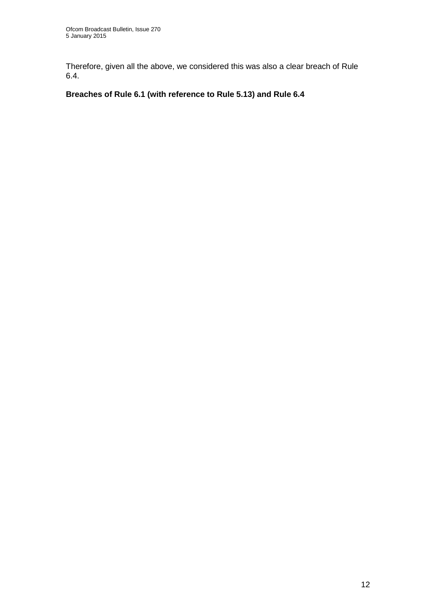Therefore, given all the above, we considered this was also a clear breach of Rule 6.4.

## **Breaches of Rule 6.1 (with reference to Rule 5.13) and Rule 6.4**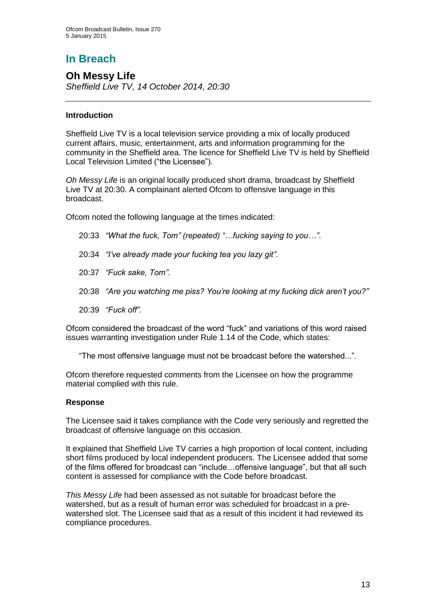# **In Breach**

**Oh Messy Life** *Sheffield Live TV, 14 October 2014, 20:30*

## **Introduction**

Sheffield Live TV is a local television service providing a mix of locally produced current affairs, music, entertainment, arts and information programming for the community in the Sheffield area. The licence for Sheffield Live TV is held by Sheffield Local Television Limited ("the Licensee").

*Oh Messy Life* is an original locally produced short drama, broadcast by Sheffield Live TV at 20:30. A complainant alerted Ofcom to offensive language in this broadcast.

Ofcom noted the following language at the times indicated:

- 20:33 *"What the fuck, Tom" (repeated) "…fucking saying to you…"*.
- 20:34 *"I've already made your fucking tea you lazy git"*.
- 20:37 *"Fuck sake, Tom"*.
- 20:38 *"Are you watching me piss? You're looking at my fucking dick aren't you?"*
- 20:39 *"Fuck off"*.

Ofcom considered the broadcast of the word "fuck" and variations of this word raised issues warranting investigation under Rule 1.14 of the Code, which states:

"The most offensive language must not be broadcast before the watershed...".

Ofcom therefore requested comments from the Licensee on how the programme material complied with this rule.

## **Response**

The Licensee said it takes compliance with the Code very seriously and regretted the broadcast of offensive language on this occasion.

It explained that Sheffield Live TV carries a high proportion of local content, including short films produced by local independent producers. The Licensee added that some of the films offered for broadcast can "include…offensive language", but that all such content is assessed for compliance with the Code before broadcast.

*This Messy Life* had been assessed as not suitable for broadcast before the watershed, but as a result of human error was scheduled for broadcast in a prewatershed slot. The Licensee said that as a result of this incident it had reviewed its compliance procedures.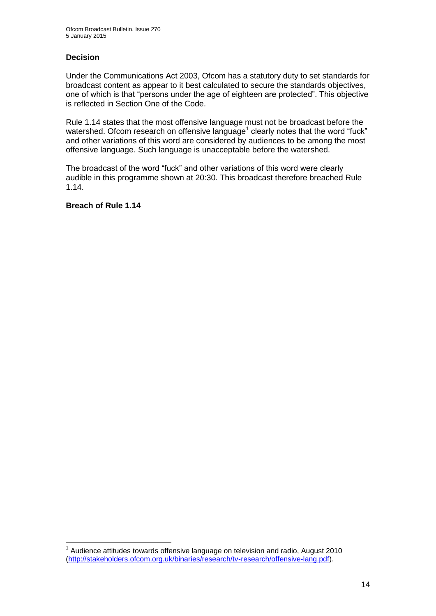## **Decision**

Under the Communications Act 2003, Ofcom has a statutory duty to set standards for broadcast content as appear to it best calculated to secure the standards objectives, one of which is that "persons under the age of eighteen are protected". This objective is reflected in Section One of the Code.

Rule 1.14 states that the most offensive language must not be broadcast before the watershed. Ofcom research on offensive language<sup>1</sup> clearly notes that the word "fuck" and other variations of this word are considered by audiences to be among the most offensive language. Such language is unacceptable before the watershed.

The broadcast of the word "fuck" and other variations of this word were clearly audible in this programme shown at 20:30. This broadcast therefore breached Rule 1.14.

**Breach of Rule 1.14**

1

 $1$  Audience attitudes towards offensive language on television and radio, August 2010 [\(http://stakeholders.ofcom.org.uk/binaries/research/tv-research/offensive-lang.pdf\)](http://stakeholders.ofcom.org.uk/binaries/research/tv-research/offensive-lang.pdf).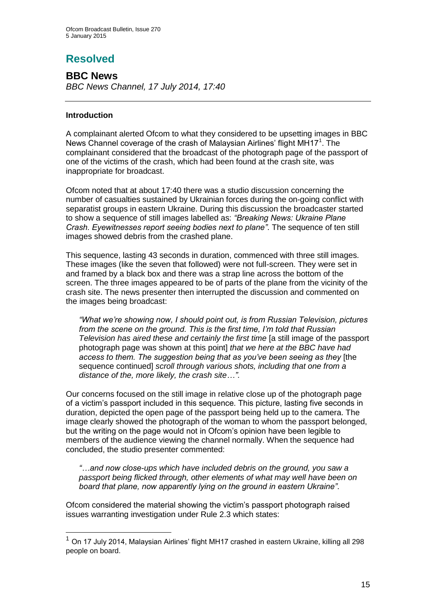# **Resolved**

**BBC News** *BBC News Channel, 17 July 2014, 17:40*

## **Introduction**

1

A complainant alerted Ofcom to what they considered to be upsetting images in BBC News Channel coverage of the crash of Malaysian Airlines' flight MH17<sup>1</sup>. The complainant considered that the broadcast of the photograph page of the passport of one of the victims of the crash, which had been found at the crash site, was inappropriate for broadcast.

Ofcom noted that at about 17:40 there was a studio discussion concerning the number of casualties sustained by Ukrainian forces during the on-going conflict with separatist groups in eastern Ukraine. During this discussion the broadcaster started to show a sequence of still images labelled as: *"Breaking News: Ukraine Plane Crash. Eyewitnesses report seeing bodies next to plane"*. The sequence of ten still images showed debris from the crashed plane.

This sequence, lasting 43 seconds in duration, commenced with three still images. These images (like the seven that followed) were not full-screen. They were set in and framed by a black box and there was a strap line across the bottom of the screen. The three images appeared to be of parts of the plane from the vicinity of the crash site. The news presenter then interrupted the discussion and commented on the images being broadcast:

*"What we're showing now, I should point out, is from Russian Television, pictures from the scene on the ground. This is the first time, I'm told that Russian Television has aired these and certainly the first time* [a still image of the passport photograph page was shown at this point] *that we here at the BBC have had access to them. The suggestion being that as you've been seeing as they* [the sequence continued] *scroll through various shots, including that one from a distance of the, more likely, the crash site…"*.

Our concerns focused on the still image in relative close up of the photograph page of a victim's passport included in this sequence. This picture, lasting five seconds in duration, depicted the open page of the passport being held up to the camera. The image clearly showed the photograph of the woman to whom the passport belonged, but the writing on the page would not in Ofcom's opinion have been legible to members of the audience viewing the channel normally. When the sequence had concluded, the studio presenter commented:

*"…and now close-ups which have included debris on the ground, you saw a passport being flicked through, other elements of what may well have been on board that plane, now apparently lying on the ground in eastern Ukraine"*.

Ofcom considered the material showing the victim's passport photograph raised issues warranting investigation under Rule 2.3 which states:

<sup>1</sup> On 17 July 2014, Malaysian Airlines' flight MH17 crashed in eastern Ukraine, killing all 298 people on board.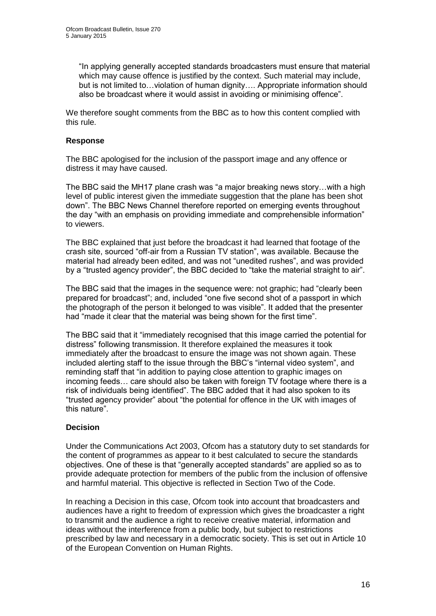"In applying generally accepted standards broadcasters must ensure that material which may cause offence is justified by the context. Such material may include, but is not limited to…violation of human dignity…. Appropriate information should also be broadcast where it would assist in avoiding or minimising offence".

We therefore sought comments from the BBC as to how this content complied with this rule.

## **Response**

The BBC apologised for the inclusion of the passport image and any offence or distress it may have caused.

The BBC said the MH17 plane crash was "a major breaking news story…with a high level of public interest given the immediate suggestion that the plane has been shot down". The BBC News Channel therefore reported on emerging events throughout the day "with an emphasis on providing immediate and comprehensible information" to viewers.

The BBC explained that just before the broadcast it had learned that footage of the crash site, sourced "off-air from a Russian TV station", was available. Because the material had already been edited, and was not "unedited rushes", and was provided by a "trusted agency provider", the BBC decided to "take the material straight to air".

The BBC said that the images in the sequence were: not graphic; had "clearly been prepared for broadcast"; and, included "one five second shot of a passport in which the photograph of the person it belonged to was visible". It added that the presenter had "made it clear that the material was being shown for the first time".

The BBC said that it "immediately recognised that this image carried the potential for distress" following transmission. It therefore explained the measures it took immediately after the broadcast to ensure the image was not shown again. These included alerting staff to the issue through the BBC's "internal video system", and reminding staff that "in addition to paying close attention to graphic images on incoming feeds… care should also be taken with foreign TV footage where there is a risk of individuals being identified". The BBC added that it had also spoken to its "trusted agency provider" about "the potential for offence in the UK with images of this nature".

## **Decision**

Under the Communications Act 2003, Ofcom has a statutory duty to set standards for the content of programmes as appear to it best calculated to secure the standards objectives. One of these is that "generally accepted standards" are applied so as to provide adequate protection for members of the public from the inclusion of offensive and harmful material. This objective is reflected in Section Two of the Code.

In reaching a Decision in this case, Ofcom took into account that broadcasters and audiences have a right to freedom of expression which gives the broadcaster a right to transmit and the audience a right to receive creative material, information and ideas without the interference from a public body, but subject to restrictions prescribed by law and necessary in a democratic society. This is set out in Article 10 of the European Convention on Human Rights.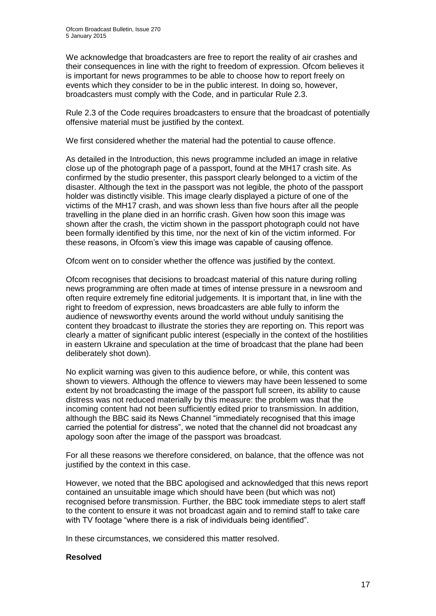We acknowledge that broadcasters are free to report the reality of air crashes and their consequences in line with the right to freedom of expression. Ofcom believes it is important for news programmes to be able to choose how to report freely on events which they consider to be in the public interest. In doing so, however, broadcasters must comply with the Code, and in particular Rule 2.3.

Rule 2.3 of the Code requires broadcasters to ensure that the broadcast of potentially offensive material must be justified by the context.

We first considered whether the material had the potential to cause offence.

As detailed in the Introduction, this news programme included an image in relative close up of the photograph page of a passport, found at the MH17 crash site. As confirmed by the studio presenter, this passport clearly belonged to a victim of the disaster. Although the text in the passport was not legible, the photo of the passport holder was distinctly visible. This image clearly displayed a picture of one of the victims of the MH17 crash, and was shown less than five hours after all the people travelling in the plane died in an horrific crash. Given how soon this image was shown after the crash, the victim shown in the passport photograph could not have been formally identified by this time, nor the next of kin of the victim informed. For these reasons, in Ofcom's view this image was capable of causing offence.

Ofcom went on to consider whether the offence was justified by the context.

Ofcom recognises that decisions to broadcast material of this nature during rolling news programming are often made at times of intense pressure in a newsroom and often require extremely fine editorial judgements. It is important that, in line with the right to freedom of expression, news broadcasters are able fully to inform the audience of newsworthy events around the world without unduly sanitising the content they broadcast to illustrate the stories they are reporting on. This report was clearly a matter of significant public interest (especially in the context of the hostilities in eastern Ukraine and speculation at the time of broadcast that the plane had been deliberately shot down).

No explicit warning was given to this audience before, or while, this content was shown to viewers. Although the offence to viewers may have been lessened to some extent by not broadcasting the image of the passport full screen, its ability to cause distress was not reduced materially by this measure: the problem was that the incoming content had not been sufficiently edited prior to transmission. In addition, although the BBC said its News Channel "immediately recognised that this image carried the potential for distress", we noted that the channel did not broadcast any apology soon after the image of the passport was broadcast.

For all these reasons we therefore considered, on balance, that the offence was not justified by the context in this case.

However, we noted that the BBC apologised and acknowledged that this news report contained an unsuitable image which should have been (but which was not) recognised before transmission. Further, the BBC took immediate steps to alert staff to the content to ensure it was not broadcast again and to remind staff to take care with TV footage "where there is a risk of individuals being identified".

In these circumstances, we considered this matter resolved.

#### **Resolved**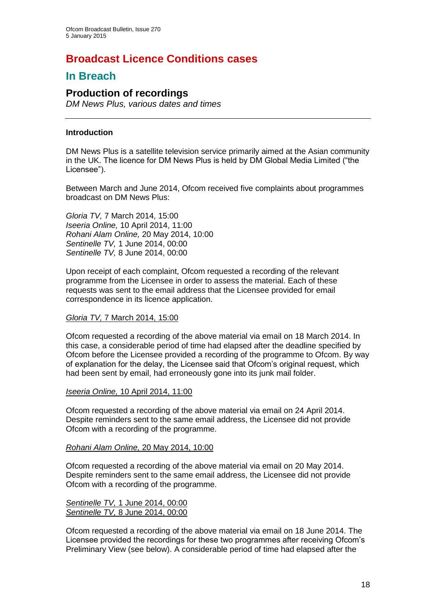## **Broadcast Licence Conditions cases**

## **In Breach**

## **Production of recordings**

*DM News Plus, various dates and times*

## **Introduction**

DM News Plus is a satellite television service primarily aimed at the Asian community in the UK. The licence for DM News Plus is held by DM Global Media Limited ("the Licensee").

Between March and June 2014, Ofcom received five complaints about programmes broadcast on DM News Plus:

*Gloria TV,* 7 March 2014, 15:00 *Iseeria Online,* 10 April 2014, 11:00 *Rohani Alam Online,* 20 May 2014, 10:00 *Sentinelle TV,* 1 June 2014, 00:00 *Sentinelle TV,* 8 June 2014, 00:00

Upon receipt of each complaint, Ofcom requested a recording of the relevant programme from the Licensee in order to assess the material. Each of these requests was sent to the email address that the Licensee provided for email correspondence in its licence application.

## *Gloria TV,* 7 March 2014, 15:00

Ofcom requested a recording of the above material via email on 18 March 2014. In this case, a considerable period of time had elapsed after the deadline specified by Ofcom before the Licensee provided a recording of the programme to Ofcom. By way of explanation for the delay, the Licensee said that Ofcom's original request, which had been sent by email, had erroneously gone into its junk mail folder.

## *Iseeria Online,* 10 April 2014, 11:00

Ofcom requested a recording of the above material via email on 24 April 2014. Despite reminders sent to the same email address, the Licensee did not provide Ofcom with a recording of the programme.

## *Rohani Alam Online,* 20 May 2014, 10:00

Ofcom requested a recording of the above material via email on 20 May 2014. Despite reminders sent to the same email address, the Licensee did not provide Ofcom with a recording of the programme.

#### *Sentinelle TV,* 1 June 2014, 00:00 *Sentinelle TV,* 8 June 2014, 00:00

Ofcom requested a recording of the above material via email on 18 June 2014. The Licensee provided the recordings for these two programmes after receiving Ofcom's Preliminary View (see below). A considerable period of time had elapsed after the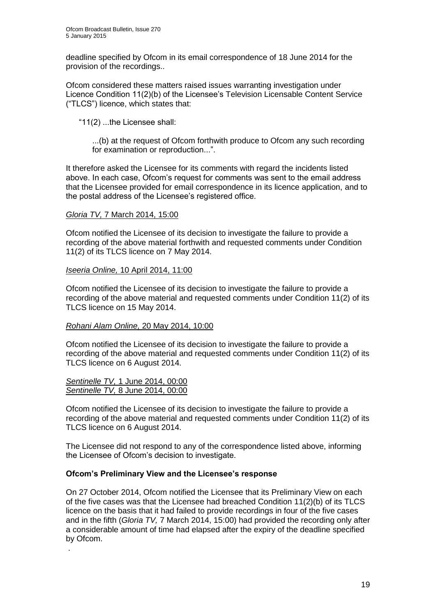deadline specified by Ofcom in its email correspondence of 18 June 2014 for the provision of the recordings..

Ofcom considered these matters raised issues warranting investigation under Licence Condition 11(2)(b) of the Licensee's Television Licensable Content Service ("TLCS") licence, which states that:

"11(2) ...the Licensee shall:

...(b) at the request of Ofcom forthwith produce to Ofcom any such recording for examination or reproduction...".

It therefore asked the Licensee for its comments with regard the incidents listed above. In each case, Ofcom's request for comments was sent to the email address that the Licensee provided for email correspondence in its licence application, and to the postal address of the Licensee's registered office.

#### *Gloria TV,* 7 March 2014, 15:00

Ofcom notified the Licensee of its decision to investigate the failure to provide a recording of the above material forthwith and requested comments under Condition 11(2) of its TLCS licence on 7 May 2014.

#### *Iseeria Online,* 10 April 2014, 11:00

Ofcom notified the Licensee of its decision to investigate the failure to provide a recording of the above material and requested comments under Condition 11(2) of its TLCS licence on 15 May 2014.

#### *Rohani Alam Online,* 20 May 2014, 10:00

Ofcom notified the Licensee of its decision to investigate the failure to provide a recording of the above material and requested comments under Condition 11(2) of its TLCS licence on 6 August 2014.

#### *Sentinelle TV,* 1 June 2014, 00:00 *Sentinelle TV,* 8 June 2014, 00:00

.

Ofcom notified the Licensee of its decision to investigate the failure to provide a recording of the above material and requested comments under Condition 11(2) of its TLCS licence on 6 August 2014.

The Licensee did not respond to any of the correspondence listed above, informing the Licensee of Ofcom's decision to investigate.

## **Ofcom's Preliminary View and the Licensee's response**

On 27 October 2014, Ofcom notified the Licensee that its Preliminary View on each of the five cases was that the Licensee had breached Condition 11(2)(b) of its TLCS licence on the basis that it had failed to provide recordings in four of the five cases and in the fifth (*Gloria TV,* 7 March 2014, 15:00) had provided the recording only after a considerable amount of time had elapsed after the expiry of the deadline specified by Ofcom.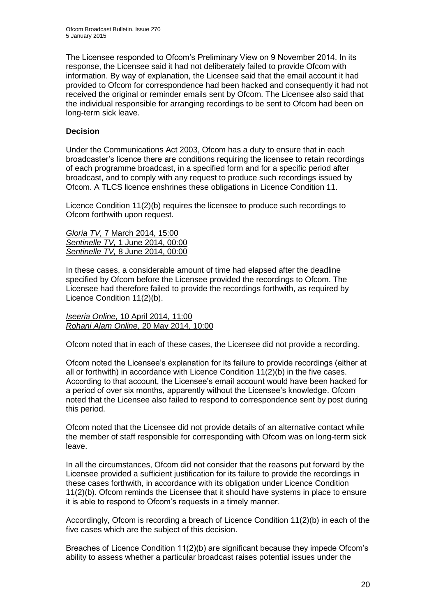The Licensee responded to Ofcom's Preliminary View on 9 November 2014. In its response, the Licensee said it had not deliberately failed to provide Ofcom with information. By way of explanation, the Licensee said that the email account it had provided to Ofcom for correspondence had been hacked and consequently it had not received the original or reminder emails sent by Ofcom. The Licensee also said that the individual responsible for arranging recordings to be sent to Ofcom had been on long-term sick leave.

## **Decision**

Under the Communications Act 2003, Ofcom has a duty to ensure that in each broadcaster's licence there are conditions requiring the licensee to retain recordings of each programme broadcast, in a specified form and for a specific period after broadcast, and to comply with any request to produce such recordings issued by Ofcom. A TLCS licence enshrines these obligations in Licence Condition 11.

Licence Condition 11(2)(b) requires the licensee to produce such recordings to Ofcom forthwith upon request.

*Gloria TV,* 7 March 2014, 15:00 *Sentinelle TV,* 1 June 2014, 00:00 *Sentinelle TV,* 8 June 2014, 00:00

In these cases, a considerable amount of time had elapsed after the deadline specified by Ofcom before the Licensee provided the recordings to Ofcom. The Licensee had therefore failed to provide the recordings forthwith, as required by Licence Condition 11(2)(b).

*Iseeria Online,* 10 April 2014, 11:00 *Rohani Alam Online,* 20 May 2014, 10:00

Ofcom noted that in each of these cases, the Licensee did not provide a recording.

Ofcom noted the Licensee's explanation for its failure to provide recordings (either at all or forthwith) in accordance with Licence Condition  $11(2)(b)$  in the five cases. According to that account, the Licensee's email account would have been hacked for a period of over six months, apparently without the Licensee's knowledge. Ofcom noted that the Licensee also failed to respond to correspondence sent by post during this period.

Ofcom noted that the Licensee did not provide details of an alternative contact while the member of staff responsible for corresponding with Ofcom was on long-term sick leave.

In all the circumstances, Ofcom did not consider that the reasons put forward by the Licensee provided a sufficient justification for its failure to provide the recordings in these cases forthwith, in accordance with its obligation under Licence Condition 11(2)(b). Ofcom reminds the Licensee that it should have systems in place to ensure it is able to respond to Ofcom's requests in a timely manner.

Accordingly, Ofcom is recording a breach of Licence Condition 11(2)(b) in each of the five cases which are the subject of this decision.

Breaches of Licence Condition 11(2)(b) are significant because they impede Ofcom's ability to assess whether a particular broadcast raises potential issues under the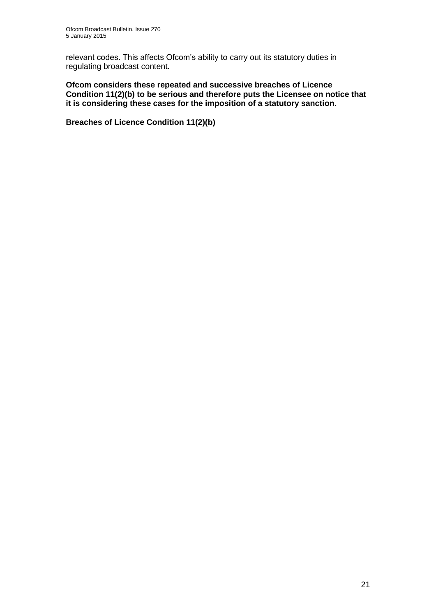relevant codes. This affects Ofcom's ability to carry out its statutory duties in regulating broadcast content.

**Ofcom considers these repeated and successive breaches of Licence Condition 11(2)(b) to be serious and therefore puts the Licensee on notice that it is considering these cases for the imposition of a statutory sanction.**

**Breaches of Licence Condition 11(2)(b)**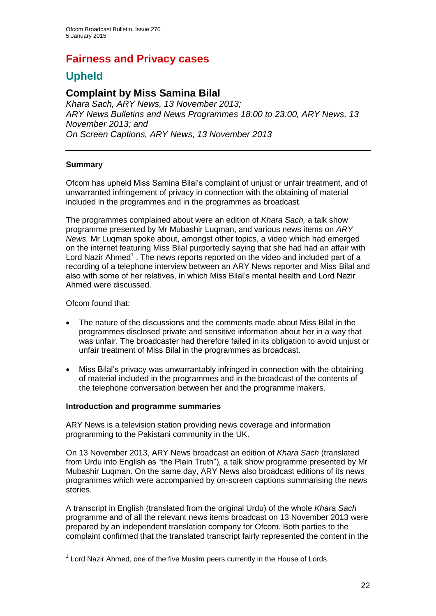## **Fairness and Privacy cases**

## **Upheld**

## **Complaint by Miss Samina Bilal**

*Khara Sach, ARY News, 13 November 2013; ARY News Bulletins and News Programmes 18:00 to 23:00, ARY News, 13 November 2013; and On Screen Captions, ARY News, 13 November 2013*

## **Summary**

Ofcom has upheld Miss Samina Bilal's complaint of unjust or unfair treatment, and of unwarranted infringement of privacy in connection with the obtaining of material included in the programmes and in the programmes as broadcast.

The programmes complained about were an edition of *Khara Sach,* a talk show programme presented by Mr Mubashir Luqman, and various news items on *ARY News.* Mr Luqman spoke about, amongst other topics, a video which had emerged on the internet featuring Miss Bilal purportedly saying that she had had an affair with Lord Nazir Ahmed<sup>1</sup>. The news reports reported on the video and included part of a recording of a telephone interview between an ARY News reporter and Miss Bilal and also with some of her relatives, in which Miss Bilal's mental health and Lord Nazir Ahmed were discussed.

## Ofcom found that:

- The nature of the discussions and the comments made about Miss Bilal in the programmes disclosed private and sensitive information about her in a way that was unfair. The broadcaster had therefore failed in its obligation to avoid unjust or unfair treatment of Miss Bilal in the programmes as broadcast.
- Miss Bilal's privacy was unwarrantably infringed in connection with the obtaining of material included in the programmes and in the broadcast of the contents of the telephone conversation between her and the programme makers.

## **Introduction and programme summaries**

ARY News is a television station providing news coverage and information programming to the Pakistani community in the UK.

On 13 November 2013, ARY News broadcast an edition of *Khara Sach* (translated from Urdu into English as "the Plain Truth")*,* a talk show programme presented by Mr Mubashir Luqman. On the same day, ARY News also broadcast editions of its news programmes which were accompanied by on-screen captions summarising the news stories.

A transcript in English (translated from the original Urdu) of the whole *Khara Sach* programme and of all the relevant news items broadcast on 13 November 2013 were prepared by an independent translation company for Ofcom. Both parties to the complaint confirmed that the translated transcript fairly represented the content in the

<sup>1</sup>  $1$  Lord Nazir Ahmed, one of the five Muslim peers currently in the House of Lords.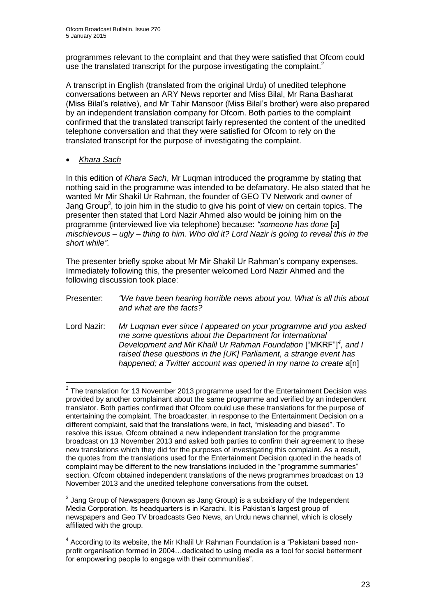programmes relevant to the complaint and that they were satisfied that Ofcom could use the translated transcript for the purpose investigating the complaint.<sup>2</sup>

A transcript in English (translated from the original Urdu) of unedited telephone conversations between an ARY News reporter and Miss Bilal, Mr Rana Basharat (Miss Bilal's relative), and Mr Tahir Mansoor (Miss Bilal's brother) were also prepared by an independent translation company for Ofcom. Both parties to the complaint confirmed that the translated transcript fairly represented the content of the unedited telephone conversation and that they were satisfied for Ofcom to rely on the translated transcript for the purpose of investigating the complaint.

*Khara Sach*

In this edition of *Khara Sach*, Mr Luqman introduced the programme by stating that nothing said in the programme was intended to be defamatory. He also stated that he wanted Mr Mir Shakil Ur Rahman, the founder of GEO TV Network and owner of Jang Group<sup>3</sup>, to join him in the studio to give his point of view on certain topics. The presenter then stated that Lord Nazir Ahmed also would be joining him on the programme (interviewed live via telephone) because: *"someone has done* [a] *mischievous – ugly – thing to him. Who did it? Lord Nazir is going to reveal this in the short while"*.

The presenter briefly spoke about Mr Mir Shakil Ur Rahman's company expenses. Immediately following this, the presenter welcomed Lord Nazir Ahmed and the following discussion took place:

- Presenter: *"We have been hearing horrible news about you. What is all this about and what are the facts?*
- Lord Nazir: *Mr Luqman ever since I appeared on your programme and you asked me some questions about the Department for International Development and Mir Khalil Ur Rahman Foundation* ["MKRF"]*<sup>4</sup> , and I raised these questions in the [UK] Parliament, a strange event has happened; a Twitter account was opened in my name to create a*[n]

 2 The translation for 13 November 2013 programme used for the Entertainment Decision was provided by another complainant about the same programme and verified by an independent translator. Both parties confirmed that Ofcom could use these translations for the purpose of entertaining the complaint. The broadcaster, in response to the Entertainment Decision on a different complaint, said that the translations were, in fact, "misleading and biased". To resolve this issue, Ofcom obtained a new independent translation for the programme broadcast on 13 November 2013 and asked both parties to confirm their agreement to these new translations which they did for the purposes of investigating this complaint. As a result, the quotes from the translations used for the Entertainment Decision quoted in the heads of complaint may be different to the new translations included in the "programme summaries" section. Ofcom obtained independent translations of the news programmes broadcast on 13 November 2013 and the unedited telephone conversations from the outset.

 $3$  Jang Group of Newspapers (known as Jang Group) is a subsidiary of the Independent Media Corporation. Its headquarters is in Karachi. It is Pakistan's largest group of newspapers and Geo TV broadcasts Geo News, an Urdu news channel, which is closely affiliated with the group.

 $4$  According to its website, the Mir Khalil Ur Rahman Foundation is a "Pakistani based nonprofit organisation formed in 2004…dedicated to using media as a tool for social betterment for empowering people to engage with their communities".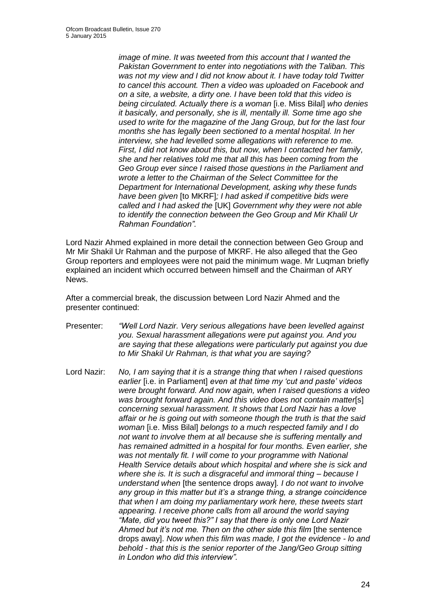*image of mine. It was tweeted from this account that I wanted the Pakistan Government to enter into negotiations with the Taliban. This was not my view and I did not know about it. I have today told Twitter to cancel this account. Then a video was uploaded on Facebook and on a site, a website, a dirty one. I have been told that this video is being circulated. Actually there is a woman* [i.e. Miss Bilal] *who denies it basically, and personally, she is ill, mentally ill. Some time ago she used to write for the magazine of the Jang Group, but for the last four months she has legally been sectioned to a mental hospital. In her interview, she had levelled some allegations with reference to me. First, I did not know about this, but now, when I contacted her family, she and her relatives told me that all this has been coming from the Geo Group ever since I raised those questions in the Parliament and wrote a letter to the Chairman of the Select Committee for the Department for International Development, asking why these funds have been given* [to MKRF]*; I had asked if competitive bids were called and I had asked the* [UK] *Government why they were not able to identify the connection between the Geo Group and Mir Khalil Ur Rahman Foundation".* 

Lord Nazir Ahmed explained in more detail the connection between Geo Group and Mr Mir Shakil Ur Rahman and the purpose of MKRF. He also alleged that the Geo Group reporters and employees were not paid the minimum wage. Mr Luqman briefly explained an incident which occurred between himself and the Chairman of ARY News.

After a commercial break, the discussion between Lord Nazir Ahmed and the presenter continued:

- Presenter: *"Well Lord Nazir. Very serious allegations have been levelled against you. Sexual harassment allegations were put against you. And you are saying that these allegations were particularly put against you due to Mir Shakil Ur Rahman, is that what you are saying?*
- Lord Nazir: *No, I am saying that it is a strange thing that when I raised questions earlier* [i.e. in Parliament] *even at that time my 'cut and paste' videos were brought forward. And now again, when I raised questions a video was brought forward again. And this video does not contain matter*[s] *concerning sexual harassment. It shows that Lord Nazir has a love affair or he is going out with someone though the truth is that the said woman* [i.e. Miss Bilal] *belongs to a much respected family and I do not want to involve them at all because she is suffering mentally and has remained admitted in a hospital for four months. Even earlier, she*  was not mentally fit. I will come to your programme with National *Health Service details about which hospital and where she is sick and where she is. It is such a disgraceful and immoral thing – because I understand when* [the sentence drops away]*. I do not want to involve any group in this matter but it's a strange thing, a strange coincidence that when I am doing my parliamentary work here, these tweets start appearing. I receive phone calls from all around the world saying "Mate, did you tweet this?" I say that there is only one Lord Nazir*  Ahmed but it's not me. Then on the other side this film *[the sentence*] drops away]. *Now when this film was made, I got the evidence - lo and behold - that this is the senior reporter of the Jang/Geo Group sitting in London who did this interview".*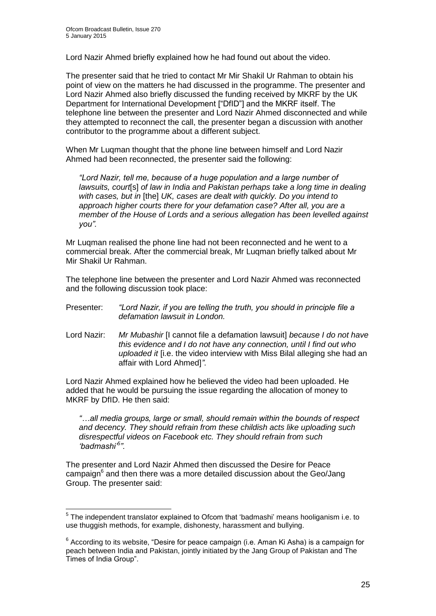Lord Nazir Ahmed briefly explained how he had found out about the video.

The presenter said that he tried to contact Mr Mir Shakil Ur Rahman to obtain his point of view on the matters he had discussed in the programme. The presenter and Lord Nazir Ahmed also briefly discussed the funding received by MKRF by the UK Department for International Development ["DfID"] and the MKRF itself. The telephone line between the presenter and Lord Nazir Ahmed disconnected and while they attempted to reconnect the call, the presenter began a discussion with another contributor to the programme about a different subject.

When Mr Luqman thought that the phone line between himself and Lord Nazir Ahmed had been reconnected, the presenter said the following:

*"Lord Nazir, tell me, because of a huge population and a large number of lawsuits, court*[s] *of law in India and Pakistan perhaps take a long time in dealing with cases, but in* [the] *UK, cases are dealt with quickly. Do you intend to approach higher courts there for your defamation case? After all, you are a member of the House of Lords and a serious allegation has been levelled against you".* 

Mr Luqman realised the phone line had not been reconnected and he went to a commercial break. After the commercial break, Mr Luqman briefly talked about Mr Mir Shakil Ur Rahman.

The telephone line between the presenter and Lord Nazir Ahmed was reconnected and the following discussion took place:

- Presenter: *"Lord Nazir, if you are telling the truth, you should in principle file a defamation lawsuit in London.*
- Lord Nazir: *Mr Mubashir* [I cannot file a defamation lawsuit] *because I do not have this evidence and I do not have any connection, until I find out who uploaded it* [i.e. the video interview with Miss Bilal alleging she had an affair with Lord Ahmed]*"*.

Lord Nazir Ahmed explained how he believed the video had been uploaded. He added that he would be pursuing the issue regarding the allocation of money to MKRF by DfID. He then said:

*"…all media groups, large or small, should remain within the bounds of respect and decency. They should refrain from these childish acts like uploading such disrespectful videos on Facebook etc. They should refrain from such 'badmashi'<sup>5</sup> ".*

The presenter and Lord Nazir Ahmed then discussed the Desire for Peace campaign<sup>6</sup> and then there was a more detailed discussion about the Geo/Jang Group. The presenter said:

<sup>1</sup>  $5$  The independent translator explained to Ofcom that 'badmashi' means hooliganism i.e. to use thuggish methods, for example, dishonesty, harassment and bullying.

 $6$  According to its website, "Desire for peace campaign (i.e. Aman Ki Asha) is a campaign for peach between India and Pakistan, jointly initiated by the Jang Group of Pakistan and The Times of India Group".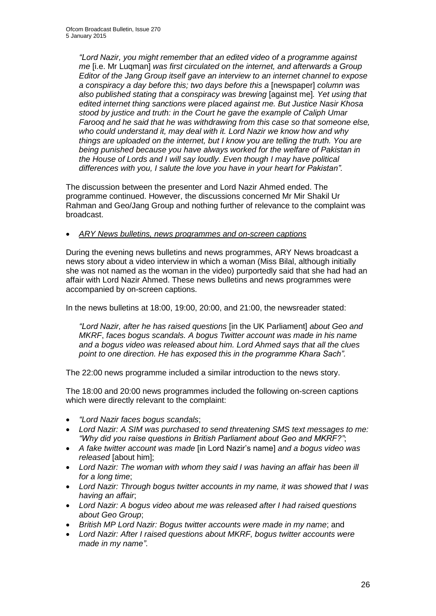*"Lord Nazir, you might remember that an edited video of a programme against me* [i.e. Mr Luqman] *was first circulated on the internet, and afterwards a Group Editor of the Jang Group itself gave an interview to an internet channel to expose a conspiracy a day before this; two days before this a* [newspaper] *column was also published stating that a conspiracy was brewing* [against me]*. Yet using that edited internet thing sanctions were placed against me. But Justice Nasir Khosa stood by justice and truth: in the Court he gave the example of Caliph Umar Farooq and he said that he was withdrawing from this case so that someone else, who could understand it, may deal with it. Lord Nazir we know how and why things are uploaded on the internet, but I know you are telling the truth. You are being punished because you have always worked for the welfare of Pakistan in the House of Lords and I will say loudly. Even though I may have political differences with you, I salute the love you have in your heart for Pakistan".*

The discussion between the presenter and Lord Nazir Ahmed ended. The programme continued. However, the discussions concerned Mr Mir Shakil Ur Rahman and Geo/Jang Group and nothing further of relevance to the complaint was broadcast.

## *ARY News bulletins, news programmes and on-screen captions*

During the evening news bulletins and news programmes, ARY News broadcast a news story about a video interview in which a woman (Miss Bilal, although initially she was not named as the woman in the video) purportedly said that she had had an affair with Lord Nazir Ahmed. These news bulletins and news programmes were accompanied by on-screen captions.

In the news bulletins at 18:00, 19:00, 20:00, and 21:00, the newsreader stated:

*"Lord Nazir, after he has raised questions* [in the UK Parliament] *about Geo and MKRF*, *faces bogus scandals. A bogus Twitter account was made in his name and a bogus video was released about him. Lord Ahmed says that all the clues point to one direction. He has exposed this in the programme Khara Sach".* 

The 22:00 news programme included a similar introduction to the news story.

The 18:00 and 20:00 news programmes included the following on-screen captions which were directly relevant to the complaint:

- *"Lord Nazir faces bogus scandals*;
- *Lord Nazir: A SIM was purchased to send threatening SMS text messages to me: "Why did you raise questions in British Parliament about Geo and MKRF?"*;
- *A fake twitter account was made* [in Lord Nazir's name] *and a bogus video was released* [about him];
- *Lord Nazir: The woman with whom they said I was having an affair has been ill for a long time*;
- *Lord Nazir: Through bogus twitter accounts in my name, it was showed that I was having an affair*;
- *Lord Nazir: A bogus video about me was released after I had raised questions about Geo Group*;
- *British MP Lord Nazir: Bogus twitter accounts were made in my name*; and
- *Lord Nazir: After I raised questions about MKRF, bogus twitter accounts were made in my name"*.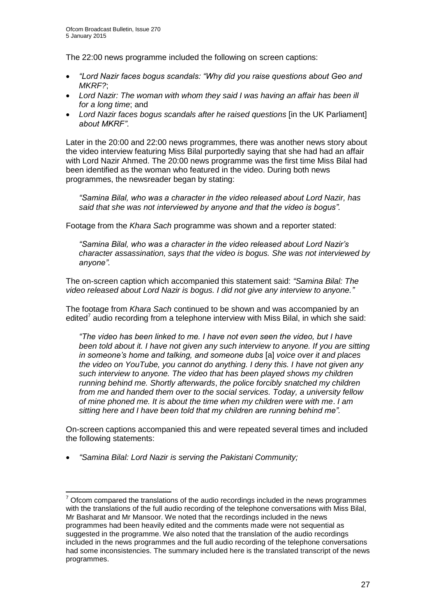The 22:00 news programme included the following on screen captions:

- *"Lord Nazir faces bogus scandals: "Why did you raise questions about Geo and MKRF?*;
- *Lord Nazir: The woman with whom they said I was having an affair has been ill for a long time*; and
- Lord Nazir faces bogus scandals after he raised questions [in the UK Parliament] *about MKRF"*.

Later in the 20:00 and 22:00 news programmes, there was another news story about the video interview featuring Miss Bilal purportedly saying that she had had an affair with Lord Nazir Ahmed. The 20:00 news programme was the first time Miss Bilal had been identified as the woman who featured in the video. During both news programmes, the newsreader began by stating:

*"Samina Bilal, who was a character in the video released about Lord Nazir, has said that she was not interviewed by anyone and that the video is bogus".*

Footage from the *Khara Sach* programme was shown and a reporter stated:

*"Samina Bilal, who was a character in the video released about Lord Nazir's character assassination, says that the video is bogus. She was not interviewed by anyone".* 

The on-screen caption which accompanied this statement said: *"Samina Bilal: The video released about Lord Nazir is bogus. I did not give any interview to anyone."*

The footage from *Khara Sach* continued to be shown and was accompanied by an edited<sup>7</sup> audio recording from a telephone interview with Miss Bilal, in which she said:

*"The video has been linked to me. I have not even seen the video, but I have been told about it. I have not given any such interview to anyone. If you are sitting in someone's home and talking, and someone dubs* [a] *voice over it and places the video on YouTube, you cannot do anything. I deny this. I have not given any such interview to anyone. The video that has been played shows my children running behind me. Shortly afterwards*, *the police forcibly snatched my children from me and handed them over to the social services. Today, a university fellow of mine phoned me. It is about the time when my children were with me*. *I am sitting here and I have been told that my children are running behind me".*

On-screen captions accompanied this and were repeated several times and included the following statements:

*"Samina Bilal: Lord Nazir is serving the Pakistani Community;*

1

<sup>7</sup> Ofcom compared the translations of the audio recordings included in the news programmes with the translations of the full audio recording of the telephone conversations with Miss Bilal, Mr Basharat and Mr Mansoor. We noted that the recordings included in the news programmes had been heavily edited and the comments made were not sequential as suggested in the programme. We also noted that the translation of the audio recordings included in the news programmes and the full audio recording of the telephone conversations had some inconsistencies. The summary included here is the translated transcript of the news programmes.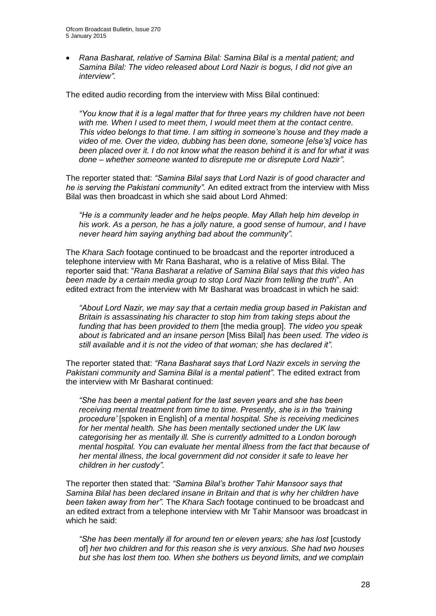*Rana Basharat, relative of Samina Bilal: Samina Bilal is a mental patient; and Samina Bilal: The video released about Lord Nazir is bogus, I did not give an interview".*

The edited audio recording from the interview with Miss Bilal continued:

*"You know that it is a legal matter that for three years my children have not been with me. When I used to meet them, I would meet them at the contact centre. This video belongs to that time. I am sitting in someone's house and they made a video of me. Over the video, dubbing has been done, someone [else's] voice has been placed over it. I do not know what the reason behind it is and for what it was done – whether someone wanted to disrepute me or disrepute Lord Nazir".* 

The reporter stated that: *"Samina Bilal says that Lord Nazir is of good character and he is serving the Pakistani community".* An edited extract from the interview with Miss Bilal was then broadcast in which she said about Lord Ahmed:

*"He is a community leader and he helps people. May Allah help him develop in his work. As a person, he has a jolly nature, a good sense of humour, and I have never heard him saying anything bad about the community".* 

The *Khara Sach* footage continued to be broadcast and the reporter introduced a telephone interview with Mr Rana Basharat, who is a relative of Miss Bilal. The reporter said that: "*Rana Basharat a relative of Samina Bilal says that this video has been made by a certain media group to stop Lord Nazir from telling the truth*". An edited extract from the interview with Mr Basharat was broadcast in which he said:

*"About Lord Nazir, we may say that a certain media group based in Pakistan and Britain is assassinating his character to stop him from taking steps about the funding that has been provided to them* [the media group]. *The video you speak about is fabricated and an insane person* [Miss Bilal] *has been used. The video is still available and it is not the video of that woman; she has declared it".* 

The reporter stated that: *"Rana Basharat says that Lord Nazir excels in serving the Pakistani community and Samina Bilal is a mental patient".* The edited extract from the interview with Mr Basharat continued:

*"She has been a mental patient for the last seven years and she has been receiving mental treatment from time to time. Presently, she is in the 'training procedure'* [spoken in English] *of a mental hospital. She is receiving medicines for her mental health. She has been mentally sectioned under the UK law categorising her as mentally ill. She is currently admitted to a London borough mental hospital. You can evaluate her mental illness from the fact that because of her mental illness, the local government did not consider it safe to leave her children in her custody".*

The reporter then stated that: *"Samina Bilal's brother Tahir Mansoor says that Samina Bilal has been declared insane in Britain and that is why her children have been taken away from her".* The *Khara Sach* footage continued to be broadcast and an edited extract from a telephone interview with Mr Tahir Mansoor was broadcast in which he said:

*"She has been mentally ill for around ten or eleven years; she has lost* [custody of] *her two children and for this reason she is very anxious. She had two houses but she has lost them too. When she bothers us beyond limits, and we complain*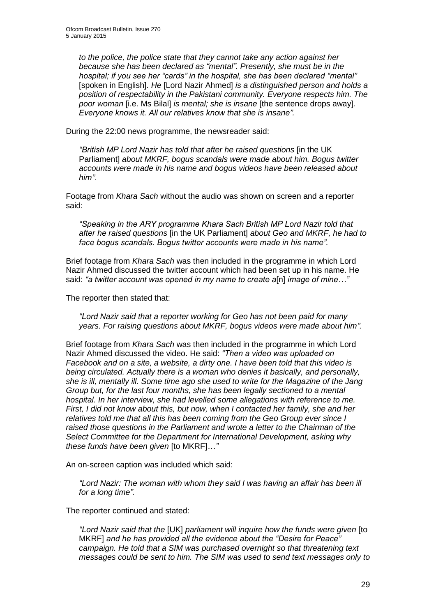*to the police, the police state that they cannot take any action against her because she has been declared as "mental". Presently, she must be in the hospital; if you see her "cards" in the hospital, she has been declared "mental"* [spoken in English]*. He* [Lord Nazir Ahmed] *is a distinguished person and holds a position of respectability in the Pakistani community. Everyone respects him. The poor woman* [i.e. Ms Bilal] *is mental; she is insane* [the sentence drops away]*. Everyone knows it. All our relatives know that she is insane".* 

During the 22:00 news programme, the newsreader said:

*"British MP Lord Nazir has told that after he raised questions* [in the UK Parliament] *about MKRF, bogus scandals were made about him. Bogus twitter accounts were made in his name and bogus videos have been released about him".* 

Footage from *Khara Sach* without the audio was shown on screen and a reporter said:

*"Speaking in the ARY programme Khara Sach British MP Lord Nazir told that after he raised questions* [in the UK Parliament] *about Geo and MKRF, he had to face bogus scandals. Bogus twitter accounts were made in his name".* 

Brief footage from *Khara Sach* was then included in the programme in which Lord Nazir Ahmed discussed the twitter account which had been set up in his name. He said: *"a twitter account was opened in my name to create a*[n] *image of mine…"*

The reporter then stated that:

*"Lord Nazir said that a reporter working for Geo has not been paid for many years. For raising questions about MKRF, bogus videos were made about him".* 

Brief footage from *Khara Sach* was then included in the programme in which Lord Nazir Ahmed discussed the video. He said: *"Then a video was uploaded on Facebook and on a site, a website, a dirty one. I have been told that this video is being circulated. Actually there is a woman who denies it basically, and personally, she is ill, mentally ill. Some time ago she used to write for the Magazine of the Jang Group but, for the last four months, she has been legally sectioned to a mental hospital. In her interview, she had levelled some allegations with reference to me. First, I did not know about this, but now, when I contacted her family, she and her relatives told me that all this has been coming from the Geo Group ever since I raised those questions in the Parliament and wrote a letter to the Chairman of the Select Committee for the Department for International Development, asking why these funds have been given* [to MKRF]*…"*

An on-screen caption was included which said:

*"Lord Nazir: The woman with whom they said I was having an affair has been ill for a long time".* 

The reporter continued and stated:

*"Lord Nazir said that the* [UK] *parliament will inquire how the funds were given* [to MKRF] *and he has provided all the evidence about the "Desire for Peace" campaign. He told that a SIM was purchased overnight so that threatening text messages could be sent to him. The SIM was used to send text messages only to*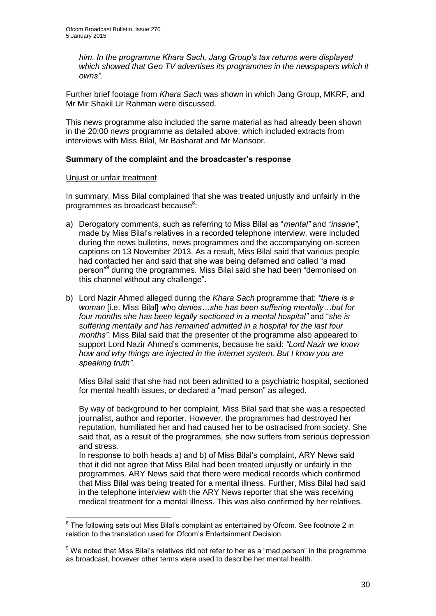*him. In the programme Khara Sach, Jang Group's tax returns were displayed*  which showed that Geo TV advertises its programmes in the newspapers which it *owns".* 

Further brief footage from *Khara Sach* was shown in which Jang Group, MKRF, and Mr Mir Shakil Ur Rahman were discussed.

This news programme also included the same material as had already been shown in the 20:00 news programme as detailed above, which included extracts from interviews with Miss Bilal, Mr Basharat and Mr Mansoor.

## **Summary of the complaint and the broadcaster's response**

#### Unjust or unfair treatment

1

In summary, Miss Bilal complained that she was treated unjustly and unfairly in the programmes as broadcast because<sup>8</sup>:

- a) Derogatory comments, such as referring to Miss Bilal as "*mental"* and "*insane"*, made by Miss Bilal's relatives in a recorded telephone interview, were included during the news bulletins, news programmes and the accompanying on-screen captions on 13 November 2013. As a result, Miss Bilal said that various people had contacted her and said that she was being defamed and called "a mad person"<sup>9</sup> during the programmes. Miss Bilal said she had been "demonised on this channel without any challenge".
- b) Lord Nazir Ahmed alleged during the *Khara Sach* programme that: *"there is a woman* [i.e. Miss Bilal] *who denies…she has been suffering mentally…but for four months she has been legally sectioned in a mental hospital"* and "*she is suffering mentally and has remained admitted in a hospital for the last four months"*. Miss Bilal said that the presenter of the programme also appeared to support Lord Nazir Ahmed's comments, because he said: *"Lord Nazir we know how and why things are injected in the internet system. But I know you are speaking truth".*

Miss Bilal said that she had not been admitted to a psychiatric hospital, sectioned for mental health issues, or declared a "mad person" as alleged.

By way of background to her complaint, Miss Bilal said that she was a respected journalist, author and reporter. However, the programmes had destroyed her reputation, humiliated her and had caused her to be ostracised from society. She said that, as a result of the programmes, she now suffers from serious depression and stress.

In response to both heads a) and b) of Miss Bilal's complaint, ARY News said that it did not agree that Miss Bilal had been treated unjustly or unfairly in the programmes. ARY News said that there were medical records which confirmed that Miss Bilal was being treated for a mental illness. Further, Miss Bilal had said in the telephone interview with the ARY News reporter that she was receiving medical treatment for a mental illness. This was also confirmed by her relatives.

 $8$  The following sets out Miss Bilal's complaint as entertained by Ofcom. See footnote 2 in relation to the translation used for Ofcom's Entertainment Decision.

 $9$  We noted that Miss Bilal's relatives did not refer to her as a "mad person" in the programme as broadcast, however other terms were used to describe her mental health.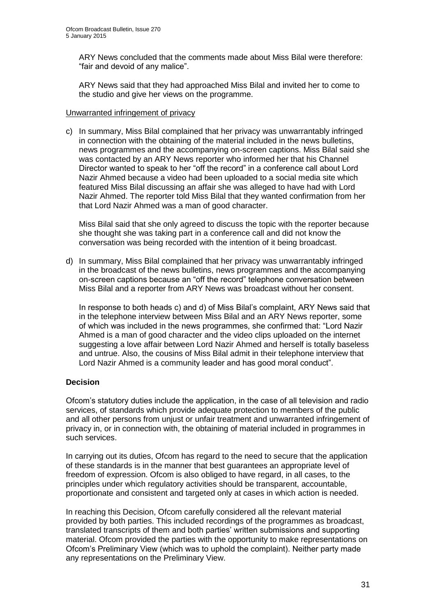ARY News concluded that the comments made about Miss Bilal were therefore: "fair and devoid of any malice".

ARY News said that they had approached Miss Bilal and invited her to come to the studio and give her views on the programme.

#### Unwarranted infringement of privacy

c) In summary, Miss Bilal complained that her privacy was unwarrantably infringed in connection with the obtaining of the material included in the news bulletins, news programmes and the accompanying on-screen captions. Miss Bilal said she was contacted by an ARY News reporter who informed her that his Channel Director wanted to speak to her "off the record" in a conference call about Lord Nazir Ahmed because a video had been uploaded to a social media site which featured Miss Bilal discussing an affair she was alleged to have had with Lord Nazir Ahmed. The reporter told Miss Bilal that they wanted confirmation from her that Lord Nazir Ahmed was a man of good character.

Miss Bilal said that she only agreed to discuss the topic with the reporter because she thought she was taking part in a conference call and did not know the conversation was being recorded with the intention of it being broadcast.

d) In summary, Miss Bilal complained that her privacy was unwarrantably infringed in the broadcast of the news bulletins, news programmes and the accompanying on-screen captions because an "off the record" telephone conversation between Miss Bilal and a reporter from ARY News was broadcast without her consent.

In response to both heads c) and d) of Miss Bilal's complaint, ARY News said that in the telephone interview between Miss Bilal and an ARY News reporter, some of which was included in the news programmes, she confirmed that: "Lord Nazir Ahmed is a man of good character and the video clips uploaded on the internet suggesting a love affair between Lord Nazir Ahmed and herself is totally baseless and untrue. Also, the cousins of Miss Bilal admit in their telephone interview that Lord Nazir Ahmed is a community leader and has good moral conduct".

## **Decision**

Ofcom's statutory duties include the application, in the case of all television and radio services, of standards which provide adequate protection to members of the public and all other persons from unjust or unfair treatment and unwarranted infringement of privacy in, or in connection with, the obtaining of material included in programmes in such services.

In carrying out its duties, Ofcom has regard to the need to secure that the application of these standards is in the manner that best guarantees an appropriate level of freedom of expression. Ofcom is also obliged to have regard, in all cases, to the principles under which regulatory activities should be transparent, accountable, proportionate and consistent and targeted only at cases in which action is needed.

In reaching this Decision, Ofcom carefully considered all the relevant material provided by both parties. This included recordings of the programmes as broadcast, translated transcripts of them and both parties' written submissions and supporting material. Ofcom provided the parties with the opportunity to make representations on Ofcom's Preliminary View (which was to uphold the complaint). Neither party made any representations on the Preliminary View.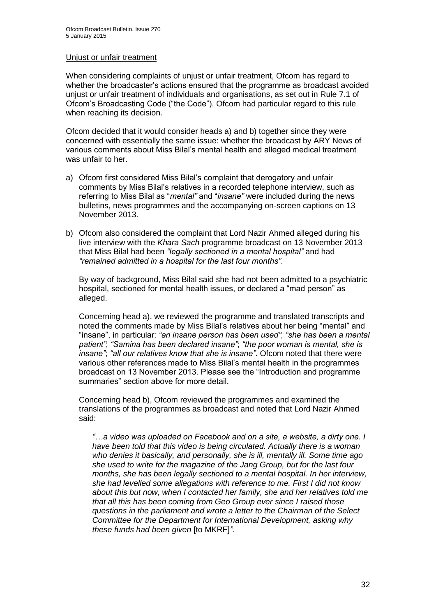#### Unjust or unfair treatment

When considering complaints of unjust or unfair treatment, Ofcom has regard to whether the broadcaster's actions ensured that the programme as broadcast avoided unjust or unfair treatment of individuals and organisations, as set out in Rule 7.1 of Ofcom's Broadcasting Code ("the Code"). Ofcom had particular regard to this rule when reaching its decision.

Ofcom decided that it would consider heads a) and b) together since they were concerned with essentially the same issue: whether the broadcast by ARY News of various comments about Miss Bilal's mental health and alleged medical treatment was unfair to her.

- a) Ofcom first considered Miss Bilal's complaint that derogatory and unfair comments by Miss Bilal's relatives in a recorded telephone interview, such as referring to Miss Bilal as "*mental"* and "*insane"* were included during the news bulletins, news programmes and the accompanying on-screen captions on 13 November 2013.
- b) Ofcom also considered the complaint that Lord Nazir Ahmed alleged during his live interview with the *Khara Sach* programme broadcast on 13 November 2013 that Miss Bilal had been *"legally sectioned in a mental hospital"* and had *"remained admitted in a hospital for the last four months"*.

By way of background, Miss Bilal said she had not been admitted to a psychiatric hospital, sectioned for mental health issues, or declared a "mad person" as alleged.

Concerning head a), we reviewed the programme and translated transcripts and noted the comments made by Miss Bilal's relatives about her being "mental" and "insane", in particular: *"an insane person has been used"*; *"she has been a mental patient"*; *"Samina has been declared insane"*; *"the poor woman is mental, she is insane"*; *"all our relatives know that she is insane"*. Ofcom noted that there were various other references made to Miss Bilal's mental health in the programmes broadcast on 13 November 2013. Please see the "Introduction and programme summaries" section above for more detail.

Concerning head b), Ofcom reviewed the programmes and examined the translations of the programmes as broadcast and noted that Lord Nazir Ahmed said:

*"…a video was uploaded on Facebook and on a site, a website, a dirty one. I have been told that this video is being circulated. Actually there is a woman who denies it basically, and personally, she is ill, mentally ill. Some time ago she used to write for the magazine of the Jang Group, but for the last four months, she has been legally sectioned to a mental hospital. In her interview, she had levelled some allegations with reference to me. First I did not know about this but now, when I contacted her family, she and her relatives told me that all this has been coming from Geo Group ever since I raised those questions in the parliament and wrote a letter to the Chairman of the Select Committee for the Department for International Development, asking why these funds had been given* [to MKRF]*".*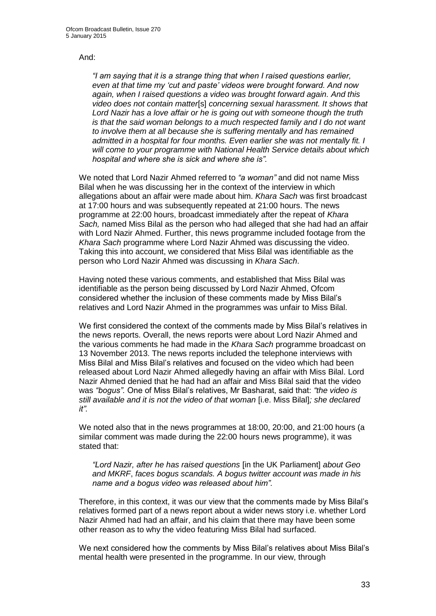#### And:

*"I am saying that it is a strange thing that when I raised questions earlier, even at that time my 'cut and paste' videos were brought forward. And now again, when I raised questions a video was brought forward again. And this video does not contain matter*[s] *concerning sexual harassment. It shows that Lord Nazir has a love affair or he is going out with someone though the truth is that the said woman belongs to a much respected family and I do not want to involve them at all because she is suffering mentally and has remained admitted in a hospital for four months. Even earlier she was not mentally fit. I will come to your programme with National Health Service details about which hospital and where she is sick and where she is".* 

We noted that Lord Nazir Ahmed referred to *"a woman"* and did not name Miss Bilal when he was discussing her in the context of the interview in which allegations about an affair were made about him. *Khara Sach* was first broadcast at 17:00 hours and was subsequently repeated at 21:00 hours. The news programme at 22:00 hours, broadcast immediately after the repeat of *Khara Sach,* named Miss Bilal as the person who had alleged that she had had an affair with Lord Nazir Ahmed. Further, this news programme included footage from the *Khara Sach* programme where Lord Nazir Ahmed was discussing the video. Taking this into account, we considered that Miss Bilal was identifiable as the person who Lord Nazir Ahmed was discussing in *Khara Sach*.

Having noted these various comments, and established that Miss Bilal was identifiable as the person being discussed by Lord Nazir Ahmed, Ofcom considered whether the inclusion of these comments made by Miss Bilal's relatives and Lord Nazir Ahmed in the programmes was unfair to Miss Bilal.

We first considered the context of the comments made by Miss Bilal's relatives in the news reports. Overall, the news reports were about Lord Nazir Ahmed and the various comments he had made in the *Khara Sach* programme broadcast on 13 November 2013. The news reports included the telephone interviews with Miss Bilal and Miss Bilal's relatives and focused on the video which had been released about Lord Nazir Ahmed allegedly having an affair with Miss Bilal. Lord Nazir Ahmed denied that he had had an affair and Miss Bilal said that the video was *"bogus".* One of Miss Bilal's relatives, Mr Basharat, said that: *"the video is still available and it is not the video of that woman* [i.e. Miss Bilal]*; she declared it".* 

We noted also that in the news programmes at 18:00, 20:00, and 21:00 hours (a similar comment was made during the 22:00 hours news programme), it was stated that:

*"Lord Nazir, after he has raised questions* [in the UK Parliament] *about Geo and MKRF*, *faces bogus scandals. A bogus twitter account was made in his name and a bogus video was released about him".* 

Therefore, in this context, it was our view that the comments made by Miss Bilal's relatives formed part of a news report about a wider news story i.e. whether Lord Nazir Ahmed had had an affair, and his claim that there may have been some other reason as to why the video featuring Miss Bilal had surfaced.

We next considered how the comments by Miss Bilal's relatives about Miss Bilal's mental health were presented in the programme. In our view, through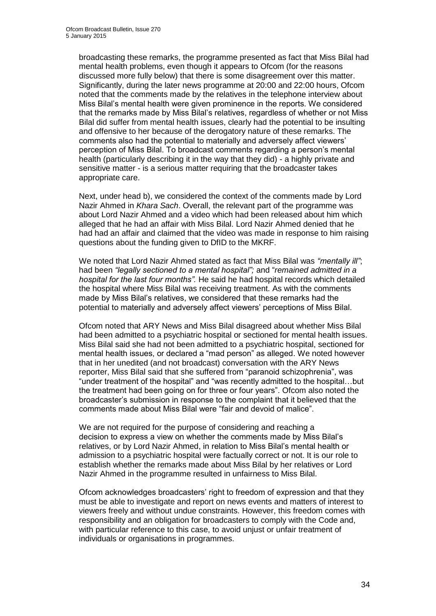broadcasting these remarks, the programme presented as fact that Miss Bilal had mental health problems, even though it appears to Ofcom (for the reasons discussed more fully below) that there is some disagreement over this matter. Significantly, during the later news programme at 20:00 and 22:00 hours, Ofcom noted that the comments made by the relatives in the telephone interview about Miss Bilal's mental health were given prominence in the reports. We considered that the remarks made by Miss Bilal's relatives, regardless of whether or not Miss Bilal did suffer from mental health issues, clearly had the potential to be insulting and offensive to her because of the derogatory nature of these remarks. The comments also had the potential to materially and adversely affect viewers' perception of Miss Bilal. To broadcast comments regarding a person's mental health (particularly describing it in the way that they did) - a highly private and sensitive matter - is a serious matter requiring that the broadcaster takes appropriate care.

Next, under head b), we considered the context of the comments made by Lord Nazir Ahmed in *Khara Sach*. Overall, the relevant part of the programme was about Lord Nazir Ahmed and a video which had been released about him which alleged that he had an affair with Miss Bilal. Lord Nazir Ahmed denied that he had had an affair and claimed that the video was made in response to him raising questions about the funding given to DfID to the MKRF.

We noted that Lord Nazir Ahmed stated as fact that Miss Bilal was *"mentally ill"*; had been *"legally sectioned to a mental hospital";* and "*remained admitted in a hospital for the last four months".* He said he had hospital records which detailed the hospital where Miss Bilal was receiving treatment. As with the comments made by Miss Bilal's relatives, we considered that these remarks had the potential to materially and adversely affect viewers' perceptions of Miss Bilal.

Ofcom noted that ARY News and Miss Bilal disagreed about whether Miss Bilal had been admitted to a psychiatric hospital or sectioned for mental health issues. Miss Bilal said she had not been admitted to a psychiatric hospital, sectioned for mental health issues, or declared a "mad person" as alleged. We noted however that in her unedited (and not broadcast) conversation with the ARY News reporter, Miss Bilal said that she suffered from "paranoid schizophrenia", was "under treatment of the hospital" and "was recently admitted to the hospital…but the treatment had been going on for three or four years". Ofcom also noted the broadcaster's submission in response to the complaint that it believed that the comments made about Miss Bilal were "fair and devoid of malice".

We are not required for the purpose of considering and reaching a decision to express a view on whether the comments made by Miss Bilal's relatives, or by Lord Nazir Ahmed, in relation to Miss Bilal's mental health or admission to a psychiatric hospital were factually correct or not. It is our role to establish whether the remarks made about Miss Bilal by her relatives or Lord Nazir Ahmed in the programme resulted in unfairness to Miss Bilal.

Ofcom acknowledges broadcasters' right to freedom of expression and that they must be able to investigate and report on news events and matters of interest to viewers freely and without undue constraints. However, this freedom comes with responsibility and an obligation for broadcasters to comply with the Code and, with particular reference to this case, to avoid unjust or unfair treatment of individuals or organisations in programmes.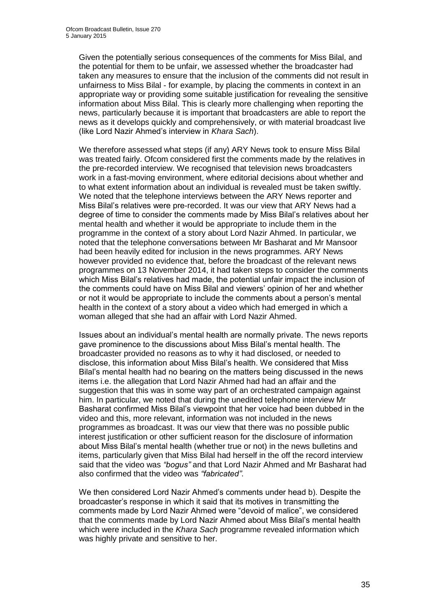Given the potentially serious consequences of the comments for Miss Bilal, and the potential for them to be unfair, we assessed whether the broadcaster had taken any measures to ensure that the inclusion of the comments did not result in unfairness to Miss Bilal - for example, by placing the comments in context in an appropriate way or providing some suitable justification for revealing the sensitive information about Miss Bilal. This is clearly more challenging when reporting the news, particularly because it is important that broadcasters are able to report the news as it develops quickly and comprehensively, or with material broadcast live (like Lord Nazir Ahmed's interview in *Khara Sach*).

We therefore assessed what steps (if any) ARY News took to ensure Miss Bilal was treated fairly. Ofcom considered first the comments made by the relatives in the pre-recorded interview. We recognised that television news broadcasters work in a fast-moving environment, where editorial decisions about whether and to what extent information about an individual is revealed must be taken swiftly. We noted that the telephone interviews between the ARY News reporter and Miss Bilal's relatives were pre-recorded. It was our view that ARY News had a degree of time to consider the comments made by Miss Bilal's relatives about her mental health and whether it would be appropriate to include them in the programme in the context of a story about Lord Nazir Ahmed. In particular, we noted that the telephone conversations between Mr Basharat and Mr Mansoor had been heavily edited for inclusion in the news programmes. ARY News however provided no evidence that, before the broadcast of the relevant news programmes on 13 November 2014, it had taken steps to consider the comments which Miss Bilal's relatives had made, the potential unfair impact the inclusion of the comments could have on Miss Bilal and viewers' opinion of her and whether or not it would be appropriate to include the comments about a person's mental health in the context of a story about a video which had emerged in which a woman alleged that she had an affair with Lord Nazir Ahmed.

Issues about an individual's mental health are normally private. The news reports gave prominence to the discussions about Miss Bilal's mental health. The broadcaster provided no reasons as to why it had disclosed, or needed to disclose, this information about Miss Bilal's health. We considered that Miss Bilal's mental health had no bearing on the matters being discussed in the news items i.e. the allegation that Lord Nazir Ahmed had had an affair and the suggestion that this was in some way part of an orchestrated campaign against him. In particular, we noted that during the unedited telephone interview Mr Basharat confirmed Miss Bilal's viewpoint that her voice had been dubbed in the video and this, more relevant, information was not included in the news programmes as broadcast. It was our view that there was no possible public interest justification or other sufficient reason for the disclosure of information about Miss Bilal's mental health (whether true or not) in the news bulletins and items, particularly given that Miss Bilal had herself in the off the record interview said that the video was *"bogus"* and that Lord Nazir Ahmed and Mr Basharat had also confirmed that the video was *"fabricated"*.

We then considered Lord Nazir Ahmed's comments under head b). Despite the broadcaster's response in which it said that its motives in transmitting the comments made by Lord Nazir Ahmed were "devoid of malice", we considered that the comments made by Lord Nazir Ahmed about Miss Bilal's mental health which were included in the *Khara Sach* programme revealed information which was highly private and sensitive to her.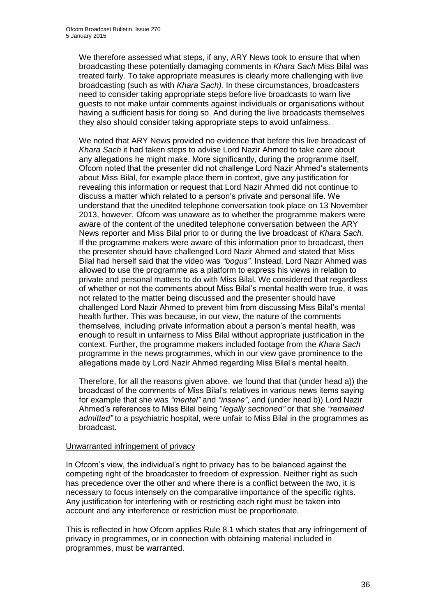We therefore assessed what steps, if any, ARY News took to ensure that when broadcasting these potentially damaging comments in *Khara Sach* Miss Bilal was treated fairly. To take appropriate measures is clearly more challenging with live broadcasting (such as with *Khara Sach).* In these circumstances, broadcasters need to consider taking appropriate steps before live broadcasts to warn live guests to not make unfair comments against individuals or organisations without having a sufficient basis for doing so. And during the live broadcasts themselves they also should consider taking appropriate steps to avoid unfairness.

We noted that ARY News provided no evidence that before this live broadcast of *Khara Sach* it had taken steps to advise Lord Nazir Ahmed to take care about any allegations he might make. More significantly, during the programme itself, Ofcom noted that the presenter did not challenge Lord Nazir Ahmed's statements about Miss Bilal, for example place them in context, give any justification for revealing this information or request that Lord Nazir Ahmed did not continue to discuss a matter which related to a person's private and personal life. We understand that the unedited telephone conversation took place on 13 November 2013, however, Ofcom was unaware as to whether the programme makers were aware of the content of the unedited telephone conversation between the ARY News reporter and Miss Bilal prior to or during the live broadcast of *Khara Sach.* If the programme makers were aware of this information prior to broadcast, then the presenter should have challenged Lord Nazir Ahmed and stated that Miss Bilal had herself said that the video was *"bogus"*. Instead, Lord Nazir Ahmed was allowed to use the programme as a platform to express his views in relation to private and personal matters to do with Miss Bilal. We considered that regardless of whether or not the comments about Miss Bilal's mental health were true, it was not related to the matter being discussed and the presenter should have challenged Lord Nazir Ahmed to prevent him from discussing Miss Bilal's mental health further. This was because, in our view, the nature of the comments themselves, including private information about a person's mental health, was enough to result in unfairness to Miss Bilal without appropriate justification in the context. Further, the programme makers included footage from the *Khara Sach*  programme in the news programmes, which in our view gave prominence to the allegations made by Lord Nazir Ahmed regarding Miss Bilal's mental health.

Therefore, for all the reasons given above, we found that that (under head a)) the broadcast of the comments of Miss Bilal's relatives in various news items saying for example that she was *"mental"* and *"insane"*, and (under head b)) Lord Nazir Ahmed's references to Miss Bilal being "*legally sectioned"* or that she *"remained admitted"* to a psychiatric hospital, were unfair to Miss Bilal in the programmes as broadcast.

## Unwarranted infringement of privacy

In Ofcom's view, the individual's right to privacy has to be balanced against the competing right of the broadcaster to freedom of expression. Neither right as such has precedence over the other and where there is a conflict between the two, it is necessary to focus intensely on the comparative importance of the specific rights. Any justification for interfering with or restricting each right must be taken into account and any interference or restriction must be proportionate.

This is reflected in how Ofcom applies Rule 8.1 which states that any infringement of privacy in programmes, or in connection with obtaining material included in programmes, must be warranted.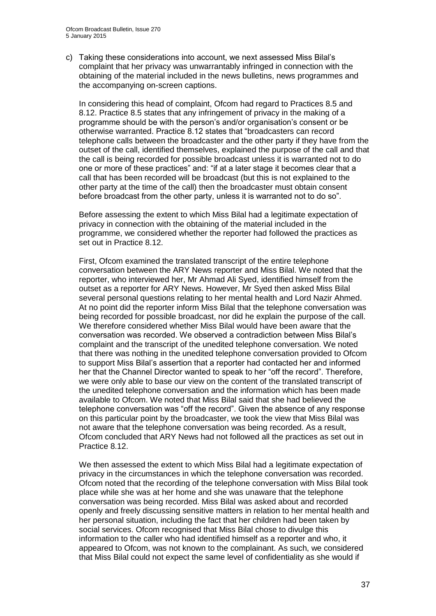c) Taking these considerations into account, we next assessed Miss Bilal's complaint that her privacy was unwarrantably infringed in connection with the obtaining of the material included in the news bulletins, news programmes and the accompanying on-screen captions.

In considering this head of complaint, Ofcom had regard to Practices 8.5 and 8.12. Practice 8.5 states that any infringement of privacy in the making of a programme should be with the person's and/or organisation's consent or be otherwise warranted. Practice 8.12 states that "broadcasters can record telephone calls between the broadcaster and the other party if they have from the outset of the call, identified themselves, explained the purpose of the call and that the call is being recorded for possible broadcast unless it is warranted not to do one or more of these practices" and: "if at a later stage it becomes clear that a call that has been recorded will be broadcast (but this is not explained to the other party at the time of the call) then the broadcaster must obtain consent before broadcast from the other party, unless it is warranted not to do so".

Before assessing the extent to which Miss Bilal had a legitimate expectation of privacy in connection with the obtaining of the material included in the programme, we considered whether the reporter had followed the practices as set out in Practice 8.12.

First, Ofcom examined the translated transcript of the entire telephone conversation between the ARY News reporter and Miss Bilal. We noted that the reporter, who interviewed her, Mr Ahmad Ali Syed, identified himself from the outset as a reporter for ARY News. However, Mr Syed then asked Miss Bilal several personal questions relating to her mental health and Lord Nazir Ahmed. At no point did the reporter inform Miss Bilal that the telephone conversation was being recorded for possible broadcast, nor did he explain the purpose of the call. We therefore considered whether Miss Bilal would have been aware that the conversation was recorded. We observed a contradiction between Miss Bilal's complaint and the transcript of the unedited telephone conversation. We noted that there was nothing in the unedited telephone conversation provided to Ofcom to support Miss Bilal's assertion that a reporter had contacted her and informed her that the Channel Director wanted to speak to her "off the record". Therefore, we were only able to base our view on the content of the translated transcript of the unedited telephone conversation and the information which has been made available to Ofcom. We noted that Miss Bilal said that she had believed the telephone conversation was "off the record". Given the absence of any response on this particular point by the broadcaster, we took the view that Miss Bilal was not aware that the telephone conversation was being recorded. As a result, Ofcom concluded that ARY News had not followed all the practices as set out in Practice 8.12.

We then assessed the extent to which Miss Bilal had a legitimate expectation of privacy in the circumstances in which the telephone conversation was recorded. Ofcom noted that the recording of the telephone conversation with Miss Bilal took place while she was at her home and she was unaware that the telephone conversation was being recorded. Miss Bilal was asked about and recorded openly and freely discussing sensitive matters in relation to her mental health and her personal situation, including the fact that her children had been taken by social services. Ofcom recognised that Miss Bilal chose to divulge this information to the caller who had identified himself as a reporter and who, it appeared to Ofcom, was not known to the complainant. As such, we considered that Miss Bilal could not expect the same level of confidentiality as she would if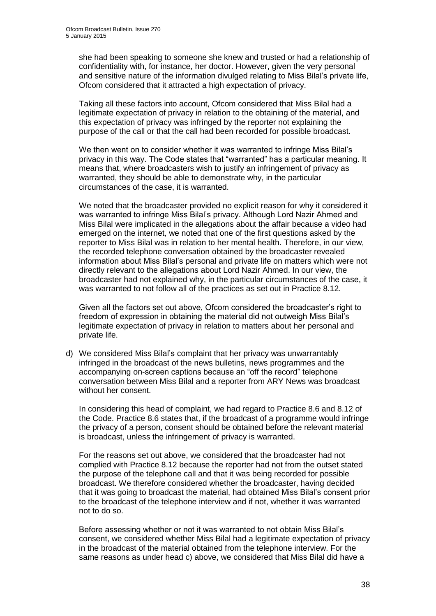she had been speaking to someone she knew and trusted or had a relationship of confidentiality with, for instance, her doctor. However, given the very personal and sensitive nature of the information divulged relating to Miss Bilal's private life, Ofcom considered that it attracted a high expectation of privacy.

Taking all these factors into account, Ofcom considered that Miss Bilal had a legitimate expectation of privacy in relation to the obtaining of the material, and this expectation of privacy was infringed by the reporter not explaining the purpose of the call or that the call had been recorded for possible broadcast.

We then went on to consider whether it was warranted to infringe Miss Bilal's privacy in this way. The Code states that "warranted" has a particular meaning. It means that, where broadcasters wish to justify an infringement of privacy as warranted, they should be able to demonstrate why, in the particular circumstances of the case, it is warranted.

We noted that the broadcaster provided no explicit reason for why it considered it was warranted to infringe Miss Bilal's privacy. Although Lord Nazir Ahmed and Miss Bilal were implicated in the allegations about the affair because a video had emerged on the internet, we noted that one of the first questions asked by the reporter to Miss Bilal was in relation to her mental health. Therefore, in our view, the recorded telephone conversation obtained by the broadcaster revealed information about Miss Bilal's personal and private life on matters which were not directly relevant to the allegations about Lord Nazir Ahmed. In our view, the broadcaster had not explained why, in the particular circumstances of the case, it was warranted to not follow all of the practices as set out in Practice 8.12.

Given all the factors set out above, Ofcom considered the broadcaster's right to freedom of expression in obtaining the material did not outweigh Miss Bilal's legitimate expectation of privacy in relation to matters about her personal and private life.

d) We considered Miss Bilal's complaint that her privacy was unwarrantably infringed in the broadcast of the news bulletins, news programmes and the accompanying on-screen captions because an "off the record" telephone conversation between Miss Bilal and a reporter from ARY News was broadcast without her consent.

In considering this head of complaint, we had regard to Practice 8.6 and 8.12 of the Code. Practice 8.6 states that, if the broadcast of a programme would infringe the privacy of a person, consent should be obtained before the relevant material is broadcast, unless the infringement of privacy is warranted.

For the reasons set out above, we considered that the broadcaster had not complied with Practice 8.12 because the reporter had not from the outset stated the purpose of the telephone call and that it was being recorded for possible broadcast. We therefore considered whether the broadcaster, having decided that it was going to broadcast the material, had obtained Miss Bilal's consent prior to the broadcast of the telephone interview and if not, whether it was warranted not to do so.

Before assessing whether or not it was warranted to not obtain Miss Bilal's consent, we considered whether Miss Bilal had a legitimate expectation of privacy in the broadcast of the material obtained from the telephone interview. For the same reasons as under head c) above, we considered that Miss Bilal did have a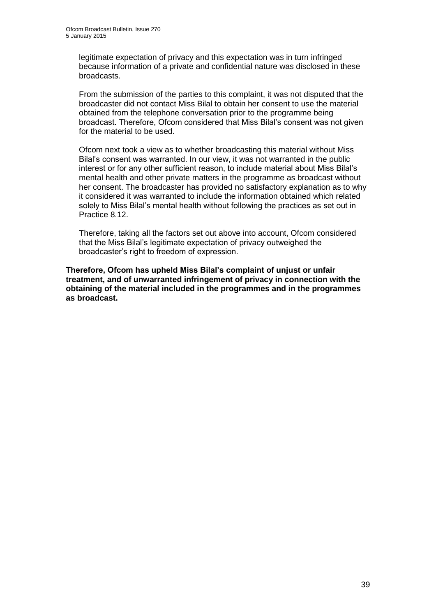legitimate expectation of privacy and this expectation was in turn infringed because information of a private and confidential nature was disclosed in these broadcasts.

From the submission of the parties to this complaint, it was not disputed that the broadcaster did not contact Miss Bilal to obtain her consent to use the material obtained from the telephone conversation prior to the programme being broadcast. Therefore, Ofcom considered that Miss Bilal's consent was not given for the material to be used.

Ofcom next took a view as to whether broadcasting this material without Miss Bilal's consent was warranted. In our view, it was not warranted in the public interest or for any other sufficient reason, to include material about Miss Bilal's mental health and other private matters in the programme as broadcast without her consent. The broadcaster has provided no satisfactory explanation as to why it considered it was warranted to include the information obtained which related solely to Miss Bilal's mental health without following the practices as set out in Practice 8.12.

Therefore, taking all the factors set out above into account, Ofcom considered that the Miss Bilal's legitimate expectation of privacy outweighed the broadcaster's right to freedom of expression.

**Therefore, Ofcom has upheld Miss Bilal's complaint of unjust or unfair treatment, and of unwarranted infringement of privacy in connection with the obtaining of the material included in the programmes and in the programmes as broadcast.**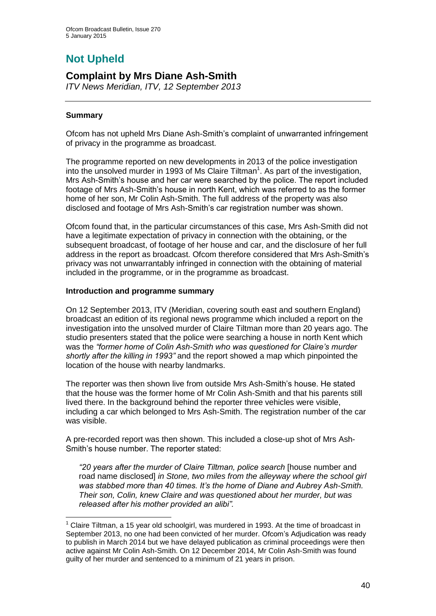# **Not Upheld**

## **Complaint by Mrs Diane Ash-Smith**

*ITV News Meridian, ITV, 12 September 2013* 

## **Summary**

1

Ofcom has not upheld Mrs Diane Ash-Smith's complaint of unwarranted infringement of privacy in the programme as broadcast.

The programme reported on new developments in 2013 of the police investigation into the unsolved murder in 1993 of Ms Claire Tiltman<sup>1</sup>. As part of the investigation, Mrs Ash-Smith's house and her car were searched by the police. The report included footage of Mrs Ash-Smith's house in north Kent, which was referred to as the former home of her son, Mr Colin Ash-Smith. The full address of the property was also disclosed and footage of Mrs Ash-Smith's car registration number was shown.

Ofcom found that, in the particular circumstances of this case, Mrs Ash-Smith did not have a legitimate expectation of privacy in connection with the obtaining, or the subsequent broadcast, of footage of her house and car, and the disclosure of her full address in the report as broadcast. Ofcom therefore considered that Mrs Ash-Smith's privacy was not unwarrantably infringed in connection with the obtaining of material included in the programme, or in the programme as broadcast.

## **Introduction and programme summary**

On 12 September 2013, ITV (Meridian, covering south east and southern England) broadcast an edition of its regional news programme which included a report on the investigation into the unsolved murder of Claire Tiltman more than 20 years ago. The studio presenters stated that the police were searching a house in north Kent which was the *"former home of Colin Ash-Smith who was questioned for Claire's murder shortly after the killing in 1993"* and the report showed a map which pinpointed the location of the house with nearby landmarks.

The reporter was then shown live from outside Mrs Ash-Smith's house. He stated that the house was the former home of Mr Colin Ash-Smith and that his parents still lived there. In the background behind the reporter three vehicles were visible, including a car which belonged to Mrs Ash-Smith. The registration number of the car was visible.

A pre-recorded report was then shown. This included a close-up shot of Mrs Ash-Smith's house number. The reporter stated:

*"20 years after the murder of Claire Tiltman, police search* [house number and road name disclosed] *in Stone, two miles from the alleyway where the school girl was stabbed more than 40 times. It's the home of Diane and Aubrey Ash-Smith. Their son, Colin, knew Claire and was questioned about her murder, but was released after his mother provided an alibi".*

 $<sup>1</sup>$  Claire Tiltman, a 15 year old schoolgirl, was murdered in 1993. At the time of broadcast in</sup> September 2013, no one had been convicted of her murder. Ofcom's Adjudication was ready to publish in March 2014 but we have delayed publication as criminal proceedings were then active against Mr Colin Ash-Smith. On 12 December 2014, Mr Colin Ash-Smith was found guilty of her murder and sentenced to a minimum of 21 years in prison.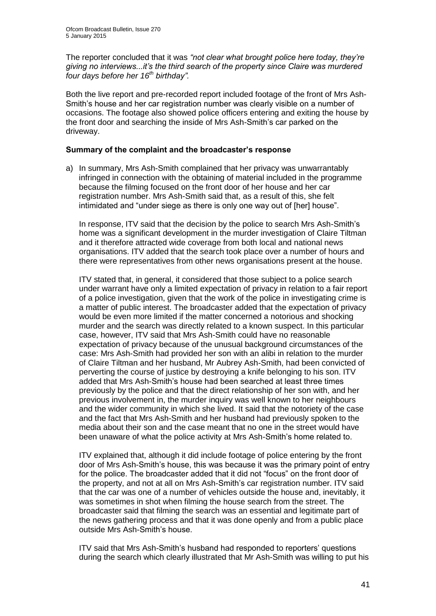The reporter concluded that it was *"not clear what brought police here today, they're giving no interviews...it's the third search of the property since Claire was murdered four days before her 16th birthday".* 

Both the live report and pre-recorded report included footage of the front of Mrs Ash-Smith's house and her car registration number was clearly visible on a number of occasions. The footage also showed police officers entering and exiting the house by the front door and searching the inside of Mrs Ash-Smith's car parked on the driveway.

#### **Summary of the complaint and the broadcaster's response**

a) In summary, Mrs Ash-Smith complained that her privacy was unwarrantably infringed in connection with the obtaining of material included in the programme because the filming focused on the front door of her house and her car registration number. Mrs Ash-Smith said that, as a result of this, she felt intimidated and "under siege as there is only one way out of [her] house".

In response, ITV said that the decision by the police to search Mrs Ash-Smith's home was a significant development in the murder investigation of Claire Tiltman and it therefore attracted wide coverage from both local and national news organisations. ITV added that the search took place over a number of hours and there were representatives from other news organisations present at the house.

ITV stated that, in general, it considered that those subject to a police search under warrant have only a limited expectation of privacy in relation to a fair report of a police investigation, given that the work of the police in investigating crime is a matter of public interest. The broadcaster added that the expectation of privacy would be even more limited if the matter concerned a notorious and shocking murder and the search was directly related to a known suspect. In this particular case, however, ITV said that Mrs Ash-Smith could have no reasonable expectation of privacy because of the unusual background circumstances of the case: Mrs Ash-Smith had provided her son with an alibi in relation to the murder of Claire Tiltman and her husband, Mr Aubrey Ash-Smith, had been convicted of perverting the course of justice by destroying a knife belonging to his son. ITV added that Mrs Ash-Smith's house had been searched at least three times previously by the police and that the direct relationship of her son with, and her previous involvement in, the murder inquiry was well known to her neighbours and the wider community in which she lived. It said that the notoriety of the case and the fact that Mrs Ash-Smith and her husband had previously spoken to the media about their son and the case meant that no one in the street would have been unaware of what the police activity at Mrs Ash-Smith's home related to.

ITV explained that, although it did include footage of police entering by the front door of Mrs Ash-Smith's house, this was because it was the primary point of entry for the police. The broadcaster added that it did not "focus" on the front door of the property, and not at all on Mrs Ash-Smith's car registration number. ITV said that the car was one of a number of vehicles outside the house and, inevitably, it was sometimes in shot when filming the house search from the street. The broadcaster said that filming the search was an essential and legitimate part of the news gathering process and that it was done openly and from a public place outside Mrs Ash-Smith's house.

ITV said that Mrs Ash-Smith's husband had responded to reporters' questions during the search which clearly illustrated that Mr Ash-Smith was willing to put his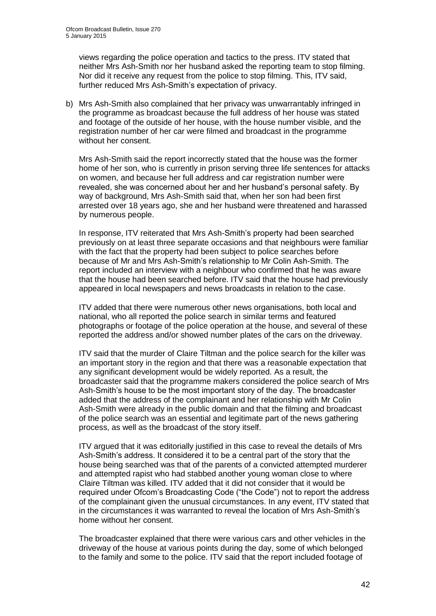views regarding the police operation and tactics to the press. ITV stated that neither Mrs Ash-Smith nor her husband asked the reporting team to stop filming. Nor did it receive any request from the police to stop filming. This, ITV said, further reduced Mrs Ash-Smith's expectation of privacy.

b) Mrs Ash-Smith also complained that her privacy was unwarrantably infringed in the programme as broadcast because the full address of her house was stated and footage of the outside of her house, with the house number visible, and the registration number of her car were filmed and broadcast in the programme without her consent.

Mrs Ash-Smith said the report incorrectly stated that the house was the former home of her son, who is currently in prison serving three life sentences for attacks on women, and because her full address and car registration number were revealed, she was concerned about her and her husband's personal safety. By way of background, Mrs Ash-Smith said that, when her son had been first arrested over 18 years ago, she and her husband were threatened and harassed by numerous people.

In response, ITV reiterated that Mrs Ash-Smith's property had been searched previously on at least three separate occasions and that neighbours were familiar with the fact that the property had been subject to police searches before because of Mr and Mrs Ash-Smith's relationship to Mr Colin Ash-Smith. The report included an interview with a neighbour who confirmed that he was aware that the house had been searched before. ITV said that the house had previously appeared in local newspapers and news broadcasts in relation to the case.

ITV added that there were numerous other news organisations, both local and national, who all reported the police search in similar terms and featured photographs or footage of the police operation at the house, and several of these reported the address and/or showed number plates of the cars on the driveway.

ITV said that the murder of Claire Tiltman and the police search for the killer was an important story in the region and that there was a reasonable expectation that any significant development would be widely reported. As a result, the broadcaster said that the programme makers considered the police search of Mrs Ash-Smith's house to be the most important story of the day. The broadcaster added that the address of the complainant and her relationship with Mr Colin Ash-Smith were already in the public domain and that the filming and broadcast of the police search was an essential and legitimate part of the news gathering process, as well as the broadcast of the story itself.

ITV argued that it was editorially justified in this case to reveal the details of Mrs Ash-Smith's address. It considered it to be a central part of the story that the house being searched was that of the parents of a convicted attempted murderer and attempted rapist who had stabbed another young woman close to where Claire Tiltman was killed. ITV added that it did not consider that it would be required under Ofcom's Broadcasting Code ("the Code") not to report the address of the complainant given the unusual circumstances. In any event, ITV stated that in the circumstances it was warranted to reveal the location of Mrs Ash-Smith's home without her consent.

The broadcaster explained that there were various cars and other vehicles in the driveway of the house at various points during the day, some of which belonged to the family and some to the police. ITV said that the report included footage of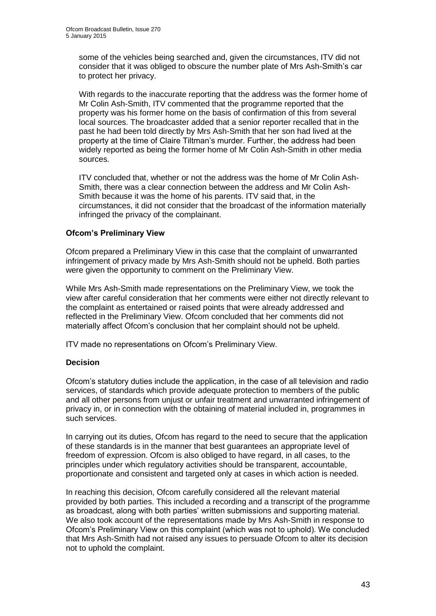some of the vehicles being searched and, given the circumstances, ITV did not consider that it was obliged to obscure the number plate of Mrs Ash-Smith's car to protect her privacy.

With regards to the inaccurate reporting that the address was the former home of Mr Colin Ash-Smith, ITV commented that the programme reported that the property was his former home on the basis of confirmation of this from several local sources. The broadcaster added that a senior reporter recalled that in the past he had been told directly by Mrs Ash-Smith that her son had lived at the property at the time of Claire Tiltman's murder. Further, the address had been widely reported as being the former home of Mr Colin Ash-Smith in other media sources.

ITV concluded that, whether or not the address was the home of Mr Colin Ash-Smith, there was a clear connection between the address and Mr Colin Ash-Smith because it was the home of his parents. ITV said that, in the circumstances, it did not consider that the broadcast of the information materially infringed the privacy of the complainant.

## **Ofcom's Preliminary View**

Ofcom prepared a Preliminary View in this case that the complaint of unwarranted infringement of privacy made by Mrs Ash-Smith should not be upheld. Both parties were given the opportunity to comment on the Preliminary View.

While Mrs Ash-Smith made representations on the Preliminary View, we took the view after careful consideration that her comments were either not directly relevant to the complaint as entertained or raised points that were already addressed and reflected in the Preliminary View. Ofcom concluded that her comments did not materially affect Ofcom's conclusion that her complaint should not be upheld.

ITV made no representations on Ofcom's Preliminary View.

## **Decision**

Ofcom's statutory duties include the application, in the case of all television and radio services, of standards which provide adequate protection to members of the public and all other persons from unjust or unfair treatment and unwarranted infringement of privacy in, or in connection with the obtaining of material included in, programmes in such services.

In carrying out its duties, Ofcom has regard to the need to secure that the application of these standards is in the manner that best guarantees an appropriate level of freedom of expression. Ofcom is also obliged to have regard, in all cases, to the principles under which regulatory activities should be transparent, accountable, proportionate and consistent and targeted only at cases in which action is needed.

In reaching this decision, Ofcom carefully considered all the relevant material provided by both parties. This included a recording and a transcript of the programme as broadcast, along with both parties' written submissions and supporting material. We also took account of the representations made by Mrs Ash-Smith in response to Ofcom's Preliminary View on this complaint (which was not to uphold). We concluded that Mrs Ash-Smith had not raised any issues to persuade Ofcom to alter its decision not to uphold the complaint.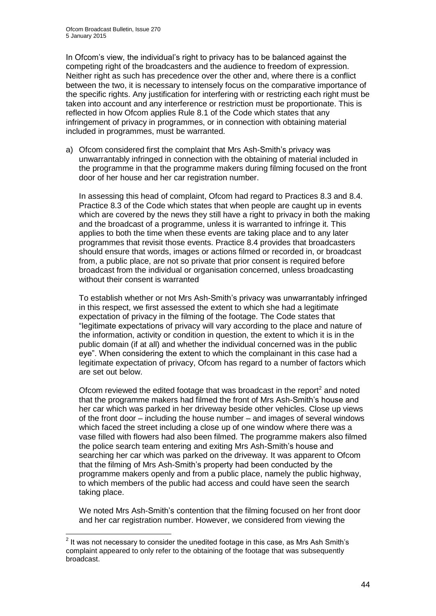In Ofcom's view, the individual's right to privacy has to be balanced against the competing right of the broadcasters and the audience to freedom of expression. Neither right as such has precedence over the other and, where there is a conflict between the two, it is necessary to intensely focus on the comparative importance of the specific rights. Any justification for interfering with or restricting each right must be taken into account and any interference or restriction must be proportionate. This is reflected in how Ofcom applies Rule 8.1 of the Code which states that any infringement of privacy in programmes, or in connection with obtaining material included in programmes, must be warranted.

a) Ofcom considered first the complaint that Mrs Ash-Smith's privacy was unwarrantably infringed in connection with the obtaining of material included in the programme in that the programme makers during filming focused on the front door of her house and her car registration number.

In assessing this head of complaint, Ofcom had regard to Practices 8.3 and 8.4. Practice 8.3 of the Code which states that when people are caught up in events which are covered by the news they still have a right to privacy in both the making and the broadcast of a programme, unless it is warranted to infringe it. This applies to both the time when these events are taking place and to any later programmes that revisit those events. Practice 8.4 provides that broadcasters should ensure that words, images or actions filmed or recorded in, or broadcast from, a public place, are not so private that prior consent is required before broadcast from the individual or organisation concerned, unless broadcasting without their consent is warranted

To establish whether or not Mrs Ash-Smith's privacy was unwarrantably infringed in this respect, we first assessed the extent to which she had a legitimate expectation of privacy in the filming of the footage. The Code states that "legitimate expectations of privacy will vary according to the place and nature of the information, activity or condition in question, the extent to which it is in the public domain (if at all) and whether the individual concerned was in the public eye". When considering the extent to which the complainant in this case had a legitimate expectation of privacy, Ofcom has regard to a number of factors which are set out below.

Ofcom reviewed the edited footage that was broadcast in the report $^2$  and noted that the programme makers had filmed the front of Mrs Ash-Smith's house and her car which was parked in her driveway beside other vehicles. Close up views of the front door – including the house number – and images of several windows which faced the street including a close up of one window where there was a vase filled with flowers had also been filmed. The programme makers also filmed the police search team entering and exiting Mrs Ash-Smith's house and searching her car which was parked on the driveway*.* It was apparent to Ofcom that the filming of Mrs Ash-Smith's property had been conducted by the programme makers openly and from a public place, namely the public highway, to which members of the public had access and could have seen the search taking place.

We noted Mrs Ash-Smith's contention that the filming focused on her front door and her car registration number. However, we considered from viewing the

1

 $2$  It was not necessary to consider the unedited footage in this case, as Mrs Ash Smith's complaint appeared to only refer to the obtaining of the footage that was subsequently broadcast.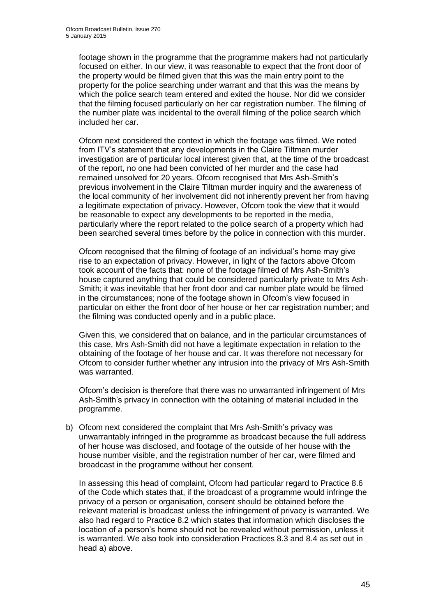footage shown in the programme that the programme makers had not particularly focused on either. In our view, it was reasonable to expect that the front door of the property would be filmed given that this was the main entry point to the property for the police searching under warrant and that this was the means by which the police search team entered and exited the house. Nor did we consider that the filming focused particularly on her car registration number. The filming of the number plate was incidental to the overall filming of the police search which included her car.

Ofcom next considered the context in which the footage was filmed. We noted from ITV's statement that any developments in the Claire Tiltman murder investigation are of particular local interest given that, at the time of the broadcast of the report, no one had been convicted of her murder and the case had remained unsolved for 20 years. Ofcom recognised that Mrs Ash-Smith's previous involvement in the Claire Tiltman murder inquiry and the awareness of the local community of her involvement did not inherently prevent her from having a legitimate expectation of privacy. However, Ofcom took the view that it would be reasonable to expect any developments to be reported in the media, particularly where the report related to the police search of a property which had been searched several times before by the police in connection with this murder.

Ofcom recognised that the filming of footage of an individual's home may give rise to an expectation of privacy. However, in light of the factors above Ofcom took account of the facts that: none of the footage filmed of Mrs Ash-Smith's house captured anything that could be considered particularly private to Mrs Ash-Smith; it was inevitable that her front door and car number plate would be filmed in the circumstances; none of the footage shown in Ofcom's view focused in particular on either the front door of her house or her car registration number; and the filming was conducted openly and in a public place.

Given this, we considered that on balance, and in the particular circumstances of this case, Mrs Ash-Smith did not have a legitimate expectation in relation to the obtaining of the footage of her house and car. It was therefore not necessary for Ofcom to consider further whether any intrusion into the privacy of Mrs Ash-Smith was warranted.

Ofcom's decision is therefore that there was no unwarranted infringement of Mrs Ash-Smith's privacy in connection with the obtaining of material included in the programme.

b) Ofcom next considered the complaint that Mrs Ash-Smith's privacy was unwarrantably infringed in the programme as broadcast because the full address of her house was disclosed, and footage of the outside of her house with the house number visible, and the registration number of her car, were filmed and broadcast in the programme without her consent.

In assessing this head of complaint, Ofcom had particular regard to Practice 8.6 of the Code which states that, if the broadcast of a programme would infringe the privacy of a person or organisation, consent should be obtained before the relevant material is broadcast unless the infringement of privacy is warranted. We also had regard to Practice 8.2 which states that information which discloses the location of a person's home should not be revealed without permission, unless it is warranted. We also took into consideration Practices 8.3 and 8.4 as set out in head a) above.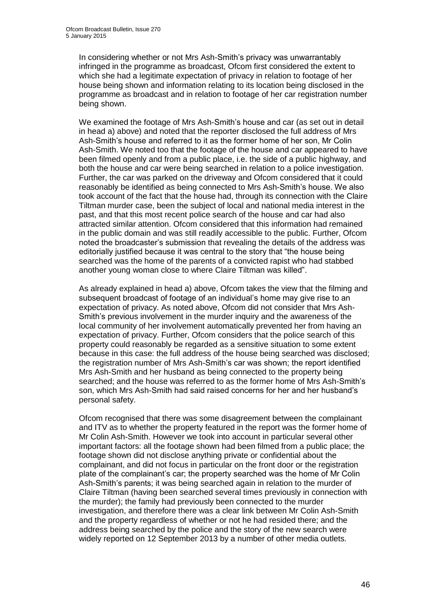In considering whether or not Mrs Ash-Smith's privacy was unwarrantably infringed in the programme as broadcast, Ofcom first considered the extent to which she had a legitimate expectation of privacy in relation to footage of her house being shown and information relating to its location being disclosed in the programme as broadcast and in relation to footage of her car registration number being shown.

We examined the footage of Mrs Ash-Smith's house and car (as set out in detail in head a) above) and noted that the reporter disclosed the full address of Mrs Ash-Smith's house and referred to it as the former home of her son, Mr Colin Ash-Smith. We noted too that the footage of the house and car appeared to have been filmed openly and from a public place, i.e. the side of a public highway, and both the house and car were being searched in relation to a police investigation. Further, the car was parked on the driveway and Ofcom considered that it could reasonably be identified as being connected to Mrs Ash-Smith's house. We also took account of the fact that the house had, through its connection with the Claire Tiltman murder case, been the subject of local and national media interest in the past, and that this most recent police search of the house and car had also attracted similar attention. Ofcom considered that this information had remained in the public domain and was still readily accessible to the public. Further, Ofcom noted the broadcaster's submission that revealing the details of the address was editorially justified because it was central to the story that "the house being searched was the home of the parents of a convicted rapist who had stabbed another young woman close to where Claire Tiltman was killed".

As already explained in head a) above, Ofcom takes the view that the filming and subsequent broadcast of footage of an individual's home may give rise to an expectation of privacy. As noted above, Ofcom did not consider that Mrs Ash-Smith's previous involvement in the murder inquiry and the awareness of the local community of her involvement automatically prevented her from having an expectation of privacy. Further, Ofcom considers that the police search of this property could reasonably be regarded as a sensitive situation to some extent because in this case: the full address of the house being searched was disclosed; the registration number of Mrs Ash-Smith's car was shown; the report identified Mrs Ash-Smith and her husband as being connected to the property being searched; and the house was referred to as the former home of Mrs Ash-Smith's son, which Mrs Ash-Smith had said raised concerns for her and her husband's personal safety.

Ofcom recognised that there was some disagreement between the complainant and ITV as to whether the property featured in the report was the former home of Mr Colin Ash-Smith. However we took into account in particular several other important factors: all the footage shown had been filmed from a public place; the footage shown did not disclose anything private or confidential about the complainant, and did not focus in particular on the front door or the registration plate of the complainant's car; the property searched was the home of Mr Colin Ash-Smith's parents; it was being searched again in relation to the murder of Claire Tiltman (having been searched several times previously in connection with the murder); the family had previously been connected to the murder investigation, and therefore there was a clear link between Mr Colin Ash-Smith and the property regardless of whether or not he had resided there; and the address being searched by the police and the story of the new search were widely reported on 12 September 2013 by a number of other media outlets.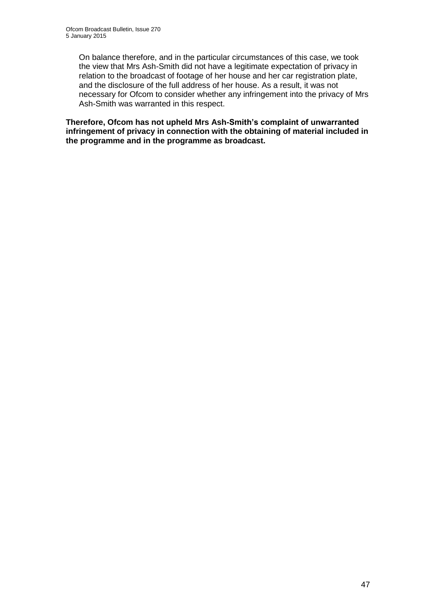On balance therefore, and in the particular circumstances of this case, we took the view that Mrs Ash-Smith did not have a legitimate expectation of privacy in relation to the broadcast of footage of her house and her car registration plate, and the disclosure of the full address of her house. As a result, it was not necessary for Ofcom to consider whether any infringement into the privacy of Mrs Ash-Smith was warranted in this respect.

**Therefore, Ofcom has not upheld Mrs Ash-Smith's complaint of unwarranted infringement of privacy in connection with the obtaining of material included in the programme and in the programme as broadcast.**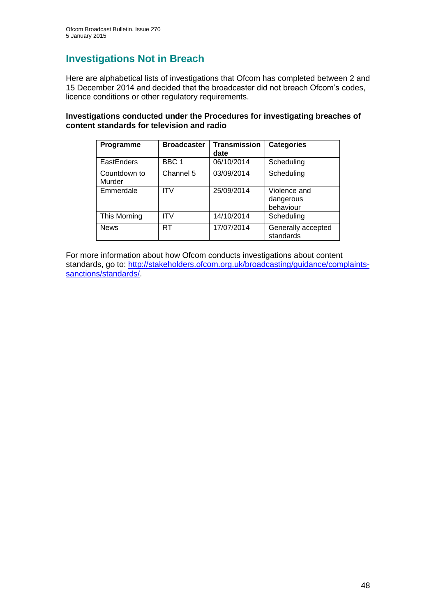## **Investigations Not in Breach**

Here are alphabetical lists of investigations that Ofcom has completed between 2 and 15 December 2014 and decided that the broadcaster did not breach Ofcom's codes, licence conditions or other regulatory requirements.

## **Investigations conducted under the Procedures for investigating breaches of content standards for television and radio**

| Programme              | <b>Broadcaster</b> | <b>Transmission</b><br>date | <b>Categories</b>                      |
|------------------------|--------------------|-----------------------------|----------------------------------------|
| EastEnders             | BBC 1              | 06/10/2014                  | Scheduling                             |
| Countdown to<br>Murder | Channel 5          | 03/09/2014                  | Scheduling                             |
| Emmerdale              | <b>ITV</b>         | 25/09/2014                  | Violence and<br>dangerous<br>behaviour |
| This Morning           | ITV                | 14/10/2014                  | Scheduling                             |
| <b>News</b>            | RT                 | 17/07/2014                  | Generally accepted<br>standards        |

For more information about how Ofcom conducts investigations about content standards, go to: [http://stakeholders.ofcom.org.uk/broadcasting/guidance/complaints](http://stakeholders.ofcom.org.uk/broadcasting/guidance/complaints-sanctions/standards/)[sanctions/standards/.](http://stakeholders.ofcom.org.uk/broadcasting/guidance/complaints-sanctions/standards/)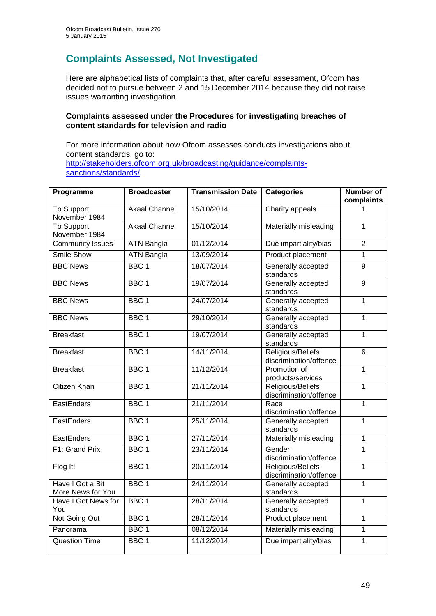## **Complaints Assessed, Not Investigated**

Here are alphabetical lists of complaints that, after careful assessment, Ofcom has decided not to pursue between 2 and 15 December 2014 because they did not raise issues warranting investigation.

## **Complaints assessed under the Procedures for investigating breaches of content standards for television and radio**

For more information about how Ofcom assesses conducts investigations about content standards, go to: [http://stakeholders.ofcom.org.uk/broadcasting/guidance/complaints](http://stakeholders.ofcom.org.uk/broadcasting/guidance/complaints-sanctions/standards/)[sanctions/standards/.](http://stakeholders.ofcom.org.uk/broadcasting/guidance/complaints-sanctions/standards/)

| Programme                             | <b>Broadcaster</b>   | <b>Transmission Date</b> | <b>Categories</b>                           | <b>Number of</b><br>complaints |
|---------------------------------------|----------------------|--------------------------|---------------------------------------------|--------------------------------|
| To Support<br>November 1984           | <b>Akaal Channel</b> | 15/10/2014               | Charity appeals                             | 1                              |
| <b>To Support</b><br>November 1984    | <b>Akaal Channel</b> | 15/10/2014               | Materially misleading                       | 1                              |
| <b>Community Issues</b>               | <b>ATN Bangla</b>    | 01/12/2014               | Due impartiality/bias                       | $\overline{2}$                 |
| <b>Smile Show</b>                     | <b>ATN Bangla</b>    | 13/09/2014               | Product placement                           | $\overline{1}$                 |
| <b>BBC News</b>                       | BBC <sub>1</sub>     | 18/07/2014               | Generally accepted<br>standards             | 9                              |
| <b>BBC News</b>                       | BBC <sub>1</sub>     | 19/07/2014               | Generally accepted<br>standards             | $\overline{9}$                 |
| <b>BBC News</b>                       | BBC <sub>1</sub>     | 24/07/2014               | Generally accepted<br>standards             | $\mathbf{1}$                   |
| <b>BBC News</b>                       | BBC <sub>1</sub>     | 29/10/2014               | Generally accepted<br>standards             | $\mathbf{1}$                   |
| <b>Breakfast</b>                      | BBC <sub>1</sub>     | 19/07/2014               | Generally accepted<br>standards             | $\overline{1}$                 |
| <b>Breakfast</b>                      | BBC <sub>1</sub>     | 14/11/2014               | Religious/Beliefs<br>discrimination/offence | $\overline{6}$                 |
| <b>Breakfast</b>                      | BBC <sub>1</sub>     | 11/12/2014               | Promotion of<br>products/services           | 1                              |
| <b>Citizen Khan</b>                   | BBC <sub>1</sub>     | 21/11/2014               | Religious/Beliefs<br>discrimination/offence | $\mathbf{1}$                   |
| EastEnders                            | BBC <sub>1</sub>     | 21/11/2014               | Race<br>discrimination/offence              | $\mathbf{1}$                   |
| <b>EastEnders</b>                     | BBC <sub>1</sub>     | 25/11/2014               | Generally accepted<br>standards             | $\overline{1}$                 |
| EastEnders                            | BBC <sub>1</sub>     | 27/11/2014               | Materially misleading                       | $\mathbf{1}$                   |
| F1: Grand Prix                        | BBC <sub>1</sub>     | 23/11/2014               | Gender<br>discrimination/offence            | $\mathbf{1}$                   |
| Flog It!                              | BBC <sub>1</sub>     | 20/11/2014               | Religious/Beliefs<br>discrimination/offence | $\overline{1}$                 |
| Have I Got a Bit<br>More News for You | BBC <sub>1</sub>     | 24/11/2014               | Generally accepted<br>standards             | $\mathbf{1}$                   |
| Have I Got News for<br>You            | BBC <sub>1</sub>     | 28/11/2014               | Generally accepted<br>standards             | $\mathbf{1}$                   |
| Not Going Out                         | BBC <sub>1</sub>     | 28/11/2014               | Product placement                           | $\overline{1}$                 |
| Panorama                              | BBC <sub>1</sub>     | 08/12/2014               | Materially misleading                       | $\overline{1}$                 |
| <b>Question Time</b>                  | BBC <sub>1</sub>     | 11/12/2014               | Due impartiality/bias                       | $\mathbf 1$                    |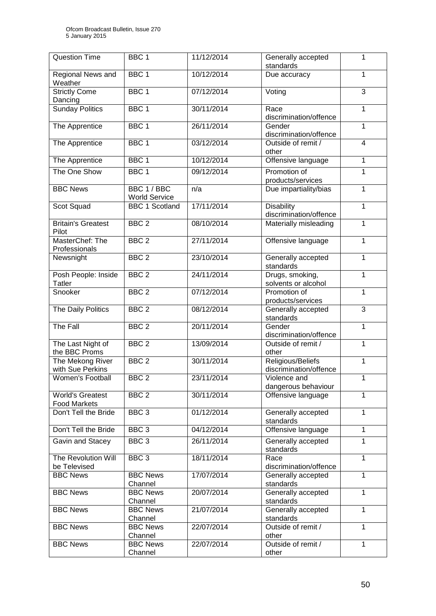| <b>Question Time</b>                           | BBC <sub>1</sub>                    | 11/12/2014 | Generally accepted<br>standards             | 1                       |
|------------------------------------------------|-------------------------------------|------------|---------------------------------------------|-------------------------|
| Regional News and<br>Weather                   | BBC <sub>1</sub>                    | 10/12/2014 | Due accuracy                                | 1                       |
| <b>Strictly Come</b><br>Dancing                | BBC <sub>1</sub>                    | 07/12/2014 | Voting                                      | 3                       |
| <b>Sunday Politics</b>                         | BBC <sub>1</sub>                    | 30/11/2014 | Race<br>discrimination/offence              | 1                       |
| The Apprentice                                 | BBC <sub>1</sub>                    | 26/11/2014 | Gender<br>discrimination/offence            | 1                       |
| The Apprentice                                 | BBC <sub>1</sub>                    | 03/12/2014 | Outside of remit /<br>other                 | $\overline{\mathbf{4}}$ |
| The Apprentice                                 | BBC <sub>1</sub>                    | 10/12/2014 | Offensive language                          | 1                       |
| The One Show                                   | BBC <sub>1</sub>                    | 09/12/2014 | Promotion of<br>products/services           | 1                       |
| <b>BBC News</b>                                | BBC 1 / BBC<br><b>World Service</b> | n/a        | Due impartiality/bias                       | 1                       |
| Scot Squad                                     | <b>BBC 1 Scotland</b>               | 17/11/2014 | <b>Disability</b><br>discrimination/offence | 1                       |
| <b>Britain's Greatest</b><br>Pilot             | BBC <sub>2</sub>                    | 08/10/2014 | Materially misleading                       | 1                       |
| MasterChef: The<br>Professionals               | BBC <sub>2</sub>                    | 27/11/2014 | Offensive language                          | 1                       |
| Newsnight                                      | BBC <sub>2</sub>                    | 23/10/2014 | Generally accepted<br>standards             | 1                       |
| Posh People: Inside<br><b>Tatler</b>           | BBC <sub>2</sub>                    | 24/11/2014 | Drugs, smoking,<br>solvents or alcohol      | 1                       |
| Snooker                                        | BBC <sub>2</sub>                    | 07/12/2014 | Promotion of<br>products/services           | 1                       |
| The Daily Politics                             | BBC <sub>2</sub>                    | 08/12/2014 | Generally accepted<br>standards             | 3                       |
| The Fall                                       | BBC <sub>2</sub>                    | 20/11/2014 | Gender<br>discrimination/offence            | 1                       |
| The Last Night of<br>the BBC Proms             | BBC <sub>2</sub>                    | 13/09/2014 | Outside of remit /<br>other                 | 1                       |
| The Mekong River<br>with Sue Perkins           | BBC <sub>2</sub>                    | 30/11/2014 | Religious/Beliefs<br>discrimination/offence | 1                       |
| <b>Women's Football</b>                        | BBC <sub>2</sub>                    | 23/11/2014 | Violence and<br>dangerous behaviour         | $\mathbf 1$             |
| <b>World's Greatest</b><br><b>Food Markets</b> | BBC <sub>2</sub>                    | 30/11/2014 | Offensive language                          | 1                       |
| Don't Tell the Bride                           | BBC <sub>3</sub>                    | 01/12/2014 | Generally accepted<br>standards             | 1                       |
| Don't Tell the Bride                           | BBC <sub>3</sub>                    | 04/12/2014 | Offensive language                          | 1                       |
| Gavin and Stacey                               | BBC <sub>3</sub>                    | 26/11/2014 | Generally accepted<br>standards             | 1                       |
| The Revolution Will<br>be Televised            | BBC <sub>3</sub>                    | 18/11/2014 | Race<br>discrimination/offence              | 1                       |
| <b>BBC News</b>                                | <b>BBC News</b><br>Channel          | 17/07/2014 | Generally accepted<br>standards             | 1                       |
| <b>BBC News</b>                                | <b>BBC News</b><br>Channel          | 20/07/2014 | Generally accepted<br>standards             | 1                       |
| <b>BBC News</b>                                | <b>BBC News</b><br>Channel          | 21/07/2014 | Generally accepted<br>standards             | 1                       |
| <b>BBC News</b>                                | <b>BBC News</b><br>Channel          | 22/07/2014 | Outside of remit /<br>other                 | 1                       |
| <b>BBC News</b>                                | <b>BBC News</b><br>Channel          | 22/07/2014 | Outside of remit /<br>other                 | 1                       |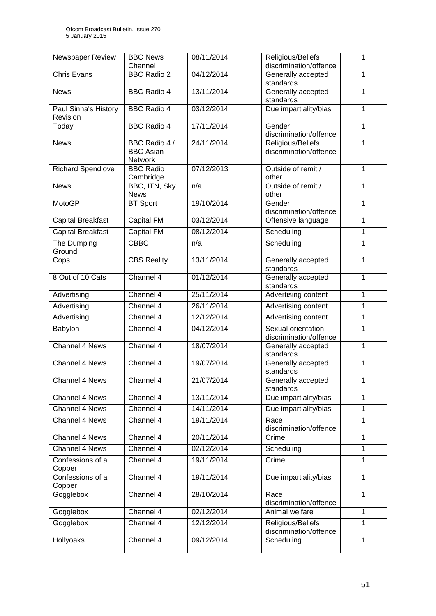| Newspaper Review                 | <b>BBC News</b>                              | 08/11/2014 | Religious/Beliefs                            | 1            |
|----------------------------------|----------------------------------------------|------------|----------------------------------------------|--------------|
|                                  | Channel                                      |            | discrimination/offence                       |              |
| <b>Chris Evans</b>               | <b>BBC Radio 2</b>                           | 04/12/2014 | Generally accepted<br>standards              | 1            |
| <b>News</b>                      | <b>BBC Radio 4</b>                           | 13/11/2014 | Generally accepted<br>standards              | 1            |
| Paul Sinha's History<br>Revision | <b>BBC Radio 4</b>                           | 03/12/2014 | Due impartiality/bias                        | 1            |
| Today                            | <b>BBC Radio 4</b>                           | 17/11/2014 | Gender<br>discrimination/offence             | 1            |
| <b>News</b>                      | BBC Radio 4 /<br><b>BBC Asian</b><br>Network | 24/11/2014 | Religious/Beliefs<br>discrimination/offence  | 1            |
| <b>Richard Spendlove</b>         | <b>BBC Radio</b><br>Cambridge                | 07/12/2013 | Outside of remit /<br>other                  | 1            |
| <b>News</b>                      | BBC, ITN, Sky<br><b>News</b>                 | n/a        | Outside of remit /<br>other                  | $\mathbf{1}$ |
| <b>MotoGP</b>                    | <b>BT Sport</b>                              | 19/10/2014 | Gender<br>discrimination/offence             | 1            |
| <b>Capital Breakfast</b>         | Capital FM                                   | 03/12/2014 | Offensive language                           | 1            |
| <b>Capital Breakfast</b>         | Capital FM                                   | 08/12/2014 | Scheduling                                   | $\mathbf{1}$ |
| The Dumping<br>Ground            | <b>CBBC</b>                                  | n/a        | Scheduling                                   | 1            |
| Cops                             | <b>CBS Reality</b>                           | 13/11/2014 | Generally accepted<br>standards              | 1            |
| 8 Out of 10 Cats                 | Channel 4                                    | 01/12/2014 | Generally accepted<br>standards              | $\mathbf{1}$ |
| Advertising                      | Channel 4                                    | 25/11/2014 | Advertising content                          | 1            |
| Advertising                      | Channel 4                                    | 26/11/2014 | Advertising content                          | 1            |
| Advertising                      | Channel 4                                    | 12/12/2014 | Advertising content                          | 1            |
| Babylon                          | Channel 4                                    | 04/12/2014 | Sexual orientation<br>discrimination/offence | $\mathbf{1}$ |
| <b>Channel 4 News</b>            | Channel 4                                    | 18/07/2014 | Generally accepted<br>standards              | 1            |
| <b>Channel 4 News</b>            | Channel 4                                    | 19/07/2014 | Generally accepted<br>standards              | 1            |
| <b>Channel 4 News</b>            | Channel 4                                    | 21/07/2014 | Generally accepted<br>standards              | 1            |
| Channel 4 News                   | Channel 4                                    | 13/11/2014 | Due impartiality/bias                        | 1            |
| Channel 4 News                   | Channel 4                                    | 14/11/2014 | Due impartiality/bias                        | $\mathbf{1}$ |
| Channel 4 News                   | Channel 4                                    | 19/11/2014 | Race<br>discrimination/offence               | 1            |
| Channel 4 News                   | Channel 4                                    | 20/11/2014 | Crime                                        | $\mathbf{1}$ |
| Channel 4 News                   | Channel 4                                    | 02/12/2014 | Scheduling                                   | 1            |
| Confessions of a<br>Copper       | Channel 4                                    | 19/11/2014 | Crime                                        | 1            |
| Confessions of a<br>Copper       | Channel 4                                    | 19/11/2014 | Due impartiality/bias                        | $\mathbf{1}$ |
| Gogglebox                        | Channel 4                                    | 28/10/2014 | Race<br>discrimination/offence               | $\mathbf{1}$ |
| Gogglebox                        | Channel 4                                    | 02/12/2014 | Animal welfare                               | $\mathbf{1}$ |
| Gogglebox                        | Channel 4                                    | 12/12/2014 | Religious/Beliefs<br>discrimination/offence  | $\mathbf{1}$ |
| Hollyoaks                        | Channel 4                                    | 09/12/2014 | Scheduling                                   | $\mathbf{1}$ |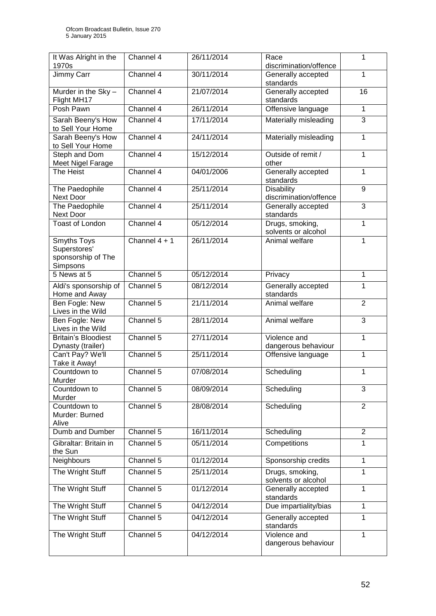| It Was Alright in the<br>1970s                                | Channel 4       | 26/11/2014 | Race<br>discrimination/offence              | 1              |
|---------------------------------------------------------------|-----------------|------------|---------------------------------------------|----------------|
| Jimmy Carr                                                    | Channel 4       | 30/11/2014 | Generally accepted<br>standards             | 1              |
| Murder in the Sky -<br>Flight MH17                            | Channel 4       | 21/07/2014 | Generally accepted<br>standards             | 16             |
| Posh Pawn                                                     | Channel 4       | 26/11/2014 | Offensive language                          | $\mathbf{1}$   |
| Sarah Beeny's How<br>to Sell Your Home                        | Channel 4       | 17/11/2014 | Materially misleading                       | 3              |
| Sarah Beeny's How<br>to Sell Your Home                        | Channel 4       | 24/11/2014 | Materially misleading                       | 1              |
| Steph and Dom<br>Meet Nigel Farage                            | Channel 4       | 15/12/2014 | Outside of remit /<br>other                 | 1              |
| The Heist                                                     | Channel 4       | 04/01/2006 | Generally accepted<br>standards             | $\mathbf{1}$   |
| The Paedophile<br><b>Next Door</b>                            | Channel 4       | 25/11/2014 | <b>Disability</b><br>discrimination/offence | 9              |
| The Paedophile<br><b>Next Door</b>                            | Channel 4       | 25/11/2014 | Generally accepted<br>standards             | 3              |
| <b>Toast of London</b>                                        | Channel 4       | 05/12/2014 | Drugs, smoking,<br>solvents or alcohol      | 1              |
| Smyths Toys<br>Superstores'<br>sponsorship of The<br>Simpsons | Channel $4 + 1$ | 26/11/2014 | Animal welfare                              | 1              |
| 5 News at 5                                                   | Channel 5       | 05/12/2014 | Privacy                                     | 1              |
| Aldi's sponsorship of<br>Home and Away                        | Channel 5       | 08/12/2014 | Generally accepted<br>standards             | $\mathbf{1}$   |
| Ben Fogle: New<br>Lives in the Wild                           | Channel 5       | 21/11/2014 | Animal welfare                              | $\overline{2}$ |
| Ben Fogle: New<br>Lives in the Wild                           | Channel 5       | 28/11/2014 | Animal welfare                              | 3              |
| <b>Britain's Bloodiest</b><br>Dynasty (trailer)               | Channel 5       | 27/11/2014 | Violence and<br>dangerous behaviour         | $\mathbf{1}$   |
| Can't Pay? We'll<br>Take it Away!                             | Channel 5       | 25/11/2014 | Offensive language                          | 1              |
| Countdown to<br>Murder                                        | Channel 5       | 07/08/2014 | Scheduling                                  | 1              |
| Countdown to<br>Murder                                        | Channel 5       | 08/09/2014 | Scheduling                                  | 3              |
| Countdown to<br>Murder: Burned<br>Alive                       | Channel 5       | 28/08/2014 | Scheduling                                  | $\overline{2}$ |
| Dumb and Dumber                                               | Channel 5       | 16/11/2014 | Scheduling                                  | $\overline{2}$ |
| Gibraltar: Britain in<br>the Sun                              | Channel 5       | 05/11/2014 | Competitions                                | 1              |
| Neighbours                                                    | Channel 5       | 01/12/2014 | Sponsorship credits                         | $\mathbf{1}$   |
| The Wright Stuff                                              | Channel 5       | 25/11/2014 | Drugs, smoking,<br>solvents or alcohol      | 1              |
| The Wright Stuff                                              | Channel 5       | 01/12/2014 | Generally accepted<br>standards             | 1              |
| The Wright Stuff                                              | Channel 5       | 04/12/2014 | Due impartiality/bias                       | 1              |
| The Wright Stuff                                              | Channel 5       | 04/12/2014 | Generally accepted<br>standards             | 1              |
| The Wright Stuff                                              | Channel 5       | 04/12/2014 | Violence and<br>dangerous behaviour         | $\mathbf{1}$   |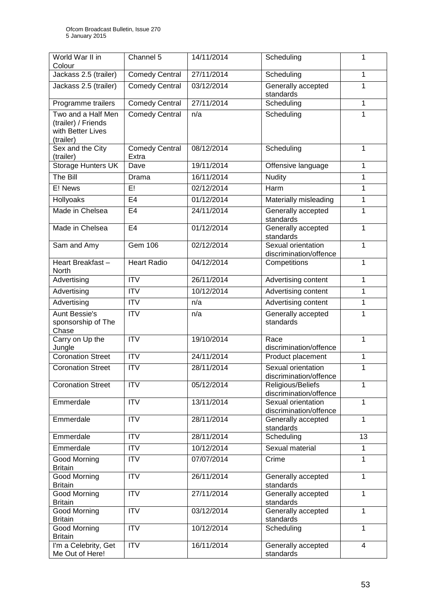| World War II in<br>Colour                                                   | Channel 5                      | 14/11/2014 | Scheduling                                   | 1              |
|-----------------------------------------------------------------------------|--------------------------------|------------|----------------------------------------------|----------------|
| Jackass 2.5 (trailer)                                                       | <b>Comedy Central</b>          | 27/11/2014 | Scheduling                                   | 1              |
| Jackass 2.5 (trailer)                                                       | <b>Comedy Central</b>          | 03/12/2014 | Generally accepted<br>standards              | 1              |
| Programme trailers                                                          | <b>Comedy Central</b>          | 27/11/2014 | Scheduling                                   | $\mathbf{1}$   |
| Two and a Half Men<br>(trailer) / Friends<br>with Better Lives<br>(trailer) | <b>Comedy Central</b>          | n/a        | Scheduling                                   | $\mathbf{1}$   |
| Sex and the City<br>(trailer)                                               | <b>Comedy Central</b><br>Extra | 08/12/2014 | Scheduling                                   | $\mathbf{1}$   |
| Storage Hunters UK                                                          | Dave                           | 19/11/2014 | Offensive language                           | $\mathbf{1}$   |
| The Bill                                                                    | Drama                          | 16/11/2014 | <b>Nudity</b>                                | 1              |
| E! News                                                                     | E!                             | 02/12/2014 | Harm                                         | $\mathbf{1}$   |
| Hollyoaks                                                                   | E <sub>4</sub>                 | 01/12/2014 | Materially misleading                        | $\mathbf{1}$   |
| Made in Chelsea                                                             | E4                             | 24/11/2014 | Generally accepted<br>standards              | $\overline{1}$ |
| Made in Chelsea                                                             | E <sub>4</sub>                 | 01/12/2014 | Generally accepted<br>standards              | $\mathbf{1}$   |
| Sam and Amy                                                                 | Gem 106                        | 02/12/2014 | Sexual orientation<br>discrimination/offence | $\mathbf{1}$   |
| Heart Breakfast-<br>North                                                   | <b>Heart Radio</b>             | 04/12/2014 | Competitions                                 | $\mathbf{1}$   |
| Advertising                                                                 | <b>ITV</b>                     | 26/11/2014 | Advertising content                          | $\mathbf{1}$   |
| Advertising                                                                 | <b>ITV</b>                     | 10/12/2014 | Advertising content                          | 1              |
| Advertising                                                                 | <b>ITV</b>                     | n/a        | Advertising content                          | $\mathbf{1}$   |
| <b>Aunt Bessie's</b><br>sponsorship of The<br>Chase                         | <b>ITV</b>                     | n/a        | Generally accepted<br>standards              | 1              |
| Carry on Up the<br>Jungle                                                   | $\overline{ITV}$               | 19/10/2014 | Race<br>discrimination/offence               | $\overline{1}$ |
| <b>Coronation Street</b>                                                    | $\overline{IV}$                | 24/11/2014 | Product placement                            | 1              |
| <b>Coronation Street</b>                                                    | <b>ITV</b>                     | 28/11/2014 | Sexual orientation<br>discrimination/offence | 1              |
| <b>Coronation Street</b>                                                    | <b>ITV</b>                     | 05/12/2014 | Religious/Beliefs<br>discrimination/offence  | 1              |
| Emmerdale                                                                   | ITV                            | 13/11/2014 | Sexual orientation<br>discrimination/offence | $\mathbf{1}$   |
| Emmerdale                                                                   | <b>ITV</b>                     | 28/11/2014 | Generally accepted<br>standards              | $\mathbf{1}$   |
| Emmerdale                                                                   | <b>ITV</b>                     | 28/11/2014 | Scheduling                                   | 13             |
| Emmerdale                                                                   | <b>ITV</b>                     | 10/12/2014 | Sexual material                              | $\mathbf{1}$   |
| Good Morning<br><b>Britain</b>                                              | <b>ITV</b>                     | 07/07/2014 | Crime                                        | $\mathbf{1}$   |
| Good Morning<br><b>Britain</b>                                              | ITV                            | 26/11/2014 | Generally accepted<br>standards              | 1              |
| Good Morning<br><b>Britain</b>                                              | <b>ITV</b>                     | 27/11/2014 | Generally accepted<br>standards              | 1              |
| Good Morning<br><b>Britain</b>                                              | ITV                            | 03/12/2014 | Generally accepted<br>standards              | $\mathbf{1}$   |
| Good Morning<br><b>Britain</b>                                              | ITV                            | 10/12/2014 | Scheduling                                   | $\mathbf{1}$   |
| I'm a Celebrity, Get<br>Me Out of Here!                                     | <b>ITV</b>                     | 16/11/2014 | Generally accepted<br>standards              | 4              |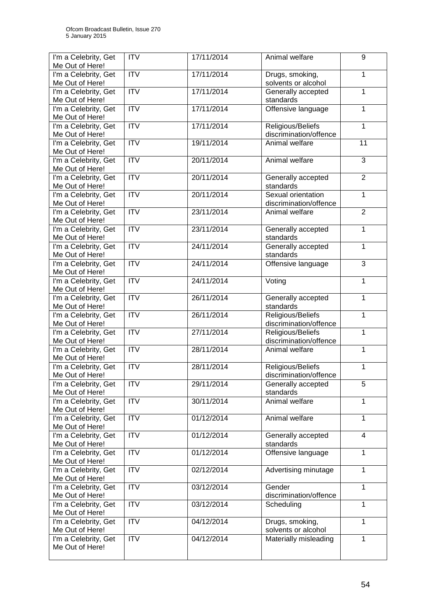| I'm a Celebrity, Get<br>Me Out of Here!                         | <b>ITV</b>                    | 17/11/2014               | Animal welfare                                    | 9                 |
|-----------------------------------------------------------------|-------------------------------|--------------------------|---------------------------------------------------|-------------------|
| I'm a Celebrity, Get<br>Me Out of Here!                         | $\overline{IV}$               | 17/11/2014               | Drugs, smoking,<br>solvents or alcohol            | $\mathbf{1}$      |
| I'm a Celebrity, Get<br>Me Out of Here!                         | <b>ITV</b>                    | 17/11/2014               | Generally accepted<br>standards                   | $\mathbf{1}$      |
| I'm a Celebrity, Get<br>Me Out of Here!                         | $\overline{IV}$               | 17/11/2014               | Offensive language                                | 1                 |
| I'm a Celebrity, Get<br>Me Out of Here!                         | <b>ITV</b>                    | 17/11/2014               | Religious/Beliefs<br>discrimination/offence       | $\mathbf 1$       |
| I'm a Celebrity, Get<br>Me Out of Here!                         | $\overline{IV}$               | 19/11/2014               | Animal welfare                                    | $\overline{11}$   |
| I'm a Celebrity, Get<br>Me Out of Here!                         | $\overline{IV}$               | 20/11/2014               | Animal welfare                                    | 3                 |
| I'm a Celebrity, Get<br>Me Out of Here!                         | $\overline{IV}$               | 20/11/2014               | Generally accepted<br>standards                   | $\overline{2}$    |
| I'm a Celebrity, Get<br>Me Out of Here!                         | $\overline{ITV}$              | 20/11/2014               | Sexual orientation<br>discrimination/offence      | $\mathbf{1}$      |
| I'm a Celebrity, Get<br>Me Out of Here!                         | ITV                           | 23/11/2014               | Animal welfare                                    | $\overline{2}$    |
| I'm a Celebrity, Get<br>Me Out of Here!                         | ITV                           | 23/11/2014               | Generally accepted<br>standards                   | $\overline{1}$    |
| I'm a Celebrity, Get<br>Me Out of Here!                         | <b>ITV</b>                    | 24/11/2014               | Generally accepted<br>standards                   | $\mathbf{1}$      |
| I'm a Celebrity, Get<br>Me Out of Here!                         | ITV                           | 24/11/2014               | Offensive language                                | 3                 |
| I'm a Celebrity, Get<br>Me Out of Here!                         | $\overline{IV}$               | 24/11/2014               | Voting                                            | $\mathbf{1}$      |
| I'm a Celebrity, Get<br>Me Out of Here!                         | <b>ITV</b>                    | 26/11/2014               | Generally accepted<br>standards                   | $\mathbf{1}$      |
| I'm a Celebrity, Get<br>Me Out of Here!                         | ITV                           | 26/11/2014               | Religious/Beliefs<br>discrimination/offence       | $\mathbf{1}$      |
| I'm a Celebrity, Get<br>Me Out of Here!                         | $\overline{IV}$               | 27/11/2014               | Religious/Beliefs<br>discrimination/offence       | $\overline{1}$    |
| I'm a Celebrity, Get<br>Me Out of Here!                         | $\overline{IV}$               | 28/11/2014               | Animal welfare                                    | $\mathbf 1$       |
| I'm a Celebrity, Get<br>Me Out of Here!                         | <b>ITV</b>                    | 28/11/2014               | Religious/Beliefs<br>discrimination/offence       | 1                 |
| I'm a Celebrity, Get<br>Me Out of Here!                         | <b>ITV</b><br>$\overline{IV}$ | 29/11/2014               | Generally accepted<br>standards<br>Animal welfare | 5<br>$\mathbf{1}$ |
| I'm a Celebrity, Get<br>Me Out of Here!<br>I'm a Celebrity, Get | <b>ITV</b>                    | 30/11/2014<br>01/12/2014 | Animal welfare                                    | $\mathbf{1}$      |
| Me Out of Here!<br>I'm a Celebrity, Get                         | ITV                           | 01/12/2014               | Generally accepted                                | $\overline{4}$    |
| Me Out of Here!<br>I'm a Celebrity, Get                         | ITV                           | 01/12/2014               | standards<br>Offensive language                   | $\overline{1}$    |
| Me Out of Here!<br>I'm a Celebrity, Get                         | ITV                           | 02/12/2014               | Advertising minutage                              | $\mathbf{1}$      |
| Me Out of Here!<br>I'm a Celebrity, Get                         | <b>ITV</b>                    | 03/12/2014               | Gender                                            | $\mathbf{1}$      |
| Me Out of Here!<br>I'm a Celebrity, Get                         | <b>ITV</b>                    | 03/12/2014               | discrimination/offence<br>Scheduling              | $\mathbf{1}$      |
| Me Out of Here!<br>I'm a Celebrity, Get                         | <b>ITV</b>                    | 04/12/2014               | Drugs, smoking,                                   | $\mathbf{1}$      |
| Me Out of Here!<br>I'm a Celebrity, Get                         | <b>ITV</b>                    | 04/12/2014               | solvents or alcohol<br>Materially misleading      | $\mathbf{1}$      |
| Me Out of Here!                                                 |                               |                          |                                                   |                   |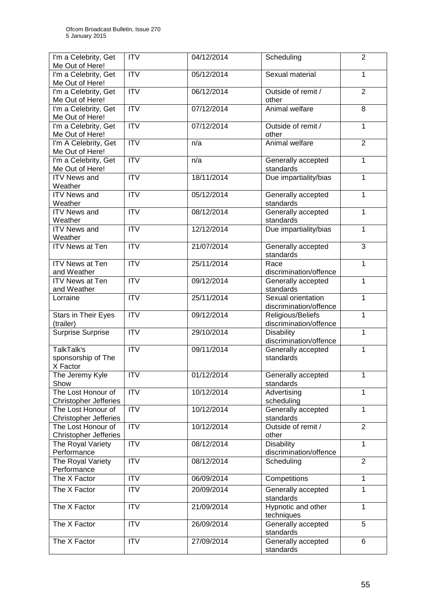| I'm a Celebrity, Get<br>Me Out of Here!            | <b>ITV</b>             | 04/12/2014 | Scheduling                                   | $\overline{2}$ |
|----------------------------------------------------|------------------------|------------|----------------------------------------------|----------------|
| I'm a Celebrity, Get<br>Me Out of Here!            | ITV                    | 05/12/2014 | Sexual material                              | $\mathbf{1}$   |
| I'm a Celebrity, Get<br>Me Out of Here!            | <b>ITV</b>             | 06/12/2014 | Outside of remit /<br>other                  | $\overline{2}$ |
| I'm a Celebrity, Get<br>Me Out of Here!            | $\overline{IV}$        | 07/12/2014 | Animal welfare                               | 8              |
| I'm a Celebrity, Get<br>Me Out of Here!            | ITV                    | 07/12/2014 | Outside of remit /<br>other                  | $\mathbf{1}$   |
| I'm A Celebrity, Get<br>Me Out of Here!            | $\overline{IV}$        | n/a        | Animal welfare                               | $\overline{2}$ |
| I'm a Celebrity, Get<br>Me Out of Here!            | $\overline{IV}$        | n/a        | Generally accepted<br>standards              | $\mathbf{1}$   |
| <b>ITV News and</b><br>Weather                     | ITV                    | 18/11/2014 | Due impartiality/bias                        | 1              |
| <b>ITV News and</b><br>Weather                     | <b>ITV</b>             | 05/12/2014 | Generally accepted<br>standards              | $\mathbf{1}$   |
| <b>ITV News and</b><br>Weather                     | <b>ITV</b>             | 08/12/2014 | Generally accepted<br>standards              | $\mathbf{1}$   |
| <b>ITV News and</b><br>Weather                     | $\overline{ITV}$       | 12/12/2014 | Due impartiality/bias                        | $\overline{1}$ |
| <b>ITV News at Ten</b>                             | <b>ITV</b>             | 21/07/2014 | Generally accepted<br>standards              | 3              |
| <b>ITV News at Ten</b><br>and Weather              | $\overline{ITV}$       | 25/11/2014 | Race<br>discrimination/offence               | $\overline{1}$ |
| <b>ITV News at Ten</b><br>and Weather              | <b>ITV</b>             | 09/12/2014 | Generally accepted<br>standards              | $\mathbf{1}$   |
| Lorraine                                           | <b>ITV</b>             | 25/11/2014 | Sexual orientation<br>discrimination/offence | $\mathbf{1}$   |
| Stars in Their Eyes<br>(trailer)                   | $\overline{ITV}$       | 09/12/2014 | Religious/Beliefs<br>discrimination/offence  | $\mathbf{1}$   |
| <b>Surprise Surprise</b>                           | $\overline{IV}$        | 29/10/2014 | <b>Disability</b><br>discrimination/offence  | 1              |
| TalkTalk's<br>sponsorship of The<br>X Factor       | $\overline{IV}$        | 09/11/2014 | Generally accepted<br>standards              | $\mathbf{1}$   |
| The Jeremy Kyle<br>Show                            | $\overline{ITV}$       | 01/12/2014 | Generally accepted<br>standards              | 1              |
| The Lost Honour of<br><b>Christopher Jefferies</b> | $\overline{\text{IV}}$ | 10/12/2014 | Advertising<br>scheduling                    | 1              |
| The Lost Honour of<br><b>Christopher Jefferies</b> | <b>ITV</b>             | 10/12/2014 | Generally accepted<br>standards              | $\mathbf{1}$   |
| The Lost Honour of<br><b>Christopher Jefferies</b> | $\overline{ITV}$       | 10/12/2014 | Outside of remit /<br>other                  | $\overline{2}$ |
| The Royal Variety<br>Performance                   | ITV                    | 08/12/2014 | <b>Disability</b><br>discrimination/offence  | $\overline{1}$ |
| The Royal Variety<br>Performance                   | $\overline{ITV}$       | 08/12/2014 | Scheduling                                   | $\overline{2}$ |
| The X Factor                                       | <b>ITV</b>             | 06/09/2014 | Competitions                                 | $\mathbf{1}$   |
| The X Factor                                       | ITV                    | 20/09/2014 | Generally accepted<br>standards              | $\mathbf{1}$   |
| The X Factor                                       | <b>ITV</b>             | 21/09/2014 | Hypnotic and other<br>techniques             | 1              |
| The X Factor                                       | $\overline{ITV}$       | 26/09/2014 | Generally accepted<br>standards              | $\overline{5}$ |
| The X Factor                                       | $\overline{ITV}$       | 27/09/2014 | Generally accepted<br>standards              | 6              |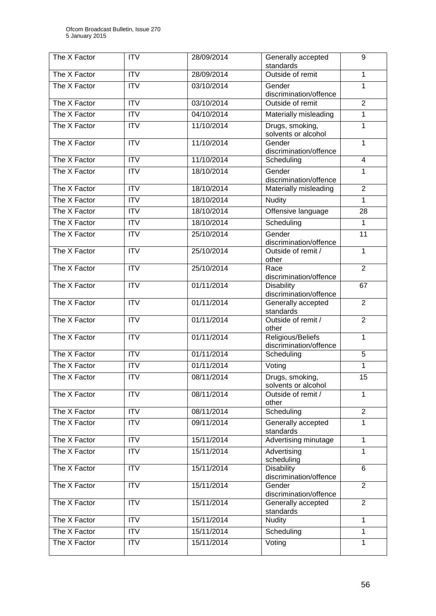| The X Factor | <b>ITV</b>       | 28/09/2014 | Generally accepted<br>standards             | 9                       |
|--------------|------------------|------------|---------------------------------------------|-------------------------|
| The X Factor | $\overline{ITV}$ | 28/09/2014 | Outside of remit                            | 1                       |
| The X Factor | $\overline{ITV}$ | 03/10/2014 | Gender<br>discrimination/offence            | $\mathbf{1}$            |
| The X Factor | <b>ITV</b>       | 03/10/2014 | Outside of remit                            | $\overline{2}$          |
| The X Factor | $\overline{ITV}$ | 04/10/2014 | Materially misleading                       | 1                       |
| The X Factor | ITV              | 11/10/2014 | Drugs, smoking,<br>solvents or alcohol      | 1                       |
| The X Factor | $\overline{ITV}$ | 11/10/2014 | Gender<br>discrimination/offence            | 1                       |
| The X Factor | $\overline{IV}$  | 11/10/2014 | Scheduling                                  | $\overline{\mathbf{4}}$ |
| The X Factor | <b>ITV</b>       | 18/10/2014 | Gender<br>discrimination/offence            | 1                       |
| The X Factor | $\overline{ITV}$ | 18/10/2014 | Materially misleading                       | $\overline{2}$          |
| The X Factor | $\overline{IV}$  | 18/10/2014 | <b>Nudity</b>                               | 1                       |
| The X Factor | <b>ITV</b>       | 18/10/2014 | Offensive language                          | 28                      |
| The X Factor | <b>ITV</b>       | 18/10/2014 | Scheduling                                  | 1                       |
| The X Factor | <b>ITV</b>       | 25/10/2014 | Gender<br>discrimination/offence            | $\overline{11}$         |
| The X Factor | $\overline{ITV}$ | 25/10/2014 | Outside of remit /<br>other                 | 1                       |
| The X Factor | <b>ITV</b>       | 25/10/2014 | Race<br>discrimination/offence              | $\overline{2}$          |
| The X Factor | <b>ITV</b>       | 01/11/2014 | <b>Disability</b><br>discrimination/offence | 67                      |
| The X Factor | $\overline{ITV}$ | 01/11/2014 | Generally accepted<br>standards             | $\overline{2}$          |
| The X Factor | $\overline{IV}$  | 01/11/2014 | Outside of remit /<br>other                 | $\overline{2}$          |
| The X Factor | $\overline{ITV}$ | 01/11/2014 | Religious/Beliefs<br>discrimination/offence | 1                       |
| The X Factor | <b>ITV</b>       | 01/11/2014 | Scheduling                                  | 5                       |
| The X Factor | $\overline{ITV}$ | 01/11/2014 | Voting                                      | $\mathbf{1}$            |
| The X Factor | <b>ITV</b>       | 08/11/2014 | Drugs, smoking,<br>solvents or alcohol      | 15                      |
| The X Factor | <b>ITV</b>       | 08/11/2014 | Outside of remit /<br>other                 | 1                       |
| The X Factor | <b>ITV</b>       | 08/11/2014 | Scheduling                                  | $\overline{2}$          |
| The X Factor | <b>ITV</b>       | 09/11/2014 | Generally accepted<br>standards             | $\mathbf{1}$            |
| The X Factor | <b>ITV</b>       | 15/11/2014 | Advertising minutage                        | 1                       |
| The X Factor | <b>ITV</b>       | 15/11/2014 | Advertising<br>scheduling                   | $\mathbf{1}$            |
| The X Factor | <b>ITV</b>       | 15/11/2014 | <b>Disability</b><br>discrimination/offence | 6                       |
| The X Factor | <b>ITV</b>       | 15/11/2014 | Gender<br>discrimination/offence            | $\overline{2}$          |
| The X Factor | <b>ITV</b>       | 15/11/2014 | Generally accepted<br>standards             | 2                       |
| The X Factor | <b>ITV</b>       | 15/11/2014 | <b>Nudity</b>                               | 1                       |
| The X Factor | <b>ITV</b>       | 15/11/2014 | Scheduling                                  | 1                       |
| The X Factor | <b>ITV</b>       | 15/11/2014 | Voting                                      | 1                       |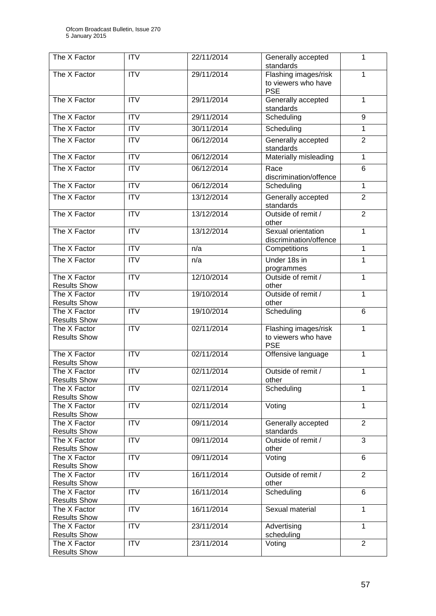| The $X$ Factor                      | <b>ITV</b>       | 22/11/2014 | Generally accepted                                        | 1              |
|-------------------------------------|------------------|------------|-----------------------------------------------------------|----------------|
|                                     |                  |            | standards                                                 |                |
| The X Factor                        | <b>ITV</b>       | 29/11/2014 | Flashing images/risk<br>to viewers who have<br><b>PSE</b> | 1              |
| The X Factor                        | <b>ITV</b>       | 29/11/2014 | Generally accepted                                        | 1              |
|                                     |                  |            | standards                                                 |                |
| The X Factor                        | <b>ITV</b>       | 29/11/2014 | Scheduling                                                | 9              |
| The X Factor                        | $\overline{IV}$  | 30/11/2014 | Scheduling                                                | 1              |
| The X Factor                        | <b>ITV</b>       | 06/12/2014 | Generally accepted<br>standards                           | $\overline{2}$ |
| The X Factor                        | <b>ITV</b>       | 06/12/2014 | Materially misleading                                     | $\mathbf{1}$   |
| The X Factor                        | <b>ITV</b>       | 06/12/2014 | Race<br>discrimination/offence                            | 6              |
| The X Factor                        | $\overline{IV}$  | 06/12/2014 | Scheduling                                                | 1              |
| The X Factor                        | <b>ITV</b>       | 13/12/2014 | Generally accepted<br>standards                           | $\overline{2}$ |
| The X Factor                        | <b>ITV</b>       | 13/12/2014 | Outside of remit /<br>other                               | $\overline{2}$ |
| The X Factor                        | <b>ITV</b>       | 13/12/2014 | Sexual orientation<br>discrimination/offence              | 1              |
| The X Factor                        | <b>ITV</b>       | n/a        | Competitions                                              | 1              |
| The X Factor                        | $\overline{ITV}$ | n/a        | Under 18s in                                              | 1              |
| The X Factor                        | <b>ITV</b>       | 12/10/2014 | programmes<br>Outside of remit /                          | 1              |
| <b>Results Show</b>                 |                  |            | other                                                     |                |
| The X Factor                        | $\overline{ITV}$ | 19/10/2014 | Outside of remit /                                        | 1              |
| <b>Results Show</b>                 |                  |            | other                                                     |                |
| The X Factor<br><b>Results Show</b> | $\overline{ITV}$ | 19/10/2014 | Scheduling                                                | 6              |
| The X Factor                        | <b>ITV</b>       | 02/11/2014 | Flashing images/risk                                      | 1              |
| <b>Results Show</b>                 |                  |            | to viewers who have<br><b>PSE</b>                         |                |
| The X Factor<br><b>Results Show</b> | <b>ITV</b>       | 02/11/2014 | Offensive language                                        | 1              |
| The X Factor                        | $\overline{ITV}$ | 02/11/2014 | Outside of remit /                                        | 1              |
| <b>Results Show</b><br>The X Factor | <b>ITV</b>       | 02/11/2014 | other<br>Scheduling                                       | 1              |
| <b>Results Show</b>                 |                  |            |                                                           |                |
| The X Factor                        | $\overline{IV}$  | 02/11/2014 | Voting                                                    | 1              |
| <b>Results Show</b>                 |                  |            |                                                           |                |
| The X Factor<br><b>Results Show</b> | $\overline{IV}$  | 09/11/2014 | Generally accepted<br>standards                           | $\overline{2}$ |
| The X Factor                        | <b>ITV</b>       | 09/11/2014 | Outside of remit /                                        | 3              |
| <b>Results Show</b>                 | $\overline{IV}$  |            | other                                                     | 6              |
| The X Factor<br><b>Results Show</b> |                  | 09/11/2014 | Voting                                                    |                |
| The X Factor                        | $\overline{IV}$  | 16/11/2014 | Outside of remit /                                        | $\overline{2}$ |
| <b>Results Show</b>                 |                  |            | other                                                     |                |
| The X Factor<br><b>Results Show</b> | <b>ITV</b>       | 16/11/2014 | Scheduling                                                | 6              |
| The X Factor                        | <b>ITV</b>       | 16/11/2014 | Sexual material                                           | $\mathbf{1}$   |
| <b>Results Show</b>                 |                  |            |                                                           |                |
| The X Factor<br><b>Results Show</b> | $\overline{IV}$  | 23/11/2014 | Advertising<br>scheduling                                 | $\mathbf{1}$   |
| The X Factor                        | <b>ITV</b>       | 23/11/2014 | Voting                                                    | $\overline{2}$ |
| <b>Results Show</b>                 |                  |            |                                                           |                |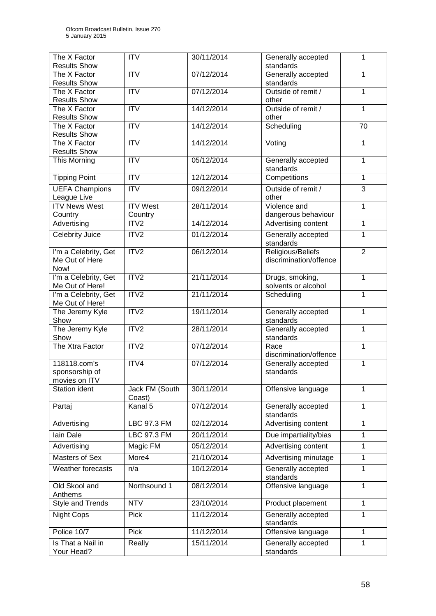| The X Factor<br><b>Results Show</b> | <b>ITV</b>                 | 30/11/2014 | Generally accepted<br>standards     | 1              |
|-------------------------------------|----------------------------|------------|-------------------------------------|----------------|
| The X Factor                        | <b>ITV</b>                 | 07/12/2014 | Generally accepted                  | $\mathbf{1}$   |
| <b>Results Show</b>                 |                            |            | standards                           |                |
| The X Factor                        | <b>ITV</b>                 | 07/12/2014 | Outside of remit /                  | $\mathbf{1}$   |
| <b>Results Show</b>                 | $\overline{IV}$            |            | other<br>Outside of remit /         | $\mathbf{1}$   |
| The X Factor<br><b>Results Show</b> |                            | 14/12/2014 | other                               |                |
| The X Factor                        | $\overline{ITV}$           | 14/12/2014 | Scheduling                          | 70             |
| <b>Results Show</b>                 |                            |            |                                     |                |
| The X Factor<br><b>Results Show</b> | $\overline{ITV}$           | 14/12/2014 | Voting                              | 1              |
| This Morning                        | $\overline{ITV}$           | 05/12/2014 | Generally accepted<br>standards     | 1              |
| <b>Tipping Point</b>                | $\overline{IV}$            | 12/12/2014 | Competitions                        | $\mathbf{1}$   |
| <b>UEFA Champions</b>               | $\overline{ITV}$           | 09/12/2014 | Outside of remit /                  | $\overline{3}$ |
| League Live                         |                            |            | other                               |                |
| <b>ITV News West</b>                | <b>ITV West</b><br>Country | 28/11/2014 | Violence and<br>dangerous behaviour | 1              |
| Country<br>Advertising              | ITV <sub>2</sub>           | 14/12/2014 | Advertising content                 | $\mathbf{1}$   |
| Celebrity Juice                     | ITV2                       | 01/12/2014 | Generally accepted                  | 1              |
|                                     |                            |            | standards                           |                |
| I'm a Celebrity, Get                | ITV2                       | 06/12/2014 | Religious/Beliefs                   | $\overline{2}$ |
| Me Out of Here                      |                            |            | discrimination/offence              |                |
| Now!<br>I'm a Celebrity, Get        | ITV2                       | 21/11/2014 | Drugs, smoking,                     | $\mathbf{1}$   |
| Me Out of Here!                     |                            |            | solvents or alcohol                 |                |
| I'm a Celebrity, Get                | ITV2                       | 21/11/2014 | Scheduling                          | $\mathbf{1}$   |
| Me Out of Here!                     |                            |            |                                     |                |
| The Jeremy Kyle<br>Show             | ITV <sub>2</sub>           | 19/11/2014 | Generally accepted<br>standards     | $\mathbf 1$    |
| The Jeremy Kyle<br>Show             | ITV2                       | 28/11/2014 | Generally accepted<br>standards     | 1              |
| The Xtra Factor                     | ITV <sub>2</sub>           | 07/12/2014 | Race                                | $\mathbf{1}$   |
|                                     |                            |            | discrimination/offence              |                |
| 118118.com's                        | ITV4                       | 07/12/2014 | Generally accepted                  | 1              |
| sponsorship of<br>movies on ITV     |                            |            | standards                           |                |
| Station ident                       | Jack FM (South             | 30/11/2014 | Offensive language                  | 1              |
|                                     | Coast)                     |            |                                     |                |
| Partaj                              | Kanal 5                    | 07/12/2014 | Generally accepted<br>standards     | 1              |
| Advertising                         | LBC 97.3 FM                | 02/12/2014 | Advertising content                 | 1              |
| lain Dale                           | LBC 97.3 FM                | 20/11/2014 | Due impartiality/bias               | 1              |
| Advertising                         | Magic FM                   | 05/12/2014 | Advertising content                 | $\mathbf{1}$   |
| Masters of Sex                      | More4                      | 21/10/2014 | Advertising minutage                | $\mathbf{1}$   |
| Weather forecasts                   | n/a                        | 10/12/2014 | Generally accepted                  | $\mathbf{1}$   |
|                                     |                            |            | standards                           |                |
| Old Skool and<br>Anthems            | Northsound 1               | 08/12/2014 | Offensive language                  | 1              |
| Style and Trends                    | <b>NTV</b>                 | 23/10/2014 | Product placement                   | $\mathbf{1}$   |
| <b>Night Cops</b>                   | Pick                       | 11/12/2014 | Generally accepted<br>standards     | 1              |
| Police 10/7                         | Pick                       | 11/12/2014 | Offensive language                  | $\mathbf{1}$   |
| Is That a Nail in                   | Really                     | 15/11/2014 | Generally accepted                  | 1              |
| Your Head?                          |                            |            | standards                           |                |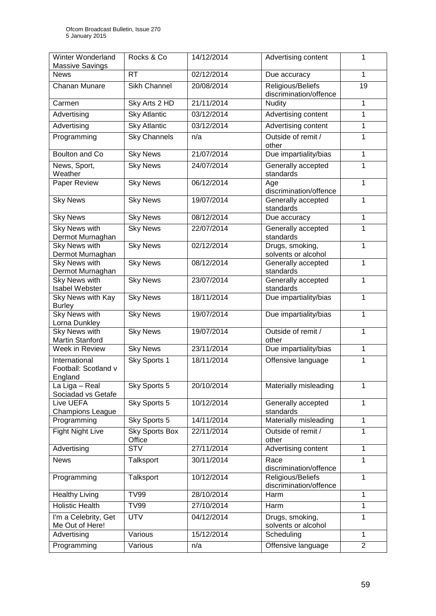| Winter Wonderland<br><b>Massive Savings</b>      | Rocks & Co                      | 14/12/2014 | Advertising content                         | 1              |
|--------------------------------------------------|---------------------------------|------------|---------------------------------------------|----------------|
| <b>News</b>                                      | <b>RT</b>                       | 02/12/2014 | Due accuracy                                | 1              |
| Chanan Munare                                    | <b>Sikh Channel</b>             | 20/08/2014 | Religious/Beliefs<br>discrimination/offence | 19             |
| Carmen                                           | Sky Arts 2 HD                   | 21/11/2014 | Nudity                                      | 1              |
| Advertising                                      | <b>Sky Atlantic</b>             | 03/12/2014 | Advertising content                         | 1              |
| Advertising                                      | <b>Sky Atlantic</b>             | 03/12/2014 | Advertising content                         | 1              |
| Programming                                      | <b>Sky Channels</b>             | n/a        | Outside of remit /<br>other                 | $\mathbf{1}$   |
| Boulton and Co                                   | <b>Sky News</b>                 | 21/07/2014 | Due impartiality/bias                       | 1              |
| News, Sport,<br>Weather                          | <b>Sky News</b>                 | 24/07/2014 | Generally accepted<br>standards             | 1              |
| Paper Review                                     | <b>Sky News</b>                 | 06/12/2014 | Age<br>discrimination/offence               | 1              |
| <b>Sky News</b>                                  | <b>Sky News</b>                 | 19/07/2014 | Generally accepted<br>standards             | 1              |
| <b>Sky News</b>                                  | <b>Sky News</b>                 | 08/12/2014 | Due accuracy                                | 1              |
| <b>Sky News with</b><br>Dermot Murnaghan         | <b>Sky News</b>                 | 22/07/2014 | Generally accepted<br>standards             | $\mathbf 1$    |
| <b>Sky News with</b><br>Dermot Murnaghan         | <b>Sky News</b>                 | 02/12/2014 | Drugs, smoking,<br>solvents or alcohol      | $\mathbf{1}$   |
| <b>Sky News with</b><br>Dermot Murnaghan         | <b>Sky News</b>                 | 08/12/2014 | Generally accepted<br>standards             | $\mathbf{1}$   |
| <b>Sky News with</b><br>Isabel Webster           | <b>Sky News</b>                 | 23/07/2014 | Generally accepted<br>standards             | $\mathbf{1}$   |
| Sky News with Kay<br><b>Burley</b>               | <b>Sky News</b>                 | 18/11/2014 | Due impartiality/bias                       | $\mathbf{1}$   |
| <b>Sky News with</b><br>Lorna Dunkley            | <b>Sky News</b>                 | 19/07/2014 | Due impartiality/bias                       | $\mathbf{1}$   |
| <b>Sky News with</b><br><b>Martin Stanford</b>   | <b>Sky News</b>                 | 19/07/2014 | Outside of remit /<br>other                 | 1              |
| Week in Review                                   | <b>Sky News</b>                 | 23/11/2014 | Due impartiality/bias                       | $\mathbf{1}$   |
| International<br>Football: Scotland v<br>England | Sky Sports 1                    | 18/11/2014 | Offensive language                          | $\mathbf{1}$   |
| La Liga - Real<br>Sociadad vs Getafe             | Sky Sports 5                    | 20/10/2014 | Materially misleading                       | 1              |
| Live UEFA<br><b>Champions League</b>             | Sky Sports 5                    | 10/12/2014 | Generally accepted<br>standards             | 1              |
| Programming                                      | Sky Sports 5                    | 14/11/2014 | Materially misleading                       | $\mathbf{1}$   |
| <b>Fight Night Live</b>                          | <b>Sky Sports Box</b><br>Office | 22/11/2014 | Outside of remit /<br>other                 | 1              |
| Advertising                                      | <b>STV</b>                      | 27/11/2014 | Advertising content                         | 1              |
| <b>News</b>                                      | Talksport                       | 30/11/2014 | Race<br>discrimination/offence              | 1              |
| Programming                                      | Talksport                       | 10/12/2014 | Religious/Beliefs<br>discrimination/offence | 1              |
| <b>Healthy Living</b>                            | <b>TV99</b>                     | 28/10/2014 | Harm                                        | $\mathbf{1}$   |
| <b>Holistic Health</b>                           | <b>TV99</b>                     | 27/10/2014 | Harm                                        | 1              |
| I'm a Celebrity, Get<br>Me Out of Here!          | <b>UTV</b>                      | 04/12/2014 | Drugs, smoking,<br>solvents or alcohol      | 1              |
| Advertising                                      | Various                         | 15/12/2014 | Scheduling                                  | 1              |
| Programming                                      | Various                         | n/a        | Offensive language                          | $\overline{2}$ |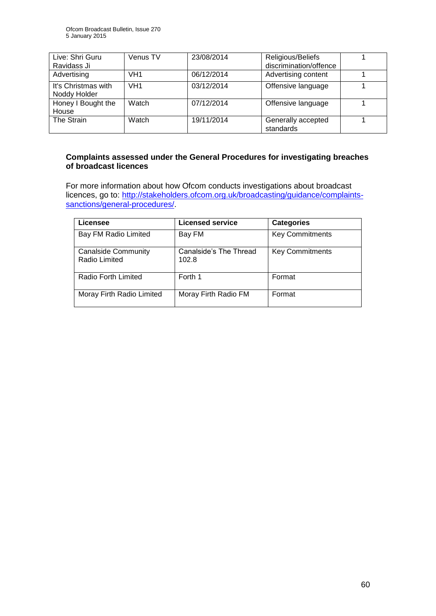| Live: Shri Guru                     | Venus TV        | 23/08/2014 | Religious/Beliefs               |  |
|-------------------------------------|-----------------|------------|---------------------------------|--|
| Ravidass Ji                         |                 |            | discrimination/offence          |  |
| Advertising                         | VH <sub>1</sub> | 06/12/2014 | Advertising content             |  |
| It's Christmas with<br>Noddy Holder | VH <sub>1</sub> | 03/12/2014 | Offensive language              |  |
| Honey I Bought the<br>House         | Watch           | 07/12/2014 | Offensive language              |  |
| The Strain                          | Watch           | 19/11/2014 | Generally accepted<br>standards |  |

#### **Complaints assessed under the General Procedures for investigating breaches of broadcast licences**

For more information about how Ofcom conducts investigations about broadcast licences, go to: [http://stakeholders.ofcom.org.uk/broadcasting/guidance/complaints](http://stakeholders.ofcom.org.uk/broadcasting/guidance/complaints-sanctions/general-procedures/)[sanctions/general-procedures/.](http://stakeholders.ofcom.org.uk/broadcasting/guidance/complaints-sanctions/general-procedures/)

| Licensee                                    | <b>Licensed service</b>         | <b>Categories</b>      |
|---------------------------------------------|---------------------------------|------------------------|
| Bay FM Radio Limited                        | Bay FM                          | <b>Key Commitments</b> |
| <b>Canalside Community</b><br>Radio Limited | Canalside's The Thread<br>102.8 | <b>Key Commitments</b> |
| Radio Forth Limited                         | Forth 1                         | Format                 |
| Moray Firth Radio Limited                   | Moray Firth Radio FM            | Format                 |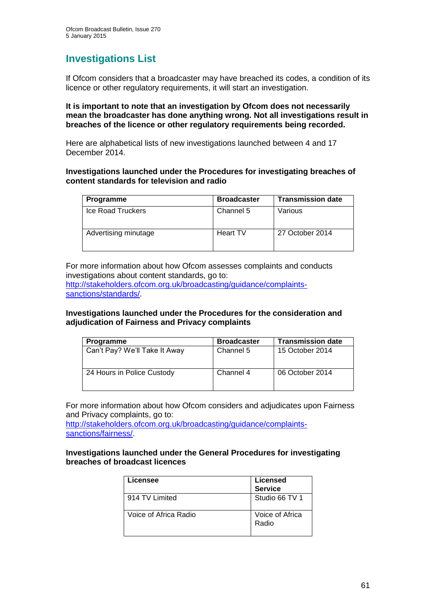## **Investigations List**

If Ofcom considers that a broadcaster may have breached its codes, a condition of its licence or other regulatory requirements, it will start an investigation.

#### **It is important to note that an investigation by Ofcom does not necessarily mean the broadcaster has done anything wrong. Not all investigations result in breaches of the licence or other regulatory requirements being recorded.**

Here are alphabetical lists of new investigations launched between 4 and 17 December 2014.

#### **Investigations launched under the Procedures for investigating breaches of content standards for television and radio**

| Programme            | <b>Broadcaster</b> | <b>Transmission date</b> |
|----------------------|--------------------|--------------------------|
| Ice Road Truckers    | Channel 5          | Various                  |
| Advertising minutage | Heart TV           | 27 October 2014          |

For more information about how Ofcom assesses complaints and conducts investigations about content standards, go to:

[http://stakeholders.ofcom.org.uk/broadcasting/guidance/complaints](http://stakeholders.ofcom.org.uk/broadcasting/guidance/complaints-sanctions/standards/)[sanctions/standards/.](http://stakeholders.ofcom.org.uk/broadcasting/guidance/complaints-sanctions/standards/)

## **Investigations launched under the Procedures for the consideration and adjudication of Fairness and Privacy complaints**

| <b>Programme</b>              | <b>Broadcaster</b> | <b>Transmission date</b> |
|-------------------------------|--------------------|--------------------------|
| Can't Pay? We'll Take It Away | Channel 5          | 15 October 2014          |
| 24 Hours in Police Custody    | Channel 4          | 06 October 2014          |

For more information about how Ofcom considers and adjudicates upon Fairness and Privacy complaints, go to:

[http://stakeholders.ofcom.org.uk/broadcasting/guidance/complaints](http://stakeholders.ofcom.org.uk/broadcasting/guidance/complaints-sanctions/fairness/)[sanctions/fairness/.](http://stakeholders.ofcom.org.uk/broadcasting/guidance/complaints-sanctions/fairness/)

#### **Investigations launched under the General Procedures for investigating breaches of broadcast licences**

| Licensee              | <b>Licensed</b><br><b>Service</b> |
|-----------------------|-----------------------------------|
| 914 TV Limited        | Studio 66 TV 1                    |
| Voice of Africa Radio | Voice of Africa<br>Radio          |